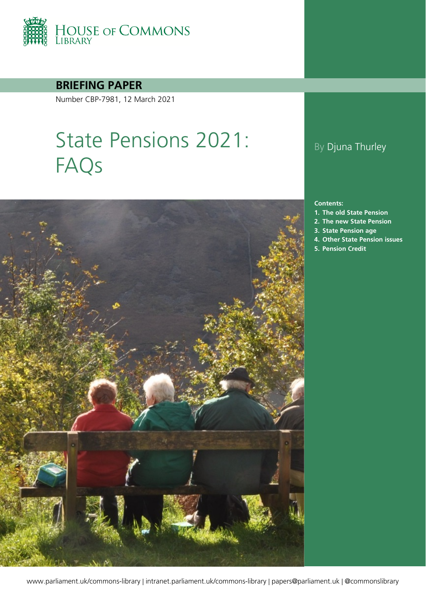

**BRIEFING PAPER**

Number CBP-7981, 12 March 2021

# State Pensions 2021: FAQs



# By Djuna Thurley

#### **Contents:**

- **1. [The old State Pension](#page-4-0)**
- **2. [The new State Pension](#page-19-0)**
- **3. [State Pension age](#page-28-0)**
- **4. [Other State Pension issues](#page-35-0)**
- **5. [Pension Credit](#page-45-0)**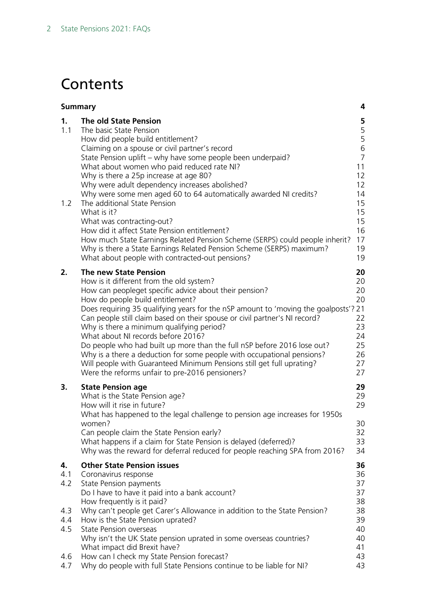# **Contents**

| <b>Summary</b>    |                                                                                                                                                                                                                                                                                                                                                                                                                                                                                                                                                                                                                                                                                                                                                                      | 4                                                                                                                     |
|-------------------|----------------------------------------------------------------------------------------------------------------------------------------------------------------------------------------------------------------------------------------------------------------------------------------------------------------------------------------------------------------------------------------------------------------------------------------------------------------------------------------------------------------------------------------------------------------------------------------------------------------------------------------------------------------------------------------------------------------------------------------------------------------------|-----------------------------------------------------------------------------------------------------------------------|
| 1.<br>1.1<br>1.2  | <b>The old State Pension</b><br>The basic State Pension<br>How did people build entitlement?<br>Claiming on a spouse or civil partner's record<br>State Pension uplift - why have some people been underpaid?<br>What about women who paid reduced rate NI?<br>Why is there a 25p increase at age 80?<br>Why were adult dependency increases abolished?<br>Why were some men aged 60 to 64 automatically awarded NI credits?<br>The additional State Pension<br>What is it?<br>What was contracting-out?<br>How did it affect State Pension entitlement?<br>How much State Earnings Related Pension Scheme (SERPS) could people inherit?<br>Why is there a State Earnings Related Pension Scheme (SERPS) maximum?<br>What about people with contracted-out pensions? | 5<br>$\frac{5}{5}$<br>$\,$ 6 $\,$<br>$\overline{7}$<br>11<br>12<br>12<br>14<br>15<br>15<br>15<br>16<br>17<br>19<br>19 |
| 2.                | <b>The new State Pension</b><br>How is it different from the old system?<br>How can peopleget specific advice about their pension?<br>How do people build entitlement?<br>Does requiring 35 qualifying years for the nSP amount to 'moving the goalposts'? 21<br>Can people still claim based on their spouse or civil partner's NI record?<br>Why is there a minimum qualifying period?<br>What about NI records before 2016?<br>Do people who had built up more than the full nSP before 2016 lose out?<br>Why is a there a deduction for some people with occupational pensions?<br>Will people with Guaranteed Minimum Pensions still get full uprating?<br>Were the reforms unfair to pre-2016 pensioners?                                                      | 20<br>20<br>20<br>20<br>22<br>23<br>24<br>25<br>26<br>27<br>27                                                        |
| 3.                | <b>State Pension age</b><br>What is the State Pension age?<br>How will it rise in future?<br>What has happened to the legal challenge to pension age increases for 1950s<br>women?<br>Can people claim the State Pension early?<br>What happens if a claim for State Pension is delayed (deferred)?<br>Why was the reward for deferral reduced for people reaching SPA from 2016?                                                                                                                                                                                                                                                                                                                                                                                    | 29<br>29<br>29<br>30<br>32<br>33<br>34                                                                                |
| 4.<br>4.1<br>4.2  | <b>Other State Pension issues</b><br>Coronavirus response<br><b>State Pension payments</b><br>Do I have to have it paid into a bank account?<br>How frequently is it paid?                                                                                                                                                                                                                                                                                                                                                                                                                                                                                                                                                                                           | 36<br>36<br>37<br>37<br>38                                                                                            |
| 4.3<br>4.4<br>4.5 | Why can't people get Carer's Allowance in addition to the State Pension?<br>How is the State Pension uprated?<br><b>State Pension overseas</b><br>Why isn't the UK State pension uprated in some overseas countries?<br>What impact did Brexit have?                                                                                                                                                                                                                                                                                                                                                                                                                                                                                                                 | 38<br>39<br>40<br>40<br>41                                                                                            |
| 4.6<br>4.7        | How can I check my State Pension forecast?<br>Why do people with full State Pensions continue to be liable for NI?                                                                                                                                                                                                                                                                                                                                                                                                                                                                                                                                                                                                                                                   | 43<br>43                                                                                                              |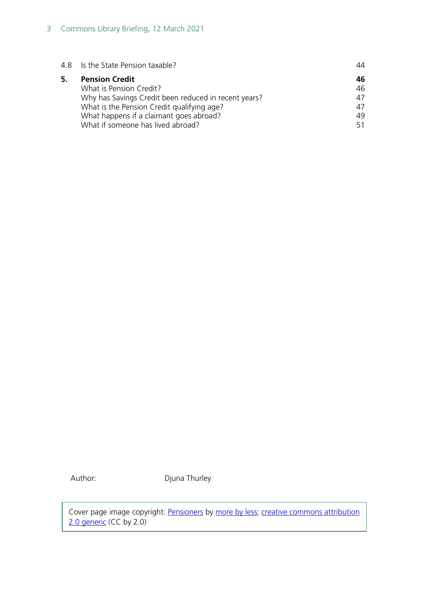| 4.8 Is the State Pension taxable?                                                                                                                                                                                                      | 44                                |
|----------------------------------------------------------------------------------------------------------------------------------------------------------------------------------------------------------------------------------------|-----------------------------------|
| <b>Pension Credit</b><br>What is Pension Credit?<br>Why has Savings Credit been reduced in recent years?<br>What is the Pension Credit qualifying age?<br>What happens if a claimant goes abroad?<br>What if someone has lived abroad? | 46.<br>46<br>47<br>47<br>49<br>51 |
|                                                                                                                                                                                                                                        |                                   |

Author: Djuna Thurley

Cover page image copyright: [Pensioners](https://www.flickr.com/photos/morebyless/15582324910/in/photolist-pJXujj) by [more by less;](https://www.flickr.com/photos/morebyless/) creative commons attribution [2.0 generic](https://creativecommons.org/licenses/by/2.0/) (CC by 2.0)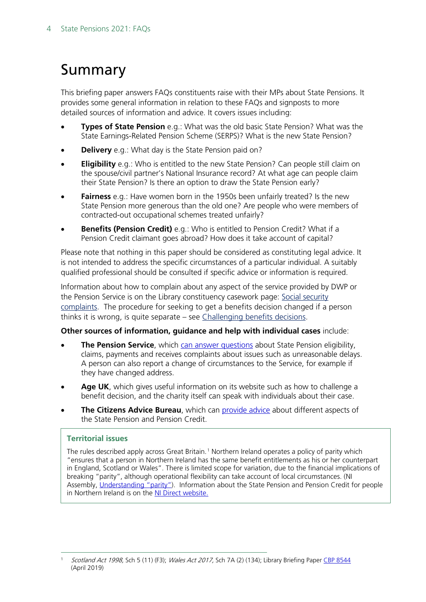# <span id="page-3-0"></span>Summary

This briefing paper answers FAQs constituents raise with their MPs about State Pensions. It provides some general information in relation to these FAQs and signposts to more detailed sources of information and advice. It covers issues including:

- **Types of State Pension** e.g.: What was the old basic State Pension? What was the State Earnings-Related Pension Scheme (SERPS)? What is the new State Pension?
- **Delivery** e.g.: What day is the State Pension paid on?
- **Eligibility** e.g.: Who is entitled to the new State Pension? Can people still claim on the spouse/civil partner's National Insurance record? At what age can people claim their State Pension? Is there an option to draw the State Pension early?
- **Fairness** e.g.: Have women born in the 1950s been unfairly treated? Is the new State Pension more generous than the old one? Are people who were members of contracted-out occupational schemes treated unfairly?
- **Benefits (Pension Credit)** e.g.: Who is entitled to Pension Credit? What if a Pension Credit claimant goes abroad? How does it take account of capital?

Please note that nothing in this paper should be considered as constituting legal advice. It is not intended to address the specific circumstances of a particular individual. A suitably qualified professional should be consulted if specific advice or information is required.

Information about how to complain about any aspect of the service provided by DWP or the Pension Service is on the Library constituency casework page: [Social security](https://commonslibrary.parliament.uk/constituency-casework/social-security-complaints/)  [complaints.](https://commonslibrary.parliament.uk/constituency-casework/social-security-complaints/) The procedure for seeking to get a benefits decision changed if a person thinks it is wrong, is quite separate – see [Challenging](https://commonslibrary.parliament.uk/?p=27629) benefits decisions.

## **Other sources of information, guidance and help with individual cases** include:

- **The Pension Service**, which [can answer questions](https://www.gov.uk/contact-pension-service) about State Pension eligibility, claims, payments and receives complaints about issues such as unreasonable delays. A person can also report a change of circumstances to the Service, for example if they have changed address.
- **Age UK**, which gives useful information on its website such as how to challenge a benefit decision, and the charity itself can speak with individuals about their case.
- **The Citizens Advice Bureau**, which can [provide advice](https://www.citizensadvice.org.uk/about-us/contact-us/contact-us/contact-us/) about different aspects of the State Pension and Pension Credit.

## **Territorial issues**

The rules described apply across Great Britain.<sup>[1](#page-3-1)</sup> Northern Ireland operates a policy of parity which "ensures that a person in Northern Ireland has the same benefit entitlements as his or her counterpart in England, Scotland or Wales". There is limited scope for variation, due to the financial implications of breaking "parity", although operational flexibility can take account of local circumstances. (NI Assembly, [Understanding "parity"\)](http://www.niassembly.gov.uk/globalassets/Documents/Social-Dev/Urban-Regen/DSD_Briefing_Paper_parity.pdf). Information about the State Pension and Pension Credit for people in Northern Ireland is on the [NI Direct website.](https://www.nidirect.gov.uk/campaigns/state-pension)

<span id="page-3-1"></span>Scotland Act 1998, Sch 5 (11) (F3); Wales Act 2017, Sch 7A (2) (134); Library Briefing Pape[r CBP 8544](https://researchbriefings.parliament.uk/ResearchBriefing/Summary/CBP-8544) (April 2019)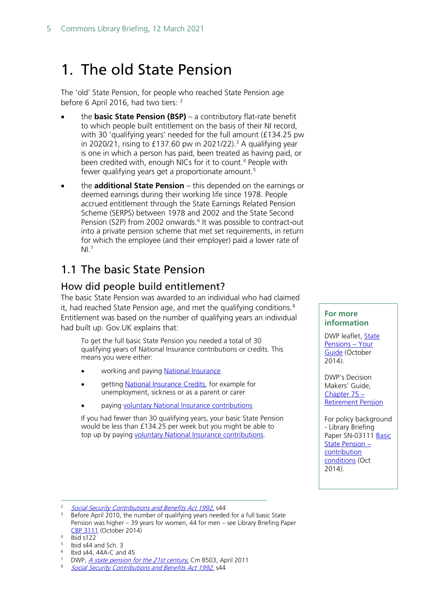# <span id="page-4-0"></span>1. The old State Pension

The 'old' State Pension, for people who reached State Pension age before 6 April [2](#page-4-3)016, had two tiers: <sup>2</sup>

- the **basic State Pension (BSP)** a contributory flat-rate benefit to which people built entitlement on the basis of their NI record, with 30 'qualifying years' needed for the full amount (£134.25 pw in 2020/21, rising to £1[3](#page-4-4)7.60 pw in 2021/22).<sup>3</sup> A qualifying year is one in which a person has paid, been treated as having paid, or been credited with, enough NICs for it to count.<sup>[4](#page-4-5)</sup> People with fewer qualifying years get a proportionate amount.<sup>[5](#page-4-6)</sup>
- the **additional State Pension** this depended on the earnings or deemed earnings during their working life since 1978. People accrued entitlement through the State Earnings Related Pension Scheme (SERPS) between 1978 and 2002 and the State Second Pension (S2P) from 2002 onwards.<sup>[6](#page-4-7)</sup> It was possible to contract-out into a private pension scheme that met set requirements, in return for which the employee (and their employer) paid a lower rate of  $NI<sup>7</sup>$  $NI<sup>7</sup>$  $NI<sup>7</sup>$

# <span id="page-4-1"></span>1.1 The basic State Pension

## <span id="page-4-2"></span>How did people build entitlement?

The basic State Pension was awarded to an individual who had claimed it, had reached State Pension age, and met the qualifying conditions.<sup>[8](#page-4-9)</sup> Entitlement was based on the number of qualifying years an individual had built up. Gov.UK explains that:

To get the full basic State Pension you needed a total of 30 qualifying years of National Insurance contributions or credits. This means you were either:

- working and paying [National Insurance](https://www.gov.uk/national-insurance)
- getting [National Insurance Credits,](https://www.gov.uk/national-insurance-credits) for example for unemployment, sickness or as a parent or carer
- paying [voluntary National Insurance contributions](https://www.gov.uk/voluntary-national-insurance-contributions)

If you had fewer than 30 qualifying years, your basic State Pension would be less than £134.25 per week but you might be able to top up by paying [voluntary National Insurance contributions.](https://www.gov.uk/voluntary-national-insurance-contributions/why-pay-voluntary-contributions)

#### **For more information**

DWP leaflet, State [Pensions –](https://www.gov.uk/government/uploads/system/uploads/attachment_data/file/372563/dwp026-state-pension.pdf) Your [Guide](https://www.gov.uk/government/uploads/system/uploads/attachment_data/file/372563/dwp026-state-pension.pdf) (October 2014).

DWP's Decision Makers' Guide, [Chapter 75 –](https://www.gov.uk/government/uploads/system/uploads/attachment_data/file/411147/dmgch75.pd) [Retirement Pension](https://www.gov.uk/government/uploads/system/uploads/attachment_data/file/411147/dmgch75.pd)

For policy background - Library Briefing Paper SN-03111 [Basic](http://researchbriefings.parliament.uk/ResearchBriefing/Summary/SN03111)  [State Pension –](http://researchbriefings.parliament.uk/ResearchBriefing/Summary/SN03111) [contribution](http://researchbriefings.parliament.uk/ResearchBriefing/Summary/SN03111)  [conditions](http://researchbriefings.parliament.uk/ResearchBriefing/Summary/SN03111) (Oct 2014).

<span id="page-4-3"></span><sup>&</sup>lt;sup>2</sup> [Social Security Contributions and Benefits Act 1992,](http://lawvolumes.dwp.gov.uk/docs/a2-2501.pdf#page=66) s44

<span id="page-4-4"></span><sup>&</sup>lt;sup>3</sup> Before April 2010, the number of qualifying years needed for a full basic State Pension was higher – 39 years for women, 44 for men – see Library Briefing Paper [CBP 3111](https://commonslibrary.parliament.uk/research-briefings/sn03111/) (October 2014)

<span id="page-4-5"></span> $4 \overline{1}$  Ibid s122

<span id="page-4-6"></span><sup>5</sup> Ibid s44 and Sch. 3

<span id="page-4-7"></span> $6$  Ibid s44, 44A-C and 45

<span id="page-4-9"></span><span id="page-4-8"></span><sup>&</sup>lt;sup>7</sup> DWP, *A state pension for the 21st century*, Cm 8503, April 2011<br><sup>8</sup> Social Security Contributions and Penefits Act 1992 s 44

<sup>8</sup> [Social Security Contributions and Benefits Act 1992](http://www.legislation.gov.uk/ukpga/1992/4), s44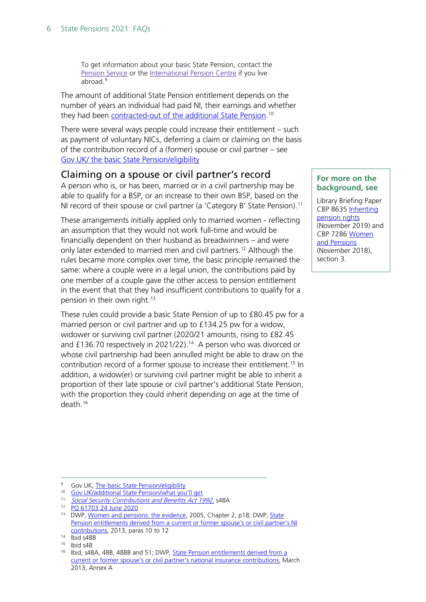To get information about your basic State Pension, contact the [Pension](https://www.gov.uk/contact-pension-service) Service or the [International](https://www.gov.uk/international-pension-centre) Pension Centre if you live abroad. [9](#page-5-1)

The amount of additional State Pension entitlement depends on the number of years an individual had paid NI, their earnings and whether they had been <u>contracted-out of the additional State Pension</u>.<sup>[10](#page-5-2)</sup>

There were several ways people could increase their entitlement – such as payment of voluntary NICs, deferring a claim or claiming on the basis of the contribution record of a (former) spouse or civil partner – see [Gov.UK/ the basic State Pension/eligibility](https://www.gov.uk/state-pension/increase-the-amount-youll-get)

## Claiming on a spouse or civil partner's record

<span id="page-5-0"></span>A person who is, or has been, married or in a civil partnership may be able to qualify for a BSP, or an increase to their own BSP, based on the NI record of their spouse or civil partner (a 'Category B' State Pension).<sup>[11](#page-5-3)</sup>

These arrangements initially applied only to married women - reflecting an assumption that they would not work full-time and would be financially dependent on their husband as breadwinners – and were only later extended to married men and civil partners.<sup>[12](#page-5-4)</sup> Although the rules became more complex over time, the basic principle remained the same: where a couple were in a legal union, the contributions paid by one member of a couple gave the other access to pension entitlement in the event that that they had insufficient contributions to qualify for a pension in their own right.<sup>[13](#page-5-5)</sup>

These rules could provide a basic State Pension of up to £80.45 pw for a married person or civil partner and up to £134.25 pw for a widow, widower or surviving civil partner (2020/21 amounts, rising to £82.45 and £136.70 respectively in 2021/22).<sup>14</sup> A person who was divorced or whose civil partnership had been annulled might be able to draw on the contribution record of a former spouse to increase their entitlement.<sup>[15](#page-5-7)</sup> In addition, a widow(er) or surviving civil partner might be able to inherit a proportion of their late spouse or civil partner's additional State Pension, with the proportion they could inherit depending on age at the time of death  $16$ 

#### **For more on the background, see**

Library Briefing Paper CBP 8635 [Inheriting](https://commonslibrary.parliament.uk/research-briefings/cbp-8635/)  [pension rights](https://commonslibrary.parliament.uk/research-briefings/cbp-8635/) (November 2019) and CBP 7286 [Women](https://commonslibrary.parliament.uk/research-briefings/cbp-7286/)  [and Pensions](https://commonslibrary.parliament.uk/research-briefings/cbp-7286/) (November 2018), section 3.

<span id="page-5-2"></span><span id="page-5-1"></span><sup>&</sup>lt;sup>9</sup> Gov.UK, [The basic State Pension/eligibility](https://www.gov.uk/state-pension/eligibility)

<sup>10</sup> [Gov.UK/additional State Pension/what you'll get](https://www.gov.uk/additional-state-pension/what-youll-get)

<span id="page-5-3"></span><sup>11</sup> [Social Security Contributions and Benefits Act 1992,](http://lawvolumes.dwp.gov.uk/docs/a2-2501.pdf#page=76) s48A

<sup>12</sup> [PQ 61703 24 June 2020](https://www.parliament.uk/written-questions-answers-statements/written-question/commons/2020-06-19/61703)

<span id="page-5-5"></span><span id="page-5-4"></span><sup>&</sup>lt;sup>13</sup> DWP[, Women and pensions: the evidence,](http://www.webarchive.org.uk/wayback/archive/20100321074054/http:/www.dwp.gov.uk/docs/women-pensions.pdf) 2005, Chapter 2, p18; DWP, State Pension entitlements derived from a current or former spouse's or civil partner's NI [contributions,](https://webarchive.nationalarchives.gov.uk/20130505070614/https:/www.gov.uk/government/uploads/system/uploads/attachment_data/file/181235/derived-inherited-entitlement.pdf#page=23) 2013, paras 10 to 12

<span id="page-5-6"></span><sup>14</sup> Ibid s48B

<span id="page-5-7"></span><sup>15</sup> Ibid s48

<span id="page-5-8"></span><sup>16</sup> Ibid, s48A, 48B, 48BB and 51; DWP, [State Pension entitlements derived from a](https://www.gov.uk/government/uploads/system/uploads/attachment_data/file/181235/derived-inherited-entitlement.pdf)  [current or former spouse's or civil partner's national insurance contributions,](https://www.gov.uk/government/uploads/system/uploads/attachment_data/file/181235/derived-inherited-entitlement.pdf) March 2013, Annex A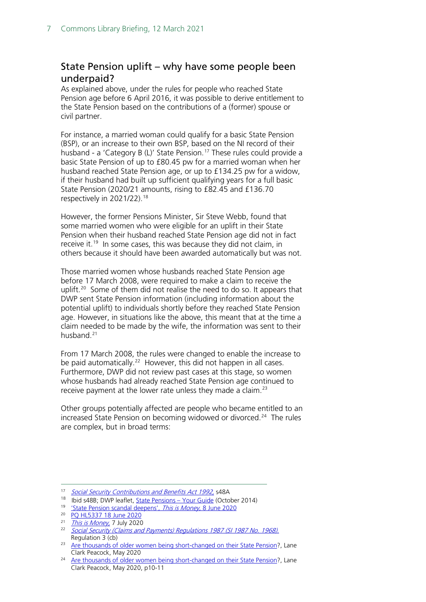## <span id="page-6-0"></span>State Pension uplift – why have some people been underpaid?

As explained above, under the rules for people who reached State Pension age before 6 April 2016, it was possible to derive entitlement to the State Pension based on the contributions of a (former) spouse or civil partner.

For instance, a married woman could qualify for a basic State Pension (BSP), or an increase to their own BSP, based on the NI record of their husband - a 'Category B (L)' State Pension.<sup>[17](#page-6-1)</sup> These rules could provide a basic State Pension of up to £80.45 pw for a married woman when her husband reached State Pension age, or up to £134.25 pw for a widow, if their husband had built up sufficient qualifying years for a full basic State Pension (2020/21 amounts, rising to £82.45 and £136.70 respectively in 2021/22).[18](#page-6-2)

However, the former Pensions Minister, Sir Steve Webb, found that some married women who were eligible for an uplift in their State Pension when their husband reached State Pension age did not in fact receive it. [19](#page-6-3) In some cases, this was because they did not claim, in others because it should have been awarded automatically but was not.

Those married women whose husbands reached State Pension age before 17 March 2008, were required to make a claim to receive the uplift.<sup>[20](#page-6-4)</sup> Some of them did not realise the need to do so. It appears that DWP sent State Pension information (including information about the potential uplift) to individuals shortly before they reached State Pension age. However, in situations like the above, this meant that at the time a claim needed to be made by the wife, the information was sent to their husband.[21](#page-6-5)

From 17 March 2008, the rules were changed to enable the increase to be paid automatically.<sup>[22](#page-6-6)</sup> However, this did not happen in all cases. Furthermore, DWP did not review past cases at this stage, so women whose husbands had already reached State Pension age continued to receive payment at the lower rate unless they made a claim.<sup>[23](#page-6-7)</sup>

Other groups potentially affected are people who became entitled to an increased State Pension on becoming widowed or divorced.<sup>24</sup> The rules are complex, but in broad terms:

<span id="page-6-2"></span><span id="page-6-1"></span><sup>&</sup>lt;sup>17</sup> [Social Security Contributions and Benefits Act 1992,](http://lawvolumes.dwp.gov.uk/docs/a2-2501.pdf#page=76) s48A

<sup>18</sup> Ibid s48B; DWP leaflet, [State Pensions –](https://www.gov.uk/government/uploads/system/uploads/attachment_data/file/372563/dwp026-state-pension.pdf#page=25) Your Guide (October 2014)

<sup>19</sup> ['State Pension scandal deepens',](https://www.thisismoney.co.uk/money/pensions/article-8392201/State-pension-scandal-deepens-NINE-women-payouts.html) This is Money, 8 June 2020

<span id="page-6-4"></span><span id="page-6-3"></span><sup>20</sup> [PQ HL5337 18 June 2020](https://www.parliament.uk/written-questions-answers-statements/written-question/lords/2020-06-08/HL5337)

<span id="page-6-6"></span><span id="page-6-5"></span> $\frac{21}{22}$  [This is Money,](https://www.thisismoney.co.uk/money/pensions/article-8498851/Women-missing-pension-cash-key-letters-sent-HUSBANDS.html) 7 July 2020

Social Security (Claims and Payments) Regulations 1987 (SI 1987 No. 1968). Regulation 3 (cb)

<span id="page-6-7"></span><sup>&</sup>lt;sup>23</sup> [Are thousands of older women being short-changed on their State Pension?](https://insight.lcp.uk.com/acton/attachment/20628/f-3c1ebd8c-28e0-42e6-a15c-3892dff3988b/1/-/-/-/-/Are%20thousands%20of%20older%20women%20being%20short-changed%20on%20their%20state%20pension%3F.pdf), Lane Clark Peacock, May 2020

<span id="page-6-8"></span><sup>&</sup>lt;sup>24</sup> [Are thousands of older women being short-changed on their State Pension?](https://insight.lcp.uk.com/acton/attachment/20628/f-3c1ebd8c-28e0-42e6-a15c-3892dff3988b/1/-/-/-/-/Are%20thousands%20of%20older%20women%20being%20short-changed%20on%20their%20state%20pension%3F.pdf), Lane Clark Peacock, May 2020, p10-11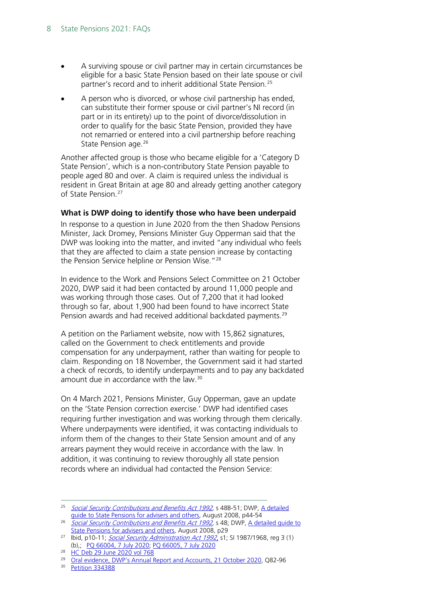- A surviving spouse or civil partner may in certain circumstances be eligible for a basic State Pension based on their late spouse or civil partner's record and to inherit additional State Pension.<sup>[25](#page-7-0)</sup>
- A person who is divorced, or whose civil partnership has ended, can substitute their former spouse or civil partner's NI record (in part or in its entirety) up to the point of divorce/dissolution in order to qualify for the basic State Pension, provided they have not remarried or entered into a civil partnership before reaching State Pension age.<sup>[26](#page-7-1)</sup>

Another affected group is those who became eligible for a 'Category D State Pension', which is a non-contributory State Pension payable to people aged 80 and over. A claim is required unless the individual is resident in Great Britain at age 80 and already getting another category of State Pension.<sup>[27](#page-7-2)</sup>

### **What is DWP doing to identify those who have been underpaid**

In response to a question in June 2020 from the then Shadow Pensions Minister, Jack Dromey, Pensions Minister Guy Opperman said that the DWP was looking into the matter, and invited "any individual who feels that they are affected to claim a state pension increase by contacting the Pension Service helpline or Pension Wise."[28](#page-7-3)

In evidence to the Work and Pensions Select Committee on 21 October 2020, DWP said it had been contacted by around 11,000 people and was working through those cases. Out of 7,200 that it had looked through so far, about 1,900 had been found to have incorrect State Pension awards and had received additional backdated payments.<sup>[29](#page-7-4)</sup>

A petition on the Parliament website, now with 15,862 signatures, called on the Government to check entitlements and provide compensation for any underpayment, rather than waiting for people to claim. Responding on 18 November, the Government said it had started a check of records, to identify underpayments and to pay any backdated amount due in accordance with the law. [30](#page-7-5)

On 4 March 2021, Pensions Minister, Guy Opperman, gave an update on the 'State Pension correction exercise.' DWP had identified cases requiring further investigation and was working through them clerically. Where underpayments were identified, it was contacting individuals to inform them of the changes to their State Sension amount and of any arrears payment they would receive in accordance with the law. In addition, it was continuing to review thoroughly all state pension records where an individual had contacted the Pension Service:

<span id="page-7-3"></span><sup>28</sup> [HC Deb 29 June 2020 vol 768](https://hansard.parliament.uk/Commons/2020-06-29/debates/CF754577-BA06-4EB4-A48D-C9784A55BE9D/WomenStatePensionUplift#contribution-4312DC89-2826-4F55-BC2E-41A61B06BF9B)

<span id="page-7-0"></span><sup>&</sup>lt;sup>25</sup> [Social Security Contributions and Benefits Act 1992,](http://web.archive.org/web/20131211105618/http:/www.dwp.gov.uk/docs/a2-2501.pdf#page=76) s 48B-51; DWP, A detailed [guide to State Pensions for advisers and others,](https://www.taxation.co.uk/docs/default-source/file/np46-guide-to-state-pensions.pdf#page=44) August 2008, p44-54

<span id="page-7-1"></span><sup>&</sup>lt;sup>26</sup> Social Security Contributions and Benefits Act 1992</u>, s 48; DWP, A detailed guide to [State Pensions for advisers and others,](https://www.taxation.co.uk/docs/default-source/file/np46-guide-to-state-pensions.pdf#page=44) August 2008, p29

<span id="page-7-2"></span><sup>&</sup>lt;sup>27</sup> Ibid, p10-11; *[Social Security Administration Act 1992](https://www.legislation.gov.uk/ukpga/1992/5/contents)*, s1; SI 1987/1968, reg 3 (1) (b),; [PQ 66004, 7 July 2020;](https://questions-statements.parliament.uk/written-questions/detail/2020-06-29/66004) [PQ 66005, 7 July 2020](https://questions-statements.parliament.uk/written-questions/detail/2020-06-29/66005)

<span id="page-7-5"></span><span id="page-7-4"></span><sup>&</sup>lt;sup>29</sup> [Oral evidence, DWP's Annual Report and Accounts, 21 October 2020,](https://committees.parliament.uk/oralevidence/1093/html/) Q82-96

<sup>30</sup> [Petition 334388](https://petition.parliament.uk/petitions/334388)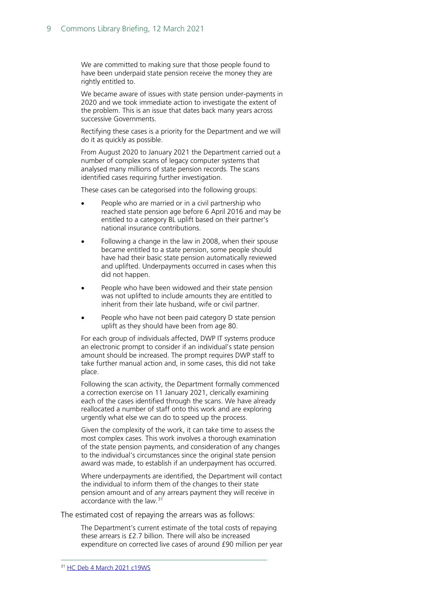We are committed to making sure that those people found to have been underpaid state pension receive the money they are rightly entitled to.

We became aware of issues with state pension under-payments in 2020 and we took immediate action to investigate the extent of the problem. This is an issue that dates back many years across successive Governments.

Rectifying these cases is a priority for the Department and we will do it as quickly as possible.

From August 2020 to January 2021 the Department carried out a number of complex scans of legacy computer systems that analysed many millions of state pension records. The scans identified cases requiring further investigation.

These cases can be categorised into the following groups:

- People who are married or in a civil partnership who reached state pension age before 6 April 2016 and may be entitled to a category BL uplift based on their partner's national insurance contributions.
- Following a change in the law in 2008, when their spouse became entitled to a state pension, some people should have had their basic state pension automatically reviewed and uplifted. Underpayments occurred in cases when this did not happen.
- People who have been widowed and their state pension was not uplifted to include amounts they are entitled to inherit from their late husband, wife or civil partner.
- People who have not been paid category D state pension uplift as they should have been from age 80.

For each group of individuals affected, DWP IT systems produce an electronic prompt to consider if an individual's state pension amount should be increased. The prompt requires DWP staff to take further manual action and, in some cases, this did not take place.

Following the scan activity, the Department formally commenced a correction exercise on 11 January 2021, clerically examining each of the cases identified through the scans. We have already reallocated a number of staff onto this work and are exploring urgently what else we can do to speed up the process.

Given the complexity of the work, it can take time to assess the most complex cases. This work involves a thorough examination of the state pension payments, and consideration of any changes to the individual's circumstances since the original state pension award was made, to establish if an underpayment has occurred.

Where underpayments are identified, the Department will contact the individual to inform them of the changes to their state pension amount and of any arrears payment they will receive in accordance with the law.<sup>[31](#page-8-0)</sup>

<span id="page-8-0"></span>The estimated cost of repaying the arrears was as follows:

The Department's current estimate of the total costs of repaying these arrears is £2.7 billion. There will also be increased expenditure on corrected live cases of around £90 million per year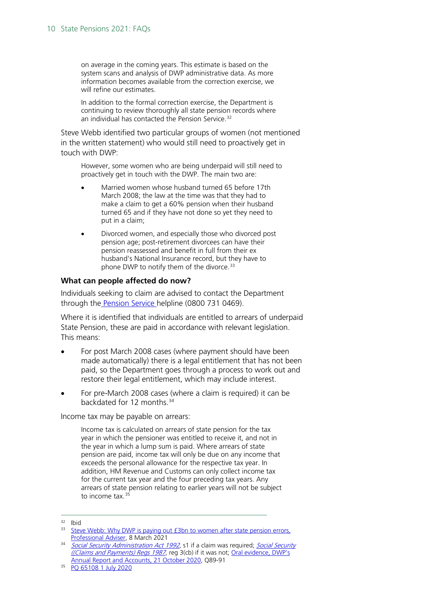on average in the coming years. This estimate is based on the system scans and analysis of DWP administrative data. As more information becomes available from the correction exercise, we will refine our estimates.

In addition to the formal correction exercise, the Department is continuing to review thoroughly all state pension records where an individual has contacted the Pension Service.<sup>[32](#page-9-0)</sup>

Steve Webb identified two particular groups of women (not mentioned in the written statement) who would still need to proactively get in touch with DWP:

However, some women who are being underpaid will still need to proactively get in touch with the DWP. The main two are:

- Married women whose husband turned 65 before 17th March 2008; the law at the time was that they had to make a claim to get a 60% pension when their husband turned 65 and if they have not done so yet they need to put in a claim;
- Divorced women, and especially those who divorced post pension age; post-retirement divorcees can have their pension reassessed and benefit in full from their ex husband's National Insurance record, but they have to phone DWP to notify them of the divorce.<sup>[33](#page-9-1)</sup>

#### **What can people affected do now?**

Individuals seeking to claim are advised to contact the Department through the **Pension Service** helpline (0800 731 0469).

Where it is identified that individuals are entitled to arrears of underpaid State Pension, these are paid in accordance with relevant legislation. This means:

- For post March 2008 cases (where payment should have been made automatically) there is a legal entitlement that has not been paid, so the Department goes through a process to work out and restore their legal entitlement, which may include interest.
- For pre-March 2008 cases (where a claim is required) it can be backdated for 12 months.<sup>[34](#page-9-2)</sup>

Income tax may be payable on arrears:

Income tax is calculated on arrears of state pension for the tax year in which the pensioner was entitled to receive it, and not in the year in which a lump sum is paid. Where arrears of state pension are paid, income tax will only be due on any income that exceeds the personal allowance for the respective tax year. In addition, HM Revenue and Customs can only collect income tax for the current tax year and the four preceding tax years. Any arrears of state pension relating to earlier years will not be subject to income tax.  $35$ 

<span id="page-9-0"></span><sup>32</sup> Ibid

<span id="page-9-1"></span><sup>&</sup>lt;sup>33</sup> Steve Webb: Why DWP is paying out £3bn to women after state pension errors, [Professional Adviser,](https://www.professionaladviser.com/opinion/4028174/steve-webb-dwp-paying-gbp3bn-women-pension-errors) 8 March 2021

<span id="page-9-2"></span><sup>&</sup>lt;sup>34</sup> [Social Security Administration Act 1992](https://www.legislation.gov.uk/ukpga/1992/5/contents), s1 if a claim was required; Social Security [\(\(Claims and Payments\) Regs 1987](https://www.legislation.gov.uk/uksi/1987/1968/contents), reg 3(cb) if it was not; [Oral evidence, DWP's](https://committees.parliament.uk/oralevidence/1093/html/)  [Annual Report and Accounts, 21 October 2020,](https://committees.parliament.uk/oralevidence/1093/html/) Q89-91

<span id="page-9-3"></span><sup>35</sup> [PQ 65108 1 July 2020](https://www.parliament.uk/written-questions-answers-statements/written-question/commons/2020-06-26/65108)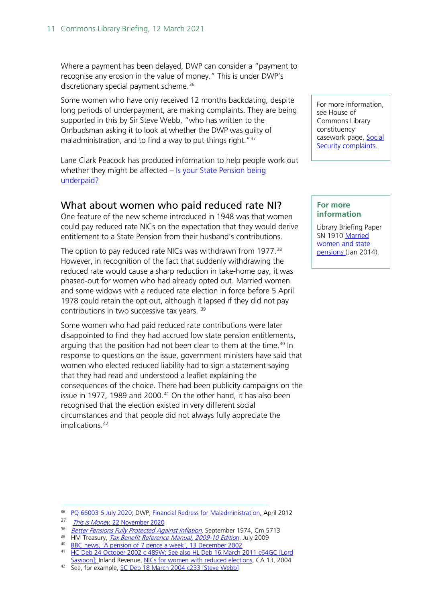Where a payment has been delayed, DWP can consider a "payment to recognise any erosion in the value of money." This is under DWP's discretionary special payment scheme.<sup>[36](#page-10-1)</sup>

Some women who have only received 12 months backdating, despite long periods of underpayment, are making complaints. They are being supported in this by Sir Steve Webb, "who has written to the Ombudsman asking it to look at whether the DWP was guilty of maladministration, and to find a way to put things right."<sup>[37](#page-10-2)</sup>

Lane Clark Peacock has produced information to help people work out whether they might be affected – [Is your State Pension being](https://pensionunderpaid.lcp.uk.com/)  [underpaid?](https://pensionunderpaid.lcp.uk.com/)

## <span id="page-10-0"></span>What about women who paid reduced rate NI?

One feature of the new scheme introduced in 1948 was that women could pay reduced rate NICs on the expectation that they would derive entitlement to a State Pension from their husband's contributions.

The option to pay reduced rate NICs was withdrawn from 1977. [38](#page-10-3) However, in recognition of the fact that suddenly withdrawing the reduced rate would cause a sharp reduction in take-home pay, it was phased-out for women who had already opted out. Married women and some widows with a reduced rate election in force before 5 April 1978 could retain the opt out, although it lapsed if they did not pay contributions in two successive tax years.<sup>[39](#page-10-4)</sup>

Some women who had paid reduced rate contributions were later disappointed to find they had accrued low state pension entitlements, arguing that the position had not been clear to them at the time. [40](#page-10-5) In response to questions on the issue, government ministers have said that women who elected reduced liability had to sign a statement saying that they had read and understood a leaflet explaining the consequences of the choice. There had been publicity campaigns on the issue in 1977, 1989 and 2000. $41$  On the other hand, it has also been recognised that the election existed in very different social circumstances and that people did not always fully appreciate the implications.<sup>[42](#page-10-7)</sup>

<span id="page-10-1"></span><sup>36</sup> [PQ 66003 6 July 2020;](https://www.parliament.uk/written-questions-answers-statements/written-question/commons/2020-06-29/66003) DWP, [Financial Redress for Maladministration,](https://assets.publishing.service.gov.uk/government/uploads/system/uploads/attachment_data/file/736194/financial-redress-for-maladministration-dwp-staff-guide.pdf#page=15) April 2012

```
 SC Deb 18 March 2004 c233 [Steve Webb]
```
For more information, see House of Commons Library constituency casework page, [Social](https://commonslibrary.parliament.uk/constituency-casework/social-security-complaints/)  [Security complaints.](https://commonslibrary.parliament.uk/constituency-casework/social-security-complaints/)

### **For more information**

Library Briefing Paper SN 1910 Married [women and state](http://www.parliament.uk/briefing-papers/SN01910)  [pensions \(](http://www.parliament.uk/briefing-papers/SN01910)Jan 2014).

<span id="page-10-3"></span><span id="page-10-2"></span><sup>&</sup>lt;sup>37</sup> *This is Money*[, 22 November 2020](https://www.thisismoney.co.uk/money/pensions/article-8969913/Hunt-women-underpaid-state-pension-begun-says-DWP.html)

<sup>&</sup>lt;sup>38</sup> *<u>Better Pensions Fully Protected Against Inflation</u>,* September 1974, Cm 5713

<sup>&</sup>lt;sup>39</sup> HM Treasury, <u>*[Tax Benefit Reference Manual, 2009-10 Editio](http://data.parliament.uk/DepositedPapers/files/DEP2009-1987/DEP2009-1987.pdf)*n</u>, July 2009

<span id="page-10-5"></span><span id="page-10-4"></span><sup>40</sup> [BBC news, 'A pension of 7 pence a week', 13 December 2002](http://news.bbc.co.uk/1/hi/business/2570039.stm)

<span id="page-10-6"></span><sup>41</sup> [HC Deb 24 October 2002 c 489W;](http://hansard.millbanksystems.com/written_answers/2002/oct/24/pensions-married-women) See also [HL Deb 16 March 2011 c64GC](http://www.publications.parliament.uk/pa/ld201011/ldhansrd/text/110316-gc0001.htm#110316114000101) [Lord Sassoon]; Inland Revenue, [NICs for women with reduced elections,](http://collections.europarchive.org/tna/20040722045141/http:/www.inlandrevenue.gov.uk/leaflets/ca13.pdf) CA 13, 2004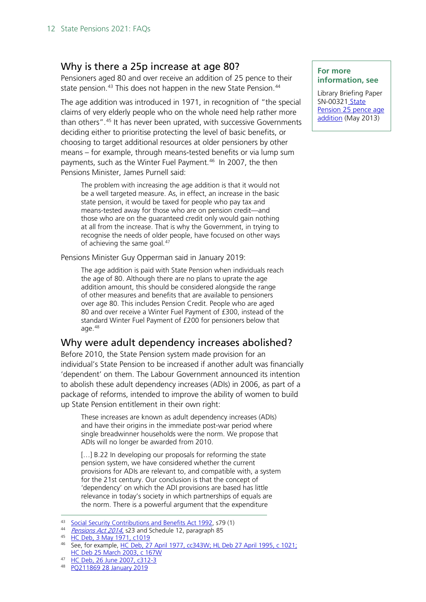## <span id="page-11-0"></span>Why is there a 25p increase at age 80?

Pensioners aged 80 and over receive an addition of 25 pence to their state pension.<sup>[43](#page-11-2)</sup> This does not happen in the new State Pension.<sup>[44](#page-11-3)</sup>

The age addition was introduced in 1971, in recognition of "the special claims of very elderly people who on the whole need help rather more than others".<sup>[45](#page-11-4)</sup> It has never been uprated, with successive Governments deciding either to prioritise protecting the level of basic benefits, or choosing to target additional resources at older pensioners by other means – for example, through means-tested benefits or via lump sum payments, such as the Winter Fuel Payment.<sup>[46](#page-11-5)</sup> In 2007, the then Pensions Minister, James Purnell said:

The problem with increasing the age addition is that it would not be a well targeted measure. As, in effect, an increase in the basic state pension, it would be taxed for people who pay tax and means-tested away for those who are on pension credit—and those who are on the guaranteed credit only would gain nothing at all from the increase. That is why the Government, in trying to recognise the needs of older people, have focused on other ways of achieving the same goal.<sup>[47](#page-11-6)</sup>

Pensions Minister Guy Opperman said in January 2019:

The age addition is paid with State Pension when individuals reach the age of 80. Although there are no plans to uprate the age addition amount, this should be considered alongside the range of other measures and benefits that are available to pensioners over age 80. This includes Pension Credit. People who are aged 80 and over receive a Winter Fuel Payment of £300, instead of the standard Winter Fuel Payment of £200 for pensioners below that age.[48](#page-11-7)

## <span id="page-11-1"></span>Why were adult dependency increases abolished?

Before 2010, the State Pension system made provision for an individual's State Pension to be increased if another adult was financially 'dependent' on them. The Labour Government announced its intention to abolish these adult dependency increases (ADIs) in 2006, as part of a package of reforms, intended to improve the ability of women to build up State Pension entitlement in their own right:

These increases are known as adult dependency increases (ADIs) and have their origins in the immediate post-war period where single breadwinner households were the norm. We propose that ADIs will no longer be awarded from 2010.

[...] B.22 In developing our proposals for reforming the state pension system, we have considered whether the current provisions for ADIs are relevant to, and compatible with, a system for the 21st century. Our conclusion is that the concept of 'dependency' on which the ADI provisions are based has little relevance in today's society in which partnerships of equals are the norm. There is a powerful argument that the expenditure

### <sup>48</sup> [PQ211869 28 January 2019](https://www.parliament.uk/written-questions-answers-statements/written-question/commons/2019-01-23/211869)

#### **For more information, see**

Library Briefing Paper SN-00321 [State](http://researchbriefings.parliament.uk/ResearchBriefing/Summary/SN00321)  [Pension 25 pence age](http://researchbriefings.parliament.uk/ResearchBriefing/Summary/SN00321)  [addition](http://researchbriefings.parliament.uk/ResearchBriefing/Summary/SN00321) (May 2013)

<span id="page-11-2"></span><sup>43</sup> [Social Security Contributions and Benefits Act 1992,](http://www.legislation.gov.uk/ukpga/1992/4) s79 (1)

<span id="page-11-3"></span><sup>44</sup> [Pensions Act 2014,](http://www.legislation.gov.uk/ukpga/2014/19/contents) s23 and Schedule 12, paragraph 85<br>45 HC Deb, 3 May 1971, c1019

<span id="page-11-4"></span>

<span id="page-11-5"></span><sup>46</sup> See, for example, [HC Deb, 27 April 1977, cc343W;](http://web.archive.org/web/20140820131116/http:/hansard.millbanksystems.com/written_answers/1977/apr/27/pensioners-allowance) [HL Deb 27 April 1995, c 1021;](http://web.archive.org/web/*/http:/hansard.millbanksystems.com/lords/1995/apr/27/pension-addition-for-over-80s) [HC Deb 25 March 2003, c 167W](http://www.publications.parliament.uk/pa/cm200203/cmhansrd/vo030325/text/30325w15.htm#30325w15.html_sbhd2)

<span id="page-11-7"></span><span id="page-11-6"></span><sup>47</sup> [HC Deb, 26 June 2007, c312-](http://www.publications.parliament.uk/pa/cm200607/cmhansrd/cm070626/debtext/70626-0026.htm#07062726000001)3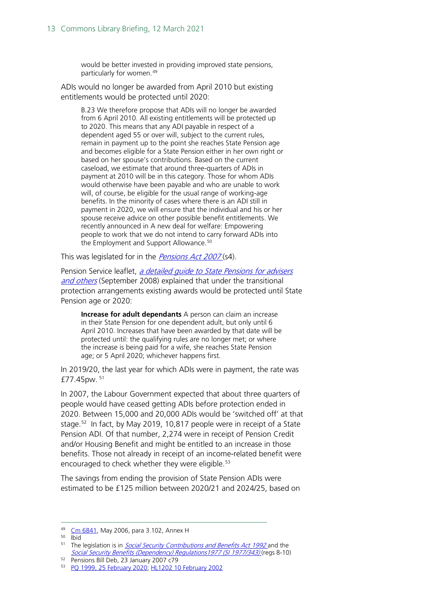would be better invested in providing improved state pensions, particularly for women.<sup>[49](#page-12-0)</sup>

ADIs would no longer be awarded from April 2010 but existing entitlements would be protected until 2020:

B.23 We therefore propose that ADIs will no longer be awarded from 6 April 2010. All existing entitlements will be protected up to 2020. This means that any ADI payable in respect of a dependent aged 55 or over will, subject to the current rules, remain in payment up to the point she reaches State Pension age and becomes eligible for a State Pension either in her own right or based on her spouse's contributions. Based on the current caseload, we estimate that around three-quarters of ADIs in payment at 2010 will be in this category. Those for whom ADIs would otherwise have been payable and who are unable to work will, of course, be eligible for the usual range of working-age benefits. In the minority of cases where there is an ADI still in payment in 2020, we will ensure that the individual and his or her spouse receive advice on other possible benefit entitlements. We recently announced in A new deal for welfare: Empowering people to work that we do not intend to carry forward ADIs into the Employment and Support Allowance.<sup>[50](#page-12-1)</sup>

This was legislated for in the *[Pensions Act 2007](http://www.legislation.gov.uk/ukpga/2007/22/contents)* (s4).

Pension Service leaflet, a detailed quide to State Pensions for advisers [and others](https://webarchive.nationalarchives.gov.uk/tna/20090410015806/http:/www.pensionservice.gov.uk/pdf/np46/np46sept08.pdf) (September 2008) explained that under the transitional protection arrangements existing awards would be protected until State Pension age or 2020:

**Increase for adult dependants** A person can claim an increase in their State Pension for one dependent adult, but only until 6 April 2010. Increases that have been awarded by that date will be protected until: the qualifying rules are no longer met; or where the increase is being paid for a wife, she reaches State Pension age; or 5 April 2020; whichever happens first.

In 2019/20, the last year for which ADIs were in payment, the rate was £77.45pw. [51](#page-12-2)

In 2007, the Labour Government expected that about three quarters of people would have ceased getting ADIs before protection ended in 2020. Between 15,000 and 20,000 ADIs would be 'switched off' at that stage.<sup>[52](#page-12-3)</sup> In fact, by May 2019, 10,817 people were in receipt of a State Pension ADI. Of that number, 2,274 were in receipt of Pension Credit and/or Housing Benefit and might be entitled to an increase in those benefits. Those not already in receipt of an income-related benefit were encouraged to check whether they were eligible. [53](#page-12-4)

The savings from ending the provision of State Pension ADIs were estimated to be £125 million between 2020/21 and 2024/25, based on

<span id="page-12-0"></span><sup>49</sup> [Cm 6841,](https://www.gov.uk/government/publications/security-in-retirement-towards-a-new-pensions-system) May 2006, para 3.102, Annex H

<span id="page-12-1"></span><sup>50</sup> Ibid

<span id="page-12-2"></span><sup>&</sup>lt;sup>51</sup> The legislation is in *Social Security Contributions and Benefits Act 1992* and the [Social Security Benefits \(Dependency\) Regulations1977 \(SI 1977/343\)](http://www.legislation.gov.uk/uksi/1977/343/contents) (regs 8-10)

<span id="page-12-4"></span><span id="page-12-3"></span><sup>52</sup> Pensions Bill Deb, 23 January 2007 c79

<sup>53</sup> [PQ 1999, 25 February 2020;](https://www.parliament.uk/written-questions-answers-statements/written-question/commons/2020-02-13/1999) [HL1202 10 February 2002](https://www.parliament.uk/written-questions-answers-statements/written-question/lords/2020-01-30/HL1202)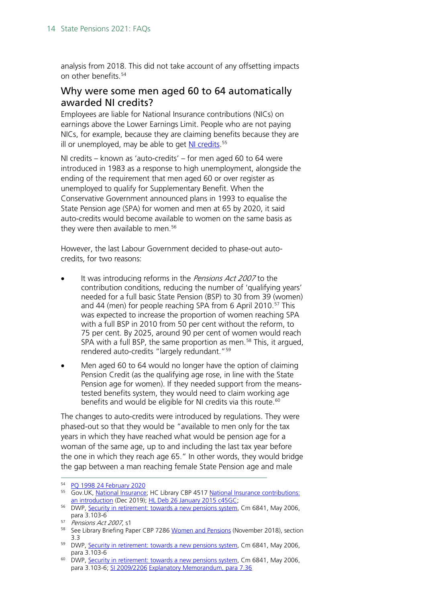analysis from 2018. This did not take account of any offsetting impacts on other benefits.<sup>[54](#page-13-1)</sup>

## <span id="page-13-0"></span>Why were some men aged 60 to 64 automatically awarded NI credits?

Employees are liable for National Insurance contributions (NICs) on earnings above the Lower Earnings Limit. People who are not paying NICs, for example, because they are claiming benefits because they are ill or unemployed, may be able to get <u>NI credits</u>.<sup>[55](#page-13-2)</sup>

NI credits – known as 'auto-credits' – for men aged 60 to 64 were introduced in 1983 as a response to high unemployment, alongside the ending of the requirement that men aged 60 or over register as unemployed to qualify for Supplementary Benefit. When the Conservative Government announced plans in 1993 to equalise the State Pension age (SPA) for women and men at 65 by 2020, it said auto-credits would become available to women on the same basis as they were then available to men.<sup>56</sup>

However, the last Labour Government decided to phase-out autocredits, for two reasons:

- It was introducing reforms in the Pensions Act 2007 to the contribution conditions, reducing the number of 'qualifying years' needed for a full basic State Pension (BSP) to 30 from 39 (women) and 44 (men) for people reaching SPA from 6 April 2010.<sup>[57](#page-13-4)</sup> This was expected to increase the proportion of women reaching SPA with a full BSP in 2010 from 50 per cent without the reform, to 75 per cent. By 2025, around 90 per cent of women would reach SPA with a full BSP, the same proportion as men.<sup>[58](#page-13-5)</sup> This, it argued, rendered auto-credits "largely redundant."[59](#page-13-6)
- Men aged 60 to 64 would no longer have the option of claiming Pension Credit (as the qualifying age rose, in line with the State Pension age for women). If they needed support from the meanstested benefits system, they would need to claim working age benefits and would be eligible for NI credits via this route.<sup>[60](#page-13-7)</sup>

The changes to auto-credits were introduced by regulations. They were phased-out so that they would be "available to men only for the tax years in which they have reached what would be pension age for a woman of the same age, up to and including the last tax year before the one in which they reach age 65." In other words, they would bridge the gap between a man reaching female State Pension age and male

<span id="page-13-1"></span><sup>54</sup> [PQ 1998 24 February 2020](https://www.parliament.uk/written-questions-answers-statements/written-question/commons/2020-02-13/1998)

<span id="page-13-2"></span><sup>55</sup> Gov.UK, [National Insurance;](https://www.gov.uk/national-insurance) HC Library CBP 4517 [National Insurance contributions:](https://commonslibrary.parliament.uk/research-briefings/sn04517/)  an introduction [\(](https://commonslibrary.parliament.uk/research-briefings/sn04517/)Dec 2019); [HL Deb 26 January 2015 c45GC;](https://publications.parliament.uk/pa/ld201415/ldhansrd/lhan92.pdf#page=81) 56 DWP, [Security in retirement: towards a new pensions system,](https://assets.publishing.service.gov.uk/government/uploads/system/uploads/attachment_data/file/272299/6841.pdf#page=134) Cm 6841, May 2006,

<span id="page-13-3"></span>para 3.103-6

<span id="page-13-4"></span><sup>&</sup>lt;sup>57</sup> *Pensions Act 2007*, s1

<span id="page-13-5"></span><sup>&</sup>lt;sup>58</sup> See Library Briefing Paper CBP 7286 [Women and Pensions](https://researchbriefings.parliament.uk/ResearchBriefing/Summary/CBP-7286) (November 2018), section 3.3

<span id="page-13-6"></span><sup>&</sup>lt;sup>59</sup> DWP, [Security in retirement: towards a new pensions system,](https://www.gov.uk/government/publications/security-in-retirement-towards-a-new-pensions-system) Cm 6841, May 2006, para 3.103-6

<span id="page-13-7"></span><sup>&</sup>lt;sup>60</sup> DWP, [Security in retirement: towards a new pensions system,](https://www.gov.uk/government/publications/security-in-retirement-towards-a-new-pensions-system) Cm 6841, May 2006, para 3.103-6; [SI 2009/2206](http://www.legislation.gov.uk/uksi/2009/2206/contents/made) [Explanatory Memorandum,](http://www.legislation.gov.uk/uksi/2009/2206/pdfs/uksiem_20092206_en.pdf) para 7.36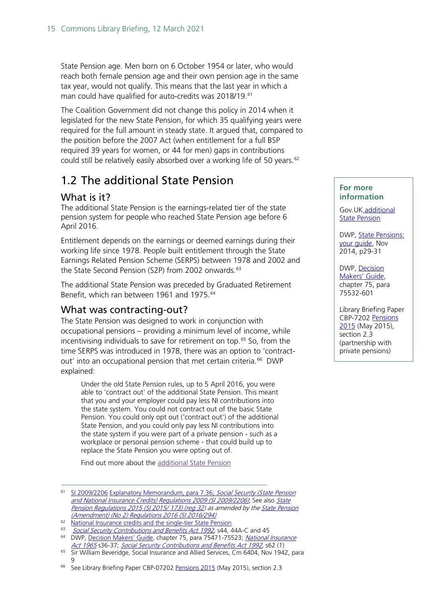State Pension age. Men born on 6 October 1954 or later, who would reach both female pension age and their own pension age in the same tax year, would not qualify. This means that the last year in which a man could have qualified for auto-credits was 2018/19.<sup>[61](#page-14-2)</sup>

The Coalition Government did not change this policy in 2014 when it legislated for the new State Pension, for which 35 qualifying years were required for the full amount in steady state. It argued that, compared to the position before the 2007 Act (when entitlement for a full BSP required 39 years for women, or 44 for men) gaps in contributions could still be relatively easily absorbed over a working life of 50 years.<sup>[62](#page-14-3)</sup>

# 1.2 The additional State Pension

## <span id="page-14-0"></span>What is it?

The additional State Pension is the earnings-related tier of the state pension system for people who reached State Pension age before 6 April 2016.

Entitlement depends on the earnings or deemed earnings during their working life since 1978. People built entitlement through the State Earnings Related Pension Scheme (SERPS) between 1978 and 2002 and the State Second Pension (S2P) from 2002 onwards.<sup>[63](#page-14-4)</sup>

The additional State Pension was preceded by Graduated Retirement Benefit, which ran between 1961 and 1975.<sup>[64](#page-14-5)</sup>

## <span id="page-14-1"></span>What was contracting-out?

The State Pension was designed to work in conjunction with occupational pensions – providing a minimum level of income, while incentivising individuals to save for retirement on top.<sup>[65](#page-14-6)</sup> So, from the time SERPS was introduced in 1978, there was an option to 'contractout' into an occupational pension that met certain criteria.<sup>66</sup> DWP explained:

Under the old State Pension rules, up to 5 April 2016, you were able to 'contract out' of the additional State Pension. This meant that you and your employer could pay less NI contributions into the state system. You could not contract out of the basic State Pension. You could only opt out ('contract out') of the additional State Pension, and you could only pay less NI contributions into the state system if you were part of a private pension - such as a workplace or personal pension scheme - that could build up to replace the State Pension you were opting out of.

Find out more about the [additional](https://www.gov.uk/additional-state-pension) State Pension

### **For more information**

Gov.UK [additional](https://www.gov.uk/additional-state-pension)  **[State Pension](https://www.gov.uk/additional-state-pension)** 

DWP, [State Pensions:](https://www.gov.uk/government/publications/state-pensions-leaflet)  [your guide,](https://www.gov.uk/government/publications/state-pensions-leaflet) Nov 2014, p29-31

DWP, [Decision](https://www.gov.uk/government/publications/new-state-pension-if-youve-been-contracted-out-of-additional-state-pension)  [Makers' Guide,](https://www.gov.uk/government/publications/new-state-pension-if-youve-been-contracted-out-of-additional-state-pension) chapter 75, para 75532-601

Library Briefing Paper CBP-7202 [Pensions](http://researchbriefings.parliament.uk/ResearchBriefing/Summary/CBP-7202)  [2015](http://researchbriefings.parliament.uk/ResearchBriefing/Summary/CBP-7202) (May 2015), section 2.3 (partnership with private pensions)

<span id="page-14-2"></span><sup>&</sup>lt;sup>61</sup> [SI 2009/2206](http://www.legislation.gov.uk/uksi/2009/2206/contents/made) [Explanatory Memorandum,](http://www.legislation.gov.uk/uksi/2009/2206/pdfs/uksiem_20092206_en.pdf) para 7.36; Social Security (State Pension [and National Insurance Credits\) Regulations 2009 \(SI 2009/2206\)](http://www.legislation.gov.uk/uksi/2009/2206/contents/made); See also State [Pension Regulations 2015 \(SI 2015/ 173\) \(reg 32\)](https://www.legislation.gov.uk/uksi/2015/173/regulation/32) as amended by the State Pension [\(Amendment\) \(No 2\) Regulations 2016 \(SI 2016/294\)](https://www.legislation.gov.uk/uksi/2016/240/memorandum/contents)

<span id="page-14-3"></span><sup>&</sup>lt;sup>62</sup> [National Insurance credits and the single-tier State Pension](https://assets.publishing.service.gov.uk/government/uploads/system/uploads/attachment_data/file/209123/national-insurance-single-tier-note.pdf)<br> $\frac{63}{20}$  Social Society Contributions and Bongfits Act 1992 s AL

[Social Security Contributions and Benefits Act 1992,](http://www.legislation.gov.uk/ukpga/1992/4) s44, 44A-C and 45

<span id="page-14-5"></span><span id="page-14-4"></span><sup>64</sup> DWP, [Decision Makers' Guide,](https://www.gov.uk/government/publications/decision-makers-guide-vol-12-widows-benefit-and-retirement-pension-staff-guide) chapter 75, para 75471-75523; National Insurance [Act 1965](http://www.legislation.gov.uk/ukpga/1965/51/contents) s36-37; [Social Security Contributions and Benefits Act 1992](http://www.legislation.gov.uk/ukpga/1992/4), s62 (1)

<span id="page-14-6"></span><sup>&</sup>lt;sup>65</sup> Sir William Beveridge, Social Insurance and Allied Services, Cm 6404, Nov 1942, para 9

<span id="page-14-7"></span><sup>66</sup> See Library Briefing Paper CBP-07202 [Pensions 2015](http://researchbriefings.parliament.uk/ResearchBriefing/Summary/CBP-7202) (May 2015), section 2.3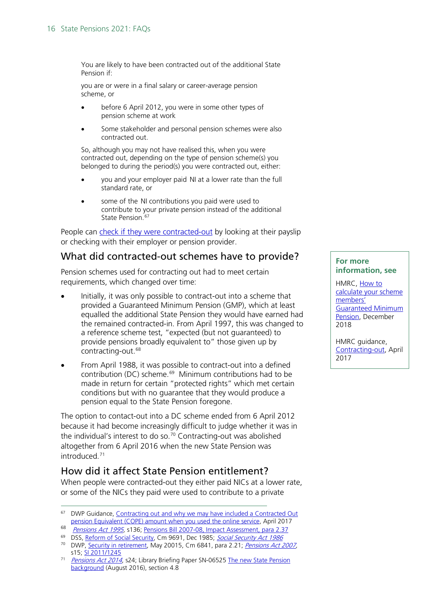You are likely to have been contracted out of the additional State Pension if:

you are or were in a final salary or career-average pension scheme, or

- before 6 April 2012, you were in some other types of pension scheme at work
- Some stakeholder and personal pension schemes were also contracted out.

So, although you may not have realised this, when you were contracted out, depending on the type of pension scheme(s) you belonged to during the period(s) you were contracted out, either:

- you and your employer paid NI at a lower rate than the full standard rate, or
- some of the NI contributions you paid were used to contribute to your private pension instead of the additional State Pension.<sup>[67](#page-15-1)</sup>

People can [check if they were contracted-out](https://www.gov.uk/contracted-out/check-if-you-were-contracted-out) by looking at their payslip or checking with their employer or pension provider.

## What did contracted-out schemes have to provide?

Pension schemes used for contracting out had to meet certain requirements, which changed over time:

- Initially, it was only possible to contract-out into a scheme that provided a Guaranteed Minimum Pension (GMP), which at least equalled the additional State Pension they would have earned had the remained contracted-in. From April 1997, this was changed to a reference scheme test, "expected (but not guaranteed) to provide pensions broadly equivalent to" those given up by contracting-out.<sup>[68](#page-15-2)</sup>
- From April 1988, it was possible to contract-out into a defined contribution (DC) scheme.<sup>[69](#page-15-3)</sup> Minimum contributions had to be made in return for certain "protected rights" which met certain conditions but with no guarantee that they would produce a pension equal to the State Pension foregone.

The option to contact-out into a DC scheme ended from 6 April 2012 because it had become increasingly difficult to judge whether it was in the individual's interest to do so.<sup>[70](#page-15-4)</sup> Contracting-out was abolished altogether from 6 April 2016 when the new State Pension was introduced<sup>[71](#page-15-5)</sup>

## <span id="page-15-0"></span>How did it affect State Pension entitlement?

When people were contracted-out they either paid NICs at a lower rate, or some of the NICs they paid were used to contribute to a private

#### **For more information, see**

HMRC, How to [calculate your scheme](https://www.gov.uk/guidance/how-to-calculate-your-scheme-members-guaranteed-minimum-pension)  [members'](https://www.gov.uk/guidance/how-to-calculate-your-scheme-members-guaranteed-minimum-pension)  [Guaranteed Minimum](https://www.gov.uk/guidance/how-to-calculate-your-scheme-members-guaranteed-minimum-pension)  [Pension,](https://www.gov.uk/guidance/how-to-calculate-your-scheme-members-guaranteed-minimum-pension) December 2018

HMRC guidance, [Contracting-out,](https://www.gov.uk/government/publications/state-pension-fact-sheets/contracting-out-and-why-we-may-have-included-a-contracted-out-pension-equivalent-cope-amount-when-you-used-the-online-service) April 2017

<span id="page-15-1"></span><sup>&</sup>lt;sup>67</sup> DWP Guidance, Contracting out and why we may have included a Contracted Out [pension Equivalent \(COPE\) amount when you used the online service,](https://www.gov.uk/government/publications/state-pension-fact-sheets/contracting-out-and-why-we-may-have-included-a-contracted-out-pension-equivalent-cope-amount-when-you-used-the-online-service#what-is-contracting-out) April 2017

<span id="page-15-2"></span><sup>&</sup>lt;sup>68</sup> [Pensions Act 1995,](http://www.legislation.gov.uk/ukpga/1995/26) s136; [Pensions Bill 2007-08, Impact Assessment, para 2.37](http://web.archive.org/web/20070609122209/http:/www.dwp.gov.uk/pensionsreform/pdfs/pensions-bill-ria.pdf)

<span id="page-15-3"></span><sup>&</sup>lt;sup>69</sup> DSS, [Reform of Social Security,](http://parlipapers.chadwyck.co.uk/fulltext/fulltext.do?id=1985-080883&DurUrl=Yes) Cm 9691, Dec 1985; [Social Security Act 1986](http://www.legislation.gov.uk/ukpga/1986/50/contents)

<span id="page-15-4"></span><sup>&</sup>lt;sup>70</sup> DWP, [Security in retirement,](https://www.gov.uk/government/publications/security-in-retirement-towards-a-new-pensions-system) May 20015, Cm 6841, para 2.21; *Pensions Act 2007*, s15; [SI 2011/1245](http://www.legislation.gov.uk/uksi/2011/1245/contents/made)

<span id="page-15-5"></span><sup>&</sup>lt;sup>71</sup> [Pensions Act 2014](http://www.legislation.gov.uk/ukpga/2014/19/contents), s24; Library Briefing Paper SN-06525 The new State Pension [background](http://researchbriefings.parliament.uk/ResearchBriefing/Summary/SN06525) (August 2016), section 4.8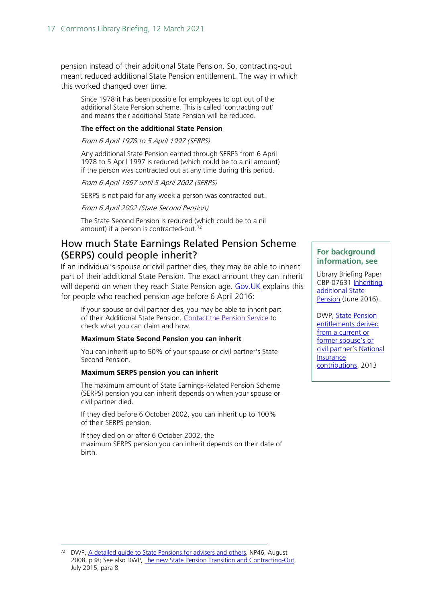pension instead of their additional State Pension. So, contracting-out meant reduced additional State Pension entitlement. The way in which this worked changed over time:

Since 1978 it has been possible for employees to opt out of the additional State Pension scheme. This is called 'contracting out' and means their additional State Pension will be reduced.

#### **The effect on the additional State Pension**

From 6 April 1978 to 5 April 1997 (SERPS)

Any additional State Pension earned through SERPS from 6 April 1978 to 5 April 1997 is reduced (which could be to a nil amount) if the person was contracted out at any time during this period.

From 6 April 1997 until 5 April 2002 (SERPS)

SERPS is not paid for any week a person was contracted out.

From 6 April 2002 (State Second Pension)

The State Second Pension is reduced (which could be to a nil amount) if a person is contracted-out.<sup>[72](#page-16-1)</sup>

## <span id="page-16-0"></span>How much State Earnings Related Pension Scheme (SERPS) could people inherit?

If an individual's spouse or civil partner dies, they may be able to inherit part of their additional State Pension. The exact amount they can inherit will depend on when they reach State Pension age. Gov. UK explains this for people who reached pension age before 6 April 2016:

If your spouse or civil partner dies, you may be able to inherit part of their Additional State Pension. [Contact](https://www.gov.uk/contact-pension-service) the Pension Service to check what you can claim and how.

#### **Maximum State Second Pension you can inherit**

You can inherit up to 50% of your spouse or civil partner's State Second Pension.

#### **Maximum SERPS pension you can inherit**

The maximum amount of State Earnings-Related Pension Scheme (SERPS) pension you can inherit depends on when your spouse or civil partner died.

If they died before 6 October 2002, you can inherit up to 100% of their SERPS pension.

If they died on or after 6 October 2002, the maximum SERPS pension you can inherit depends on their date of birth.

#### **For background information, see**

Library Briefing Paper CBP-07631 Inheriting [additional State](http://researchbriefings.parliament.uk/ResearchBriefing/Summary/CBP-7631)  [Pension](http://researchbriefings.parliament.uk/ResearchBriefing/Summary/CBP-7631) (June 2016).

DWP, [State Pension](http://webarchive.nationalarchives.gov.uk/20140801114555/https:/www.gov.uk/government/uploads/system/uploads/attachment_data/file/181235/derived-inherited-entitlement.pdf)  [entitlements derived](http://webarchive.nationalarchives.gov.uk/20140801114555/https:/www.gov.uk/government/uploads/system/uploads/attachment_data/file/181235/derived-inherited-entitlement.pdf)  from a current or [former spouse's or](http://webarchive.nationalarchives.gov.uk/20140801114555/https:/www.gov.uk/government/uploads/system/uploads/attachment_data/file/181235/derived-inherited-entitlement.pdf)  [civil partner's National](http://webarchive.nationalarchives.gov.uk/20140801114555/https:/www.gov.uk/government/uploads/system/uploads/attachment_data/file/181235/derived-inherited-entitlement.pdf)  [Insurance](http://webarchive.nationalarchives.gov.uk/20140801114555/https:/www.gov.uk/government/uploads/system/uploads/attachment_data/file/181235/derived-inherited-entitlement.pdf)  [contributions,](http://webarchive.nationalarchives.gov.uk/20140801114555/https:/www.gov.uk/government/uploads/system/uploads/attachment_data/file/181235/derived-inherited-entitlement.pdf) 2013

<span id="page-16-1"></span><sup>72</sup> DWP, [A detailed guide to State Pensions for advisers and others,](http://webarchive.nationalarchives.gov.uk/20121015000000/http:/www.direct.gov.uk/prod_consum_dg/groups/dg_digitalassets/@dg/@en/@over50/documents/digitalasset/dg_180938.pdf) NP46, August 2008, p38; See also DWP, [The new State Pension Transition and Contracting-Out,](https://www.gov.uk/government/uploads/system/uploads/attachment_data/file/447195/new-state-pension--effect-of-being-contracted-out.pdf)  July 2015, para 8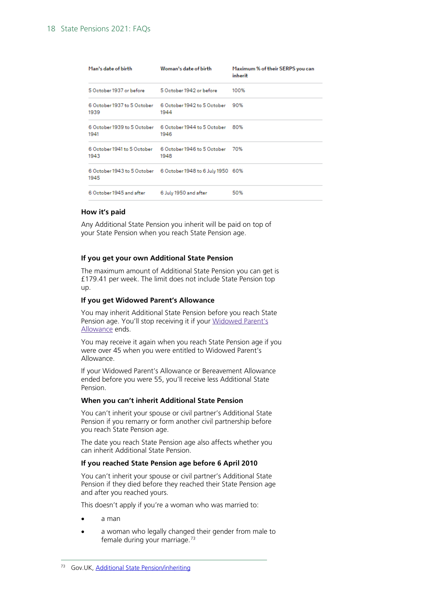| Man's date of birth                               | Woman's date of birth                                               | Maximum % of their SERPS you can<br>inherit |
|---------------------------------------------------|---------------------------------------------------------------------|---------------------------------------------|
| 5 October 1937 or before 5 October 1942 or before |                                                                     | 100%                                        |
| 1939                                              | 6 October 1937 to 5 October 6 October 1942 to 5 October 90%<br>1944 |                                             |
| 1941                                              | 6 October 1939 to 5 October 6 October 1944 to 5 October 80%<br>1946 |                                             |
| 1943                                              | 6 October 1941 to 5 October 6 October 1946 to 5 October 70%<br>1948 |                                             |
| 1945                                              | 6 October 1943 to 5 October 6 October 1948 to 6 July 1950 60%       |                                             |
| 6 October 1945 and after                          | 6 July 1950 and after                                               | 50%                                         |

#### **How it's paid**

Any Additional State Pension you inherit will be paid on top of your State Pension when you reach State Pension age.

#### **If you get your own Additional State Pension**

The maximum amount of Additional State Pension you can get is £179.41 per week. The limit does not include State Pension top up.

#### **If you get Widowed Parent's Allowance**

You may inherit Additional State Pension before you reach State Pension age. You'll stop receiving it if your [Widowed](https://www.gov.uk/widowed-parents-allowance/overview) Parent's [Allowance](https://www.gov.uk/widowed-parents-allowance/overview) ends.

You may receive it again when you reach State Pension age if you were over 45 when you were entitled to Widowed Parent's Allowance.

If your Widowed Parent's Allowance or Bereavement Allowance ended before you were 55, you'll receive less Additional State Pension.

#### **When you can't inherit Additional State Pension**

You can't inherit your spouse or civil partner's Additional State Pension if you remarry or form another civil partnership before you reach State Pension age.

The date you reach State Pension age also affects whether you can inherit Additional State Pension.

#### **If you reached State Pension age before 6 April 2010**

You can't inherit your spouse or civil partner's Additional State Pension if they died before they reached their State Pension age and after you reached yours.

This doesn't apply if you're a woman who was married to:

- a man
- a woman who legally changed their gender from male to female during your marriage. [73](#page-17-0)

<span id="page-17-0"></span><sup>73</sup> Gov.UK, [Additional State Pension/inheriting](https://www.gov.uk/additional-state-pension/inheriting)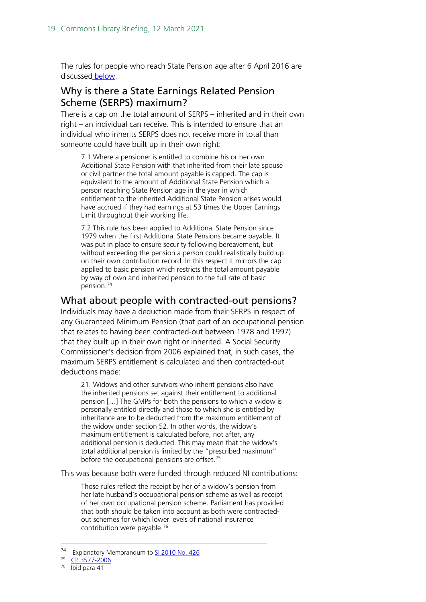The rules for people who reach State Pension age after 6 April 2016 are discussed below.

## <span id="page-18-0"></span>Why is there a State Earnings Related Pension Scheme (SERPS) maximum?

There is a cap on the total amount of SERPS – inherited and in their own right – an individual can receive. This is intended to ensure that an individual who inherits SERPS does not receive more in total than someone could have built up in their own right:

7.1 Where a pensioner is entitled to combine his or her own Additional State Pension with that inherited from their late spouse or civil partner the total amount payable is capped. The cap is equivalent to the amount of Additional State Pension which a person reaching State Pension age in the year in which entitlement to the inherited Additional State Pension arises would have accrued if they had earnings at 53 times the Upper Earnings Limit throughout their working life.

7.2 This rule has been applied to Additional State Pension since 1979 when the first Additional State Pensions became payable. It was put in place to ensure security following bereavement, but without exceeding the pension a person could realistically build up on their own contribution record. In this respect it mirrors the cap applied to basic pension which restricts the total amount payable by way of own and inherited pension to the full rate of basic pension.[74](#page-18-2)

## <span id="page-18-1"></span>What about people with contracted-out pensions?

Individuals may have a deduction made from their SERPS in respect of any Guaranteed Minimum Pension (that part of an occupational pension that relates to having been contracted-out between 1978 and 1997) that they built up in their own right or inherited. A Social Security Commissioner's decision from 2006 explained that, in such cases, the maximum SERPS entitlement is calculated and then contracted-out deductions made:

21. Widows and other survivors who inherit pensions also have the inherited pensions set against their entitlement to additional pension […] The GMPs for both the pensions to which a widow is personally entitled directly and those to which she is entitled by inheritance are to be deducted from the maximum entitlement of the widow under section 52. In other words, the widow's maximum entitlement is calculated before, not after, any additional pension is deducted. This may mean that the widow's total additional pension is limited by the "prescribed maximum" before the occupational pensions are offset.<sup>[75](#page-18-3)</sup>

This was because both were funded through reduced NI contributions:

Those rules reflect the receipt by her of a widow's pension from her late husband's occupational pension scheme as well as receipt of her own occupational pension scheme. Parliament has provided that both should be taken into account as both were contractedout schemes for which lower levels of national insurance contribution were payable.<sup>[76](#page-18-4)</sup>

<span id="page-18-2"></span><sup>&</sup>lt;sup>74</sup> Explanatory Memorandum t[o SI 2010 No. 426](http://www.legislation.gov.uk/uksi/2010/426/memorandum/contents)

<sup>75</sup> [CP 3577-2006](http://administrativeappeals.decisions.tribunals.gov.uk/Aspx/view.aspx?id=2209)

<span id="page-18-4"></span><span id="page-18-3"></span> $76$  Ibid para 41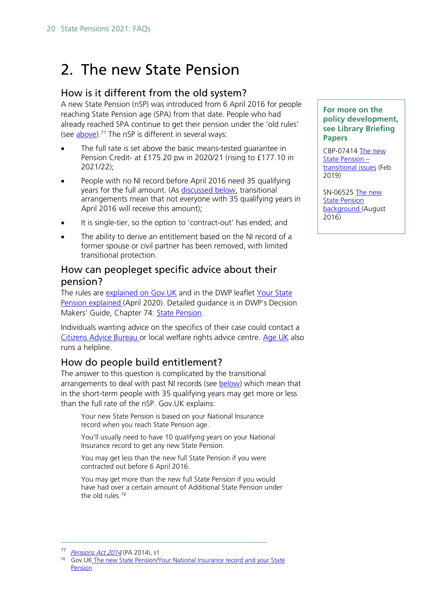# <span id="page-19-0"></span>2. The new State Pension

## <span id="page-19-1"></span>How is it different from the old system?

A new State Pension (nSP) was introduced from 6 April 2016 for people reaching State Pension age (SPA) from that date. People who had already reached SPA continue to get their pension under the 'old rules' (see <u>above</u>).<sup>[77](#page-19-4)</sup> The nSP is different in several ways:

- The full rate is set above the basic means-tested quarantee in Pension Credit- at £175.20 pw in 2020/21 (rising to £177.10 in 2021/22);
- People with no NI record before April 2016 need 35 qualifying years for the full amount. (As [discussed below,](#page-23-0) transitional arrangements mean that not everyone with 35 qualifying years in April 2016 will receive this amount);
- It is single-tier, so the option to 'contract-out' has ended; and
- The ability to derive an entitlement based on the NI record of a former spouse or civil partner has been removed, with limited transitional protection.

## <span id="page-19-2"></span>How can peopleget specific advice about their pension?

The rules are explained on Gov. UK and in the DWP leaflet Your State [Pension explained](https://www.gov.uk/government/publications/your-new-state-pension-explained) (April 2020). Detailed guidance is in DWP's Decision Makers' Guide, Chapter 74: [State Pension.](https://www.gov.uk/government/publications/decision-makers-guide-vol-12-widows-benefit-and-retirement-pension-staff-guide)

Individuals wanting advice on the specifics of their case could contact a [Citizens Advice Bureau o](https://www.citizensadvice.org.uk/)r local welfare rights advice centre. [Age UK](https://www.ageuk.org.uk/services/age-uk-advice-line/#:%7E:text=Age%20UK%20Advice%20Line%3A%200800,7pm%2C%20365%20days%20a%20year.) also runs a helpline.

## <span id="page-19-3"></span>How do people build entitlement?

The answer to this question is complicated by the transitional arrangements to deal with past NI records (see **below**) which mean that in the short-term people with 35 qualifying years may get more or less than the full rate of the nSP. Gov.UK explains:

Your new State Pension is based on your National Insurance record when you reach State Pension age.

You'll usually need to have 10 qualifying years on your National Insurance record to get any new State Pension.

You may get less than the new full State Pension if you were contracted out before 6 April 2016.

You may get more than the new full State Pension if you would have had over a certain amount of Additional State Pension under the old rules.<sup>[78](#page-19-5)</sup>

#### **For more on the policy development, see Library Briefing Papers**

CBP-07414 [The new](http://researchbriefings.parliament.uk/ResearchBriefing/Summary/CBP-7414)  [State Pension –](http://researchbriefings.parliament.uk/ResearchBriefing/Summary/CBP-7414) [transitional issues](http://researchbriefings.parliament.uk/ResearchBriefing/Summary/CBP-7414) (Feb 2019)

SN-06525 [The new](http://researchbriefings.parliament.uk/ResearchBriefing/Summary/SN06525)  [State Pension](http://researchbriefings.parliament.uk/ResearchBriefing/Summary/SN06525)  [background](http://researchbriefings.parliament.uk/ResearchBriefing/Summary/SN06525) (August 2016)

<span id="page-19-5"></span><span id="page-19-4"></span>

<sup>&</sup>lt;sup>77</sup> *Pensions Act 2014* (PA 2014), s1<br><sup>78</sup> Gov.UK The new State Pension/Your National Insurance record and your State [Pension](https://www.gov.uk/new-state-pension/your-national-insurance-record-and-your-state-pension)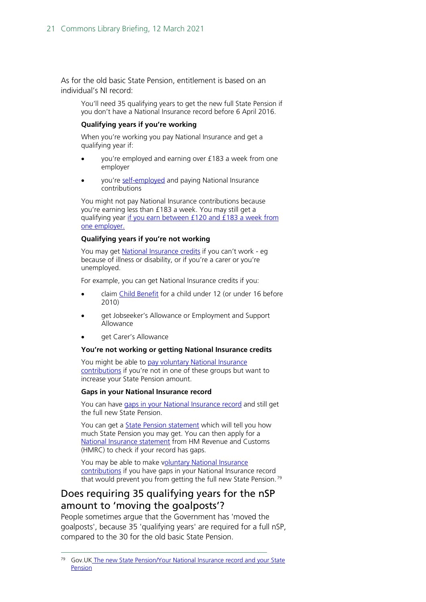As for the old basic State Pension, entitlement is based on an individual's NI record:

You'll need 35 qualifying years to get the new full State Pension if you don't have a National Insurance record before 6 April 2016.

#### **Qualifying years if you're working**

When you're working you pay National Insurance and get a qualifying year if:

- you're employed and earning over £183 a week from one employer
- you're [self-employed](https://www.gov.uk/self-employed-national-insurance-rates) and paying National Insurance contributions

You might not pay National Insurance contributions because you're earning less than £183 a week. You may still get a qualifying year [if you earn between £120](https://www.gov.uk/national-insurance-rates-letters) and £183 a week from [one employer.](https://www.gov.uk/national-insurance-rates-letters)

#### **Qualifying years if you're not working**

You may get **National Insurance credits** if you can't work - eg because of illness or disability, or if you're a carer or you're unemployed.

For example, you can get National Insurance credits if you:

- claim [Child Benefit](https://www.gov.uk/child-benefit) for a child under 12 (or under 16 before 2010)
- get Jobseeker's Allowance or Employment and Support Allowance
- get Carer's Allowance

#### **You're not working or getting National Insurance credits**

You might be able to pay voluntary National Insurance [contributions](https://www.gov.uk/voluntary-national-insurance-contributions/why-pay-voluntary-contributions) if you're not in one of these groups but want to increase your State Pension amount.

#### **Gaps in your National Insurance record**

You can have [gaps in your National Insurance record](https://www.gov.uk/voluntary-national-insurance-contributions/why-pay-voluntary-contributions) and still get the full new State Pension.

You can get a **State Pension statement** which will tell you how much State Pension you may get. You can then apply for a [National Insurance statement](https://online.hmrc.gov.uk/shortforms/form/NIStatement?dept-name=&sub-dept-name=&location=40&origin=http://www.hmrc.gov.uk) from HM Revenue and Customs (HMRC) to check if your record has gaps.

You may be able to make voluntary National Insurance [contributions](https://www.gov.uk/voluntary-national-insurance-contributions/why-pay-voluntary-contributions) if you have gaps in your National Insurance record that would prevent you from getting the full new State Pension.<sup>[79](#page-20-1)</sup>

## <span id="page-20-0"></span>Does requiring 35 qualifying years for the nSP amount to 'moving the goalposts'?

People sometimes argue that the Government has 'moved the goalposts', because 35 'qualifying years' are required for a full nSP, compared to the 30 for the old basic State Pension.

<span id="page-20-1"></span><sup>&</sup>lt;sup>79</sup> Gov. UK The new State Pension/Your National Insurance record and your State [Pension](https://www.gov.uk/new-state-pension/your-national-insurance-record-and-your-state-pension)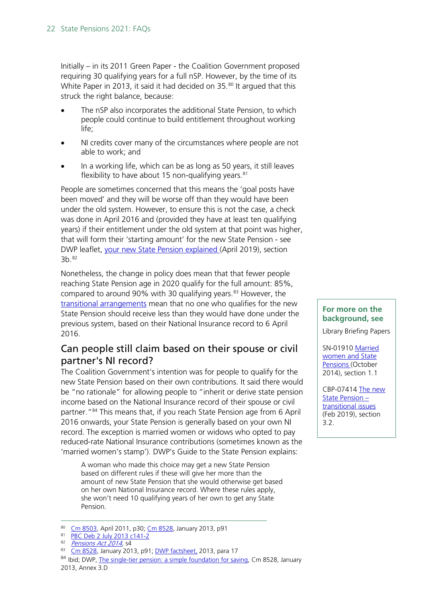Initially – in its 2011 Green Paper - the Coalition Government proposed requiring 30 qualifying years for a full nSP. However, by the time of its White Paper in 2013, it said it had decided on 35.<sup>[80](#page-21-1)</sup> It argued that this struck the right balance, because:

- The nSP also incorporates the additional State Pension, to which people could continue to build entitlement throughout working life;
- NI credits cover many of the circumstances where people are not able to work; and
- In a working life, which can be as long as 50 years, it still leaves flexibility to have about 15 non-qualifying years. $81$

People are sometimes concerned that this means the 'goal posts have been moved' and they will be worse off than they would have been under the old system. However, to ensure this is not the case, a check was done in April 2016 and (provided they have at least ten qualifying years) if their entitlement under the old system at that point was higher, that will form their 'starting amount' for the new State Pension - see DWP leaflet, [your new State Pension explained](https://www.gov.uk/government/publications/your-new-state-pension-explained) (April 2019), section 3b.[82](#page-21-3)

Nonetheless, the change in policy does mean that that fewer people reaching State Pension age in 2020 qualify for the full amount: 85%, compared to around 90% with 30 qualifying years.<sup>[83](#page-21-4)</sup> However, the [transitional arrangements](#page-23-0) mean that no one who qualifies for the new State Pension should receive less than they would have done under the previous system, based on their National Insurance record to 6 April 2016.

## <span id="page-21-0"></span>Can people still claim based on their spouse or civil partner's NI record?

The Coalition Government's intention was for people to qualify for the new State Pension based on their own contributions. It said there would be "no rationale" for allowing people to "inherit or derive state pension income based on the National Insurance record of their spouse or civil partner."[84](#page-21-5) This means that, if you reach State Pension age from 6 April 2016 onwards, your State Pension is generally based on your own NI record. The exception is married women or widows who opted to pay reduced-rate National Insurance contributions (sometimes known as the 'married women's stamp'). DWP's Guide to the State Pension explains:

A woman who made this choice may get a new State Pension based on different rules if these will give her more than the amount of new State Pension that she would otherwise get based on her own National Insurance record. Where these rules apply, she won't need 10 qualifying years of her own to get any State Pension.

#### **For more on the background, see**

Library Briefing Papers

SN-01910 [Married](http://researchbriefings.parliament.uk/ResearchBriefing/Summary/SN01910)  [women and State](http://researchbriefings.parliament.uk/ResearchBriefing/Summary/SN01910)  [Pensions \(](http://researchbriefings.parliament.uk/ResearchBriefing/Summary/SN01910)October 2014), section 1.1

CBP-07414 [The new](http://researchbriefings.parliament.uk/ResearchBriefing/Summary/CBP-7414)  [State Pension –](http://researchbriefings.parliament.uk/ResearchBriefing/Summary/CBP-7414) [transitional](http://researchbriefings.parliament.uk/ResearchBriefing/Summary/CBP-7414) issues (Feb 2019), section 3.2.

<sup>80</sup> [Cm 8503,](http://webarchive.nationalarchives.gov.uk/20140725031351/https:/www.gov.uk/government/consultations/a-state-pension-for-the-21st-century) April 2011, p30; [Cm 8528,](http://webarchive.nationalarchives.gov.uk/20130402152647/http:/www.dwp.gov.uk/docs/single-tier-pension.pdf) January 2013, p91

<span id="page-21-2"></span><span id="page-21-1"></span><sup>81</sup> [PBC Deb 2 July 2013 c141-2](http://www.publications.parliament.uk/pa/cm201314/cmpublic/pensions/130702/am/130702s01.htm)

<span id="page-21-3"></span><sup>82</sup> [Pensions Act 2014,](http://www.legislation.gov.uk/ukpga/2014/19/contents) s4

<sup>83</sup> [Cm 8528,](http://webarchive.nationalarchives.gov.uk/20130402152647/http:/www.dwp.gov.uk/docs/single-tier-pension.pdf) January 2013, p91; [DWP factsheet,](http://webarchive.nationalarchives.gov.uk/20140801114555/https:/www.gov.uk/government/uploads/system/uploads/attachment_data/file/181235/derived-inherited-entitlement.pdf) 2013, para 17

<span id="page-21-5"></span><span id="page-21-4"></span><sup>84</sup> Ibid; DWP, [The single-tier pension: a simple foundation for saving,](http://webarchive.nationalarchives.gov.uk/20130402152647/http:/www.dwp.gov.uk/docs/single-tier-pension.pdf) Cm 8528, January 2013, Annex 3.D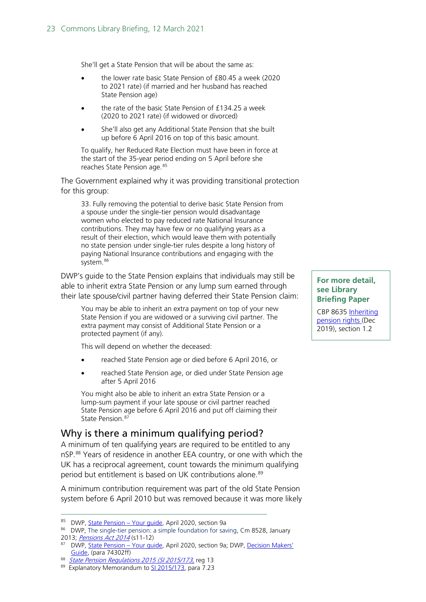She'll get a State Pension that will be about the same as:

- the lower rate basic State Pension of £80.45 a week (2020 to 2021 rate) (if married and her husband has reached State Pension age)
- the rate of the basic State Pension of £134.25 a week (2020 to 2021 rate) (if widowed or divorced)
- She'll also get any Additional State Pension that she built up before 6 April 2016 on top of this basic amount.

To qualify, her Reduced Rate Election must have been in force at the start of the 35-year period ending on 5 April before she reaches State Pension age. [85](#page-22-1)

The Government explained why it was providing transitional protection for this group:

33. Fully removing the potential to derive basic State Pension from a spouse under the single-tier pension would disadvantage women who elected to pay reduced rate National Insurance contributions. They may have few or no qualifying years as a result of their election, which would leave them with potentially no state pension under single-tier rules despite a long history of paying National Insurance contributions and engaging with the system.<sup>[86](#page-22-2)</sup>

DWP's guide to the State Pension explains that individuals may still be able to inherit extra State Pension or any lump sum earned through their late spouse/civil partner having deferred their State Pension claim:

You may be able to inherit an extra payment on top of your new State Pension if you are widowed or a surviving civil partner. The extra payment may consist of Additional State Pension or a protected payment (if any).

This will depend on whether the deceased:

- reached State Pension age or died before 6 April 2016, or
- reached State Pension age, or died under State Pension age after 5 April 2016

You might also be able to inherit an extra State Pension or a lump-sum payment if your late spouse or civil partner reached State Pension age before 6 April 2016 and put off claiming their State Pension. [87](#page-22-3)

## <span id="page-22-0"></span>Why is there a minimum qualifying period?

A minimum of ten qualifying years are required to be entitled to any nSP.<sup>[88](#page-22-4)</sup> Years of residence in another EEA country, or one with which the UK has a reciprocal agreement, count towards the minimum qualifying period but entitlement is based on UK contributions alone.<sup>[89](#page-22-5)</sup>

A minimum contribution requirement was part of the old State Pension system before 6 April 2010 but was removed because it was more likely

**For more detail, see Library Briefing Paper** 

CBP 8635 [Inheriting](https://commonslibrary.parliament.uk/research-briefings/cbp-8635/)  [pension rights \(](https://commonslibrary.parliament.uk/research-briefings/cbp-8635/)Dec 2019), section 1.2

<span id="page-22-1"></span><sup>85</sup> DWP, State Pension - Your quide, April 2020, section 9a

<span id="page-22-2"></span><sup>86</sup> DWP[, The single-tier pension: a simple foundation for saving,](http://webarchive.nationalarchives.gov.uk/20130402152647/http:/www.dwp.gov.uk/docs/single-tier-pension.pdf) Cm 8528, January 2013; [Pensions Act 2014](http://www.legislation.gov.uk/ukpga/2014/19/contents) (s11-12)

<span id="page-22-3"></span><sup>87</sup> DWP, [State Pension –](https://www.gov.uk/government/publications/your-new-state-pension-explained/your-state-pension-explained#getting-or-inheriting-the-state-pension-from-your-husband-wife-civil-partner) Your quide, April 2020, section 9a; DWP, Decision Makers' [Guide,](https://assets.publishing.service.gov.uk/government/uploads/system/uploads/attachment_data/file/890701/dmgch74.pdf#page=27) (para 74302ff)

<span id="page-22-4"></span><sup>88</sup> *State Pension Regulations 2015 (SI 2015/173*, reg 13

<span id="page-22-5"></span><sup>89</sup> Explanatory Memorandum to [SI 2015/173,](http://www.legislation.gov.uk/uksi/2015/173/pdfs/uksiem_20150173_en.pdf) para 7.23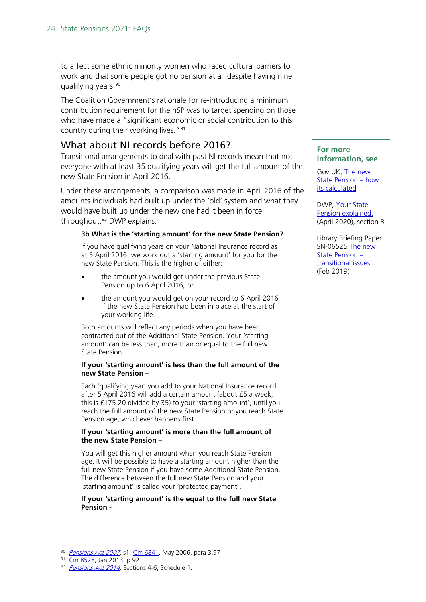to affect some ethnic minority women who faced cultural barriers to work and that some people got no pension at all despite having nine qualifying years.<sup>[90](#page-23-1)</sup>

The Coalition Government's rationale for re-introducing a minimum contribution requirement for the nSP was to target spending on those who have made a "significant economic or social contribution to this country during their working lives.["91](#page-23-2)

## What about NI records before 2016?

<span id="page-23-0"></span>Transitional arrangements to deal with past NI records mean that not everyone with at least 35 qualifying years will get the full amount of the new State Pension in April 2016.

Under these arrangements, a comparison was made in April 2016 of the amounts individuals had built up under the 'old' system and what they would have built up under the new one had it been in force throughout.<sup>92</sup> DWP explains:

#### **3b What is the 'starting amount' for the new State Pension?**

If you have qualifying years on your National Insurance record as at 5 April 2016, we work out a 'starting amount' for you for the new State Pension. This is the higher of either:

- the amount you would get under the previous State Pension up to 6 April 2016, or
- the amount you would get on your record to 6 April 2016 if the new State Pension had been in place at the start of your working life.

Both amounts will reflect any periods when you have been contracted out of the Additional State Pension. Your 'starting amount' can be less than, more than or equal to the full new State Pension.

#### **If your 'starting amount' is less than the full amount of the new State Pension –**

Each 'qualifying year' you add to your National Insurance record after 5 April 2016 will add a certain amount (about £5 a week, this is £175.20 divided by 35) to your 'starting amount', until you reach the full amount of the new State Pension or you reach State Pension age, whichever happens first.

#### **If your 'starting amount' is more than the full amount of the new State Pension –**

You will get this higher amount when you reach State Pension age. It will be possible to have a starting amount higher than the full new State Pension if you have some Additional State Pension. The difference between the full new State Pension and your 'starting amount' is called your 'protected payment'.

#### **If your 'starting amount' is the equal to the full new State Pension -**

#### <span id="page-23-2"></span><span id="page-23-1"></span>90 [Pensions Act 2007](http://www.legislation.gov.uk/ukpga/2007/22/contents), s1[; Cm 6841,](http://webarchive.nationalarchives.gov.uk/20140609080856/https:/www.gov.uk/government/publications/security-in-retirement-towards-a-new-pensions-system) May 2006, para 3.97

#### **For more information, see**

Gov.UK, [The new](https://www.gov.uk/new-state-pension/how-its-calculated)  [State Pension –](https://www.gov.uk/new-state-pension/how-its-calculated) how [its calculated](https://www.gov.uk/new-state-pension/how-its-calculated)

DWP, [Your State](https://www.gov.uk/government/publications/your-new-state-pension-explained/your-state-pension-explained)  [Pension explained,](https://www.gov.uk/government/publications/your-new-state-pension-explained/your-state-pension-explained) (April 2020), section 3

Library Briefing Paper SN-06525 The new [State Pension –](http://researchbriefings.parliament.uk/ResearchBriefing/Summary/CBP-7414) [transitional issues](http://researchbriefings.parliament.uk/ResearchBriefing/Summary/CBP-7414) (Feb 2019)

<sup>91</sup> [Cm 8528,](http://www.dwp.gov.uk/docs/single-tier-pension.pdf) Jan 2013, p 92

<span id="page-23-3"></span><sup>92</sup> [Pensions Act 2014,](http://www.legislation.gov.uk/ukpga/2014/19/contents) Sections 4-6, Schedule 1.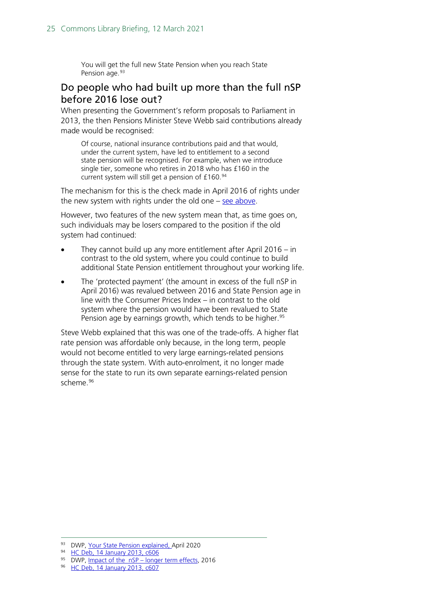You will get the full new State Pension when you reach State Pension age.<sup>[93](#page-24-1)</sup>

## <span id="page-24-0"></span>Do people who had built up more than the full nSP before 2016 lose out?

When presenting the Government's reform proposals to Parliament in 2013, the then Pensions Minister Steve Webb said contributions already made would be recognised:

Of course, national insurance contributions paid and that would, under the current system, have led to entitlement to a second state pension will be recognised. For example, when we introduce single tier, someone who retires in 2018 who has £160 in the current system will still get a pension of £160.[94](#page-24-2)

The mechanism for this is the check made in April 2016 of rights under the new system with rights under the old one – [see above.](#page-23-0)

However, two features of the new system mean that, as time goes on, such individuals may be losers compared to the position if the old system had continued:

- They cannot build up any more entitlement after April 2016 in contrast to the old system, where you could continue to build additional State Pension entitlement throughout your working life.
- The 'protected payment' (the amount in excess of the full nSP in April 2016) was revalued between 2016 and State Pension age in line with the Consumer Prices Index – in contrast to the old system where the pension would have been revalued to State Pension age by earnings growth, which tends to be higher.<sup>[95](#page-24-3)</sup>

Steve Webb explained that this was one of the trade-offs. A higher flat rate pension was affordable only because, in the long term, people would not become entitled to very large earnings-related pensions through the state system. With auto-enrolment, it no longer made sense for the state to run its own separate earnings-related pension scheme.[96](#page-24-4)

<sup>93</sup> DWP, [Your State Pension explained, April 2020](https://www.gov.uk/government/publications/your-new-state-pension-explained/your-state-pension-explained#how-does-the-new-state-pension-work)

<span id="page-24-2"></span><span id="page-24-1"></span><sup>94</sup> [HC Deb, 14 January 2013, c606](http://www.publications.parliament.uk/pa/cm201213/cmhansrd/cm130114/debtext/130114-0001.htm#1301142000001)

<span id="page-24-4"></span><span id="page-24-3"></span><sup>&</sup>lt;sup>95</sup> DWP, [Impact of the nSP –](https://www.gov.uk/government/uploads/system/uploads/attachment_data/file/491845/impact-of-new-state-pension-longer-term-reserach.pdf) longer term effects, 2016

<sup>96</sup> [HC Deb, 14 January 2013, c607](http://www.publications.parliament.uk/pa/cm201213/cmhansrd/cm130114/debtext/130114-0001.htm#1301142000001)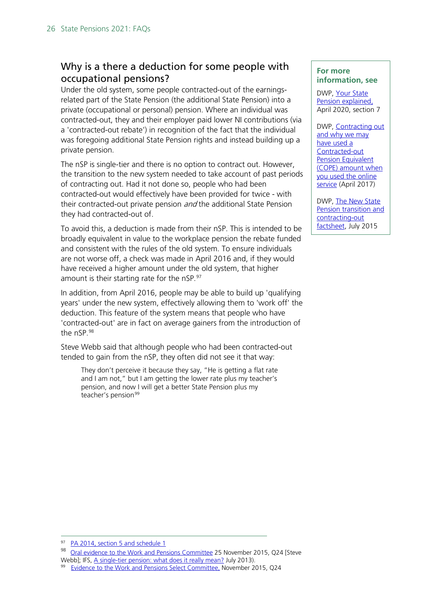## <span id="page-25-0"></span>Why is a there a deduction for some people with occupational pensions?

Under the old system, some people contracted-out of the earningsrelated part of the State Pension (the additional State Pension) into a private (occupational or personal) pension. Where an individual was contracted-out, they and their employer paid lower NI contributions (via a 'contracted-out rebate') in recognition of the fact that the individual was foregoing additional State Pension rights and instead building up a private pension.

The nSP is single-tier and there is no option to contract out. However, the transition to the new system needed to take account of past periods of contracting out. Had it not done so, people who had been contracted-out would effectively have been provided for twice - with their contracted-out private pension *and* the additional State Pension they had contracted-out of.

To avoid this, a deduction is made from their nSP. This is intended to be broadly equivalent in value to the workplace pension the rebate funded and consistent with the rules of the old system. To ensure individuals are not worse off, a check was made in April 2016 and, if they would have received a higher amount under the old system, that higher amount is their starting rate for the nSP.<sup>[97](#page-25-1)</sup>

In addition, from April 2016, people may be able to build up 'qualifying years' under the new system, effectively allowing them to 'work off' the deduction. This feature of the system means that people who have 'contracted-out' are in fact on average gainers from the introduction of the nSP.[98](#page-25-2)

Steve Webb said that although people who had been contracted-out tended to gain from the nSP, they often did not see it that way:

They don't perceive it because they say, "He is getting a flat rate and I am not," but I am getting the lower rate plus my teacher's pension, and now I will get a better State Pension plus my teacher's pension<sup>[99](#page-25-3)</sup>

### **For more information, see**

DWP, [Your State](https://www.gov.uk/government/publications/your-new-state-pension-explained/your-state-pension-explained#how-does-the-new-state-pension-work)  [Pension explained,](https://www.gov.uk/government/publications/your-new-state-pension-explained/your-state-pension-explained#how-does-the-new-state-pension-work)  April 2020, section 7

DWP, [Contracting out](https://www.gov.uk/government/publications/state-pension-fact-sheets/contracting-out-and-why-we-may-have-included-a-contracted-out-pension-equivalent-cope-amount-when-you-used-the-online-service#the-contracted-out-pension-equivalent-cope)  and why we may [have used a](https://www.gov.uk/government/publications/state-pension-fact-sheets/contracting-out-and-why-we-may-have-included-a-contracted-out-pension-equivalent-cope-amount-when-you-used-the-online-service#the-contracted-out-pension-equivalent-cope)  [Contracted-out](https://www.gov.uk/government/publications/state-pension-fact-sheets/contracting-out-and-why-we-may-have-included-a-contracted-out-pension-equivalent-cope-amount-when-you-used-the-online-service#the-contracted-out-pension-equivalent-cope)  **Pension Equivalent** [\(COPE\) amount when](https://www.gov.uk/government/publications/state-pension-fact-sheets/contracting-out-and-why-we-may-have-included-a-contracted-out-pension-equivalent-cope-amount-when-you-used-the-online-service#the-contracted-out-pension-equivalent-cope)  [you used the online](https://www.gov.uk/government/publications/state-pension-fact-sheets/contracting-out-and-why-we-may-have-included-a-contracted-out-pension-equivalent-cope-amount-when-you-used-the-online-service#the-contracted-out-pension-equivalent-cope)  [service](https://www.gov.uk/government/publications/state-pension-fact-sheets/contracting-out-and-why-we-may-have-included-a-contracted-out-pension-equivalent-cope-amount-when-you-used-the-online-service#the-contracted-out-pension-equivalent-cope) (April 2017)

DWP, [The New State](https://www.gov.uk/government/publications/new-state-pension-if-youve-been-contracted-out-of-additional-state-pension)  [Pension transition and](https://www.gov.uk/government/publications/new-state-pension-if-youve-been-contracted-out-of-additional-state-pension)  [contracting-out](https://www.gov.uk/government/publications/new-state-pension-if-youve-been-contracted-out-of-additional-state-pension)  [factsheet,](https://www.gov.uk/government/publications/new-state-pension-if-youve-been-contracted-out-of-additional-state-pension) July 2015

<span id="page-25-1"></span><sup>97</sup> [PA 2014, section 5 and schedule](http://www.legislation.gov.uk/ukpga/2014/19/contents) 1

<span id="page-25-2"></span><sup>98</sup> [Oral evidence to the Work and Pensions Committee](http://data.parliament.uk/writtenevidence/committeeevidence.svc/evidencedocument/work-and-pensions-committee/understanding-the-new-state-pension/oral/25270.html) 25 November 2015, Q24 [Steve

Webb]; IFS, A single-tier pension: what does it really mean? July 2013).<br><sup>99</sup> [Evidence to the Work and Pensions Select Committee,](http://data.parliament.uk/writtenevidence/committeeevidence.svc/evidencedocument/work-and-pensions-committee/understanding-the-new-state-pension/oral/25270.html) November 2015, Q24

<span id="page-25-3"></span>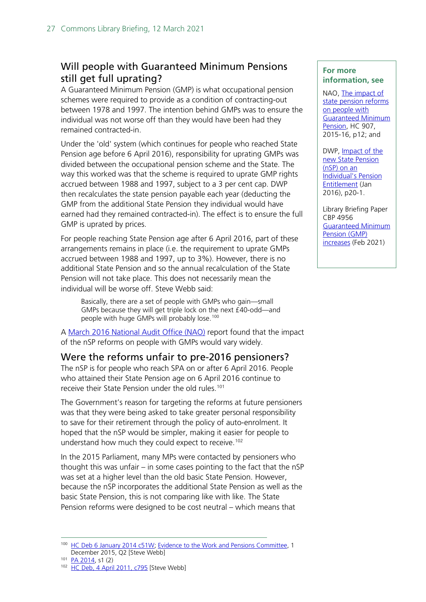## <span id="page-26-0"></span>Will people with Guaranteed Minimum Pensions still get full uprating?

A Guaranteed Minimum Pension (GMP) is what occupational pension schemes were required to provide as a condition of contracting-out between 1978 and 1997. The intention behind GMPs was to ensure the individual was not worse off than they would have been had they remained contracted-in.

Under the 'old' system (which continues for people who reached State Pension age before 6 April 2016), responsibility for uprating GMPs was divided between the occupational pension scheme and the State. The way this worked was that the scheme is required to uprate GMP rights accrued between 1988 and 1997, subject to a 3 per cent cap. DWP then recalculates the state pension payable each year (deducting the GMP from the additional State Pension they individual would have earned had they remained contracted-in). The effect is to ensure the full GMP is uprated by prices.

For people reaching State Pension age after 6 April 2016, part of these arrangements remains in place (i.e. the requirement to uprate GMPs accrued between 1988 and 1997, up to 3%). However, there is no additional State Pension and so the annual recalculation of the State Pension will not take place. This does not necessarily mean the individual will be worse off. Steve Webb said:

Basically, there are a set of people with GMPs who gain—small GMPs because they will get triple lock on the next £40-odd—and people with huge GMPs will probably lose.<sup>[100](#page-26-2)</sup>

A [March 2016 National Audit](https://www.nao.org.uk/wp-content/uploads/2016/03/The-impact-of-state-pension-reforms-on-people-with-Guaranteed-Minimum-Pension.pdf) Office (NAO) report found that the impact of the nSP reforms on people with GMPs would vary widely.

## <span id="page-26-1"></span>Were the reforms unfair to pre-2016 pensioners?

The nSP is for people who reach SPA on or after 6 April 2016. People who attained their State Pension age on 6 April 2016 continue to receive their State Pension under the old rules.<sup>[101](#page-26-3)</sup>

The Government's reason for targeting the reforms at future pensioners was that they were being asked to take greater personal responsibility to save for their retirement through the policy of auto-enrolment. It hoped that the nSP would be simpler, making it easier for people to understand how much they could expect to receive. [102](#page-26-4)

In the 2015 Parliament, many MPs were contacted by pensioners who thought this was unfair – in some cases pointing to the fact that the nSP was set at a higher level than the old basic State Pension. However, because the nSP incorporates the additional State Pension as well as the basic State Pension, this is not comparing like with like. The State Pension reforms were designed to be cost neutral – which means that

#### **For more information, see**

NAO, [The impact of](https://www.nao.org.uk/wp-content/uploads/2016/03/The-impact-of-state-pension-reforms-on-people-with-Guaranteed-Minimum-Pension.pdf)  [state pension reforms](https://www.nao.org.uk/wp-content/uploads/2016/03/The-impact-of-state-pension-reforms-on-people-with-Guaranteed-Minimum-Pension.pdf)  [on people with](https://www.nao.org.uk/wp-content/uploads/2016/03/The-impact-of-state-pension-reforms-on-people-with-Guaranteed-Minimum-Pension.pdf)  [Guaranteed Minimum](https://www.nao.org.uk/wp-content/uploads/2016/03/The-impact-of-state-pension-reforms-on-people-with-Guaranteed-Minimum-Pension.pdf) [Pension,](https://www.nao.org.uk/wp-content/uploads/2016/03/The-impact-of-state-pension-reforms-on-people-with-Guaranteed-Minimum-Pension.pdf) HC 907, 2015-16, p12; and

DWP, **Impact of the** [new State Pension](https://www.gov.uk/government/uploads/system/uploads/attachment_data/file/491845/impact-of-new-state-pension-longer-term-reserach.pdf)  [\(nSP\) on an](https://www.gov.uk/government/uploads/system/uploads/attachment_data/file/491845/impact-of-new-state-pension-longer-term-reserach.pdf)  [Individual's Pension](https://www.gov.uk/government/uploads/system/uploads/attachment_data/file/491845/impact-of-new-state-pension-longer-term-reserach.pdf)  [Entitlement](https://www.gov.uk/government/uploads/system/uploads/attachment_data/file/491845/impact-of-new-state-pension-longer-term-reserach.pdf) (Jan 2016), p20-1.

Library Briefing Paper CBP 4956 [Guaranteed Minimum](https://researchbriefings.parliament.uk/ResearchBriefing/Summary/SN04956)  [Pension \(GMP\)](https://researchbriefings.parliament.uk/ResearchBriefing/Summary/SN04956)  [increases](https://researchbriefings.parliament.uk/ResearchBriefing/Summary/SN04956) (Feb 2021)

<span id="page-26-2"></span><sup>100</sup> [HC Deb 6 January 2014 c51W;](http://www.publications.parliament.uk/pa/cm201314/cmhansrd/cm140106/text/140106w0002.htm#14010631000017) [Evidence to the Work and Pensions Committee,](http://data.parliament.uk/writtenevidence/committeeevidence.svc/evidencedocument/work-and-pensions-committee/understanding-the-new-state-pension/oral/25270.html) 1 December 2015, Q2 [Steve Webb]

<span id="page-26-3"></span><sup>101</sup> [PA 2014,](http://www.legislation.gov.uk/ukpga/2014/19/contents) s1 (2)

<span id="page-26-4"></span><sup>&</sup>lt;sup>102</sup> [HC Deb, 4 April 2011, c795](http://www.publications.parliament.uk/pa/cm201011/cmhansrd/cm110404/debtext/110404-0002.htm#11040420000003) [Steve Webb]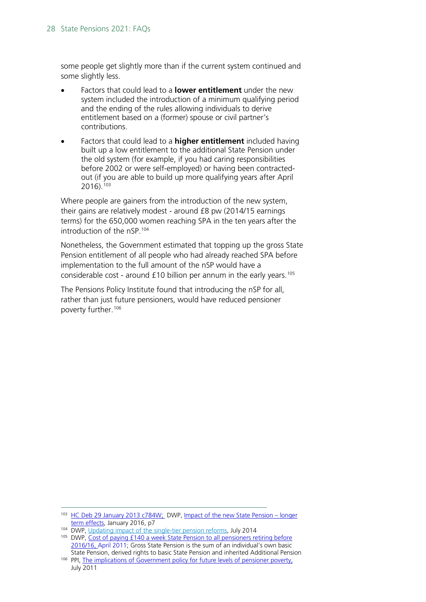some people get slightly more than if the current system continued and some slightly less.

- Factors that could lead to a **lower entitlement** under the new system included the introduction of a minimum qualifying period and the ending of the rules allowing individuals to derive entitlement based on a (former) spouse or civil partner's contributions.
- Factors that could lead to a **higher entitlement** included having built up a low entitlement to the additional State Pension under the old system (for example, if you had caring responsibilities before 2002 or were self-employed) or having been contractedout (if you are able to build up more qualifying years after April 2016)[.103](#page-27-0)

Where people are gainers from the introduction of the new system, their gains are relatively modest - around £8 pw (2014/15 earnings terms) for the 650,000 women reaching SPA in the ten years after the introduction of the nSP. [104](#page-27-1)

Nonetheless, the Government estimated that topping up the gross State Pension entitlement of all people who had already reached SPA before implementation to the full amount of the nSP would have a considerable cost - around £10 billion per annum in the early years.[105](#page-27-2)

The Pensions Policy Institute found that introducing the nSP for all, rather than just future pensioners, would have reduced pensioner poverty further.[106](#page-27-3)

<span id="page-27-0"></span><sup>103</sup> [HC Deb 29 January 2013 c784W;](http://www.publications.parliament.uk/pa/cm201213/cmhansrd/cm130129/text/130129w0004.htm#1301309000015) DWP, [Impact of the new State Pension –](https://www.gov.uk/government/uploads/system/uploads/attachment_data/file/491845/impact-of-new-state-pension-longer-term-reserach.pdf) longer [term effects,](https://www.gov.uk/government/uploads/system/uploads/attachment_data/file/491845/impact-of-new-state-pension-longer-term-reserach.pdf) January 2016, p7

<span id="page-27-1"></span><sup>104</sup> DWP, [Updating impact of the single-tier pension reforms,](https://www.gov.uk/government/uploads/system/uploads/attachment_data/file/332996/single-tier-pension-impact-assessment-update-july-2014.pdf) July 2014

<span id="page-27-2"></span><sup>105</sup> DWP, Cost of paying £140 a week State Pension to all pensioners retiring before [2016/16, April 2011;](https://www.gov.uk/government/uploads/system/uploads/attachment_data/file/223172/cost_140_a_week_state_pension.pdf) Gross State Pension is the sum of an individual's own basic State Pension, derived rights to basic State Pension and inherited Additional Pension

<span id="page-27-3"></span><sup>106</sup> PPI, [The implications of Government policy for future levels of pensioner poverty,](http://www.pensionspolicyinstitute.org.uk/publications/reports/the-implications-of-government-policy-for-future-levels-of-pensioner-poverty) July 2011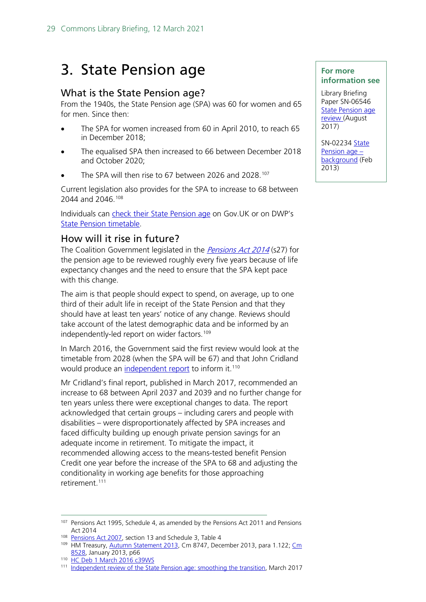# 3. State Pension age

## <span id="page-28-0"></span>What is the State Pension age?

From the 1940s, the State Pension age (SPA) was 60 for women and 65 for men. Since then:

- The SPA for women increased from 60 in April 2010, to reach 65 in December 2018;
- The equalised SPA then increased to 66 between December 2018 and October 2020;
- The SPA will then rise to 67 between 2026 and 2028.<sup>[107](#page-28-2)</sup>

Current legislation also provides for the SPA to increase to 68 between 2044 and 2046.<sup>[108](#page-28-3)</sup>

Individuals can *check their State Pension age* on Gov. UK or on DWP's [State Pension timetable.](https://www.gov.uk/government/publications/state-pension-age-timetable)

## <span id="page-28-1"></span>How will it rise in future?

The Coalition Government legislated in the [Pensions Act 2014](https://www.legislation.gov.uk/ukpga/2014/19/contents) (s27) for the pension age to be reviewed roughly every five years because of life expectancy changes and the need to ensure that the SPA kept pace with this change.

The aim is that people should expect to spend, on average, up to one third of their adult life in receipt of the State Pension and that they should have at least ten years' notice of any change. Reviews should take account of the latest demographic data and be informed by an independently-led report on wider factors.<sup>[109](#page-28-4)</sup>

In March 2016, the Government said the first review would look at the timetable from 2028 (when the SPA will be 67) and that John Cridland would produce an [independent report](https://www.gov.uk/government/publications/state-pension-age-independent-review-final-report) to inform it.<sup>[110](#page-28-5)</sup>

Mr Cridland's final report, published in March 2017, recommended an increase to 68 between April 2037 and 2039 and no further change for ten years unless there were exceptional changes to data. The report acknowledged that certain groups – including carers and people with disabilities – were disproportionately affected by SPA increases and faced difficulty building up enough private pension savings for an adequate income in retirement. To mitigate the impact, it recommended allowing access to the means-tested benefit Pension Credit one year before the increase of the SPA to 68 and adjusting the conditionality in working age benefits for those approaching retirement.<sup>[111](#page-28-6)</sup>

### **For more information see**

Library Briefing Paper SN-06546 [State Pension age](http://researchbriefings.parliament.uk/ResearchBriefing/Summary/SN06546)  [review \(](http://researchbriefings.parliament.uk/ResearchBriefing/Summary/SN06546)August 2017)

SN-02234 State [Pension age –](http://researchbriefings.parliament.uk/ResearchBriefing/Summary/SN02234) [background](http://researchbriefings.parliament.uk/ResearchBriefing/Summary/SN02234) (Feb 2013)

<span id="page-28-2"></span><sup>&</sup>lt;sup>107</sup> Pensions Act 1995, Schedule 4, as amended by the Pensions Act 2011 and Pensions Act 2014

<span id="page-28-3"></span><sup>&</sup>lt;sup>108</sup> [Pensions Act 2007,](http://www.legislation.gov.uk/ukpga/2007/22/contents) section 13 and Schedule 3, Table 4

<span id="page-28-4"></span><sup>109</sup> HM Treasury, [Autumn Statement 2013,](https://www.gov.uk/government/uploads/system/uploads/attachment_data/file/263942/35062_Autumn_Statement_2013.pdf) Cm 8747, December 2013, para 1.122; Cm [8528,](https://www.gov.uk/government/uploads/system/uploads/attachment_data/file/181229/single-tier-pension.pdf) January 2013, p66

<span id="page-28-5"></span><sup>110</sup> [HC Deb 1 March 2016 c39WS](https://publications.parliament.uk/pa/cm201516/cmhansrd/cm160301/wmstext/160301m0001.htm#16030131000018)

<span id="page-28-6"></span><sup>111</sup> [Independent review of the State Pension age: smoothing the transition,](https://www.gov.uk/government/publications/state-pension-age-independent-review-final-report) March 2017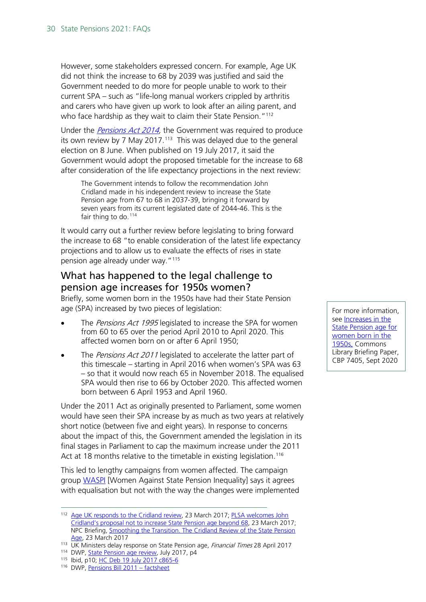However, some stakeholders expressed concern. For example, Age UK did not think the increase to 68 by 2039 was justified and said the Government needed to do more for people unable to work to their current SPA – such as "life-long manual workers crippled by arthritis and carers who have given up work to look after an ailing parent, and who face hardship as they wait to claim their State Pension."<sup>[112](#page-29-1)</sup>

Under the *Pensions Act 2014*, the Government was required to produce its own review by 7 May 2017.<sup>[113](#page-29-2)</sup> This was delayed due to the general election on 8 June. When published on 19 July 2017, it said the Government would adopt the proposed timetable for the increase to 68 after consideration of the life expectancy projections in the next review:

The Government intends to follow the recommendation John Cridland made in his independent review to increase the State Pension age from 67 to 68 in 2037-39, bringing it forward by seven years from its current legislated date of 2044-46. This is the fair thing to do.<sup>[114](#page-29-3)</sup>

It would carry out a further review before legislating to bring forward the increase to 68 "to enable consideration of the latest life expectancy projections and to allow us to evaluate the effects of rises in state pension age already under way."<sup>[115](#page-29-4)</sup>

## <span id="page-29-0"></span>What has happened to the legal challenge to pension age increases for 1950s women?

Briefly, some women born in the 1950s have had their State Pension age (SPA) increased by two pieces of legislation:

- The *Pensions Act 1995* legislated to increase the SPA for women from 60 to 65 over the period April 2010 to April 2020. This affected women born on or after 6 April 1950;
- The Pensions Act 2011 legislated to accelerate the latter part of this timescale – starting in April 2016 when women's SPA was 63 – so that it would now reach 65 in November 2018. The equalised SPA would then rise to 66 by October 2020. This affected women born between 6 April 1953 and April 1960.

Under the 2011 Act as originally presented to Parliament, some women would have seen their SPA increase by as much as two years at relatively short notice (between five and eight years). In response to concerns about the impact of this, the Government amended the legislation in its final stages in Parliament to cap the maximum increase under the 2011 Act at 18 months relative to the timetable in existing legislation.<sup>[116](#page-29-5)</sup>

This led to lengthy campaigns from women affected. The campaign group [WASPI](https://www.waspi.co.uk/) [Women Against State Pension Inequality] says it agrees with equalisation but not with the way the changes were implemented

<span id="page-29-4"></span><span id="page-29-3"></span><sup>115</sup> Ibid, p10; [HC Deb 19 July 2017 c865-6](https://hansard.parliament.uk/commons/2017-07-19/debates/59EE7399-C2B4-4215-8343-37F5801D3D64/Pensions)

For more information, see **Increases** in the [State Pension age for](http://researchbriefings.parliament.uk/ResearchBriefing/Summary/CBP-7405)  [women born in the](http://researchbriefings.parliament.uk/ResearchBriefing/Summary/CBP-7405)  [1950s,](http://researchbriefings.parliament.uk/ResearchBriefing/Summary/CBP-7405) Commons Library Briefing Paper, CBP 7405, Sept 2020

<span id="page-29-1"></span><sup>112</sup> [Age UK responds to the Cridland review,](http://www.ageuk.org.uk/latest-press/age-uk-responds-to-the-cridland-review/) 23 March 2017; PLSA welcomes John [Cridland's proposal not to increase State Pension age beyond 68,](http://www.plsa.co.uk/PressCentre/Press_releases/0558-PLSA-welcomes-John-Cridlands-proposal-not-to-increase-state-pension-age-beyond-68.aspx) 23 March 2017; NPC Briefing, [Smoothing the Transition. The Cridland Review of the State Pension](http://npcuk.org/2547)  [Age,](http://npcuk.org/2547) 23 March 2017

<span id="page-29-2"></span><sup>&</sup>lt;sup>113</sup> UK Ministers delay response on State Pension age, Financial Times 28 April 2017<br><sup>114</sup> DWP, <u>State Pension age review</u>, July 2017, p4

<span id="page-29-5"></span><sup>116</sup> DWP, [Pensions Bill 2011 –](https://www.gov.uk/government/uploads/system/uploads/attachment_data/file/182066/pensions-bill-spa-info.pdf) factsheet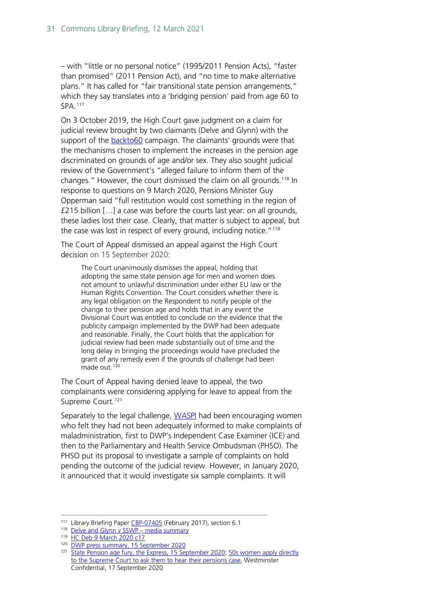– with "little or no personal notice" (1995/2011 Pension Acts), "faster than promised" (2011 Pension Act), and "no time to make alternative plans." It has called for "fair transitional state pension arrangements," which they say translates into a 'bridging pension' paid from age 60 to SPA.[117](#page-30-0)

On 3 October 2019, the High Court gave judgment on a claim for judicial review brought by two claimants (Delve and Glynn) with the support of the [backto60](https://www.backto60.com/legal) campaign. The claimants' grounds were that the mechanisms chosen to implement the increases in the pension age discriminated on grounds of age and/or sex. They also sought judicial review of the Government's "alleged failure to inform them of the changes." However, the court dismissed the claim on all grounds.[118](#page-30-1) In response to questions on 9 March 2020, Pensions Minister Guy Opperman said "full restitution would cost something in the region of £215 billion […] a case was before the courts last year: on all grounds, these ladies lost their case. Clearly, that matter is subject to appeal, but the case was lost in respect of every ground, including notice."<sup>[119](#page-30-2)</sup>

The Court of Appeal dismissed an appeal against the High Court decision on 15 September 2020:

The Court unanimously dismisses the appeal, holding that adopting the same state pension age for men and women does not amount to unlawful discrimination under either EU law or the Human Rights Convention. The Court considers whether there is any legal obligation on the Respondent to notify people of the change to their pension age and holds that in any event the Divisional Court was entitled to conclude on the evidence that the publicity campaign implemented by the DWP had been adequate and reasonable. Finally, the Court holds that the application for judicial review had been made substantially out of time and the long delay in bringing the proceedings would have precluded the grant of any remedy even if the grounds of challenge had been made out.<sup>[120](#page-30-3)</sup>

The Court of Appeal having denied leave to appeal, the two complainants were considering applying for leave to appeal from the Supreme Court.<sup>[121](#page-30-4)</sup>

Separately to the legal challenge, [WASPI](https://www.waspi.co.uk/2018/09/11/dwp-mass-action-complaint/) had been encouraging women who felt they had not been adequately informed to make complaints of maladministration, first to DWP's Independent Case Examiner (ICE) and then to the Parliamentary and Health Service Ombudsman (PHSO). The PHSO put its proposal to investigate a sample of complaints on hold pending the outcome of the judicial review. However, in January 2020, it announced that it would investigate six sample complaints. It will

<span id="page-30-1"></span><span id="page-30-0"></span><sup>&</sup>lt;sup>117</sup> Library Briefing Paper [CBP-07405](http://researchbriefings.parliament.uk/ResearchBriefing/Summary/CBP-7405) (February 2017), section 6.1

<sup>118</sup> Delve and Glynn v SSWP - media summary

<span id="page-30-2"></span><sup>119</sup> [HC Deb 9 March 2020 c17](https://hansard.parliament.uk/Commons/2020-03-09/debates/ECE3C7A0-C8B3-4708-A593-9341066D8598/StatePensionAgeEqualisationFinancialSupportForWomen#contribution-11BF16ED-CFF1-46C7-B326-FE6EA238E37F)

<span id="page-30-3"></span><sup>120</sup> [DWP press summary, 15 September 2020](https://www.judiciary.uk/wp-content/uploads/2020/09/Delve-and-Glynn-v-SOS-for-Work-and-Pensions-press-summary.pdf)

<span id="page-30-4"></span><sup>&</sup>lt;sup>121</sup> [State Pension age fury, the Express, 15 September 2020;](https://www.express.co.uk/finance/personalfinance/1335851/state-pension-age-change-news-back-to-60-appeal-latest-update) 50s women apply directly [to the Supreme Court to ask them to hear their pensions case,](https://davidhencke.com/2020/09/17/50s-women-to-apply-directly-to-supreme-court-to-ask-them-to-hear-pensions-case/) Westminster Confidential, 17 September 2020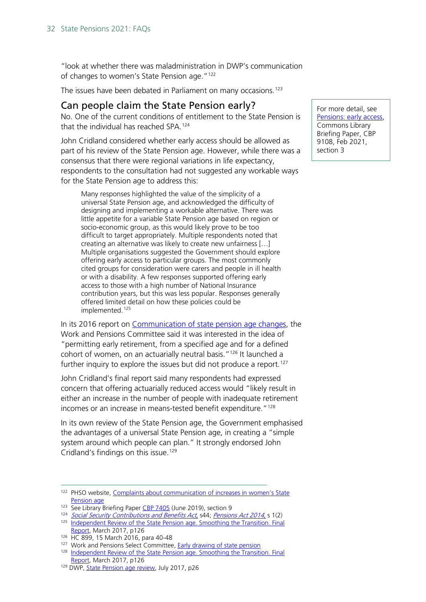"look at whether there was maladministration in DWP's communication of changes to women's State Pension age."<sup>[122](#page-31-1)</sup>

The issues have been debated in Parliament on many occasions.<sup>[123](#page-31-2)</sup>

## <span id="page-31-0"></span>Can people claim the State Pension early?

No. One of the current conditions of entitlement to the State Pension is that the individual has reached SPA.[124](#page-31-3)

John Cridland considered whether early access should be allowed as part of his review of the State Pension age. However, while there was a consensus that there were regional variations in life expectancy, respondents to the consultation had not suggested any workable ways for the State Pension age to address this:

Many responses highlighted the value of the simplicity of a universal State Pension age, and acknowledged the difficulty of designing and implementing a workable alternative. There was little appetite for a variable State Pension age based on region or socio-economic group, as this would likely prove to be too difficult to target appropriately. Multiple respondents noted that creating an alternative was likely to create new unfairness […] Multiple organisations suggested the Government should explore offering early access to particular groups. The most commonly cited groups for consideration were carers and people in ill health or with a disability. A few responses supported offering early access to those with a high number of National Insurance contribution years, but this was less popular. Responses generally offered limited detail on how these policies could be implemented.<sup>[125](#page-31-4)</sup>

In its 2016 report on [Communication of state pension age changes,](http://www.publications.parliament.uk/pa/cm201516/cmselect/cmworpen/899/899.pdf) the Work and Pensions Committee said it was interested in the idea of "permitting early retirement, from a specified age and for a defined cohort of women, on an actuarially neutral basis."<sup>126</sup> It launched a further inquiry to explore the issues but did not produce a report.<sup>[127](#page-31-6)</sup>

John Cridland's final report said many respondents had expressed concern that offering actuarially reduced access would "likely result in either an increase in the number of people with inadequate retirement incomes or an increase in means-tested benefit expenditure."<sup>[128](#page-31-7)</sup>

In its own review of the State Pension age, the Government emphasised the advantages of a universal State Pension age, in creating a "simple system around which people can plan." It strongly endorsed John Cridland's findings on this issue.<sup>[129](#page-31-8)</sup>

For more detail, see [Pensions: early access,](https://commonslibrary.parliament.uk/research-briefings/cbp-9108/) Commons Library Briefing Paper, CBP 9108, Feb 2021, section 3

<span id="page-31-1"></span><sup>122</sup> PHSO website, Complaints about communication of increases in women's State [Pension age](https://www.ombudsman.org.uk/complaints-womens-state-pension-age)

<span id="page-31-2"></span><sup>&</sup>lt;sup>123</sup> See Library Briefing Paper [CBP 7405](https://researchbriefings.parliament.uk/ResearchBriefing/Summary/CBP-7405) (June 2019), section 9

<span id="page-31-3"></span><sup>124</sup> [Social Security Contributions and Benefits Act](http://www.legislation.gov.uk/ukpga/1992/4/pdfs/ukpga_19920004_310516_en.pdf), s44; [Pensions Act 2014](http://www.legislation.gov.uk/ukpga/2014/19/contents), s 1(2)

<span id="page-31-4"></span><sup>&</sup>lt;sup>125</sup> Independent Review of the State Pension age. Smoothing the Transition. Final [Report,](https://www.gov.uk/government/uploads/system/uploads/attachment_data/file/602145/independent-review-of-the-state-pension-age-smoothing-the-transition.pdf) March 2017, p126

<span id="page-31-5"></span><sup>126</sup> HC 899, 15 March 2016, para 40-48

<span id="page-31-6"></span><sup>&</sup>lt;sup>127</sup> Work and Pensions Select Committee, **Early drawing of state pension** 

<span id="page-31-7"></span><sup>128</sup> [Independent Review of the State Pension age. Smoothing the Transition. Final](https://www.gov.uk/government/uploads/system/uploads/attachment_data/file/602145/independent-review-of-the-state-pension-age-smoothing-the-transition.pdf)  [Report,](https://www.gov.uk/government/uploads/system/uploads/attachment_data/file/602145/independent-review-of-the-state-pension-age-smoothing-the-transition.pdf) March 2017, p126

<span id="page-31-8"></span><sup>&</sup>lt;sup>129</sup> DWP[, State Pension age review,](https://hansard.parliament.uk/commons/2018-02-08/debates/5DB1E4AA-31EF-443C-9557-E5ED4968B8DC/StatePensionAge) July 2017, p26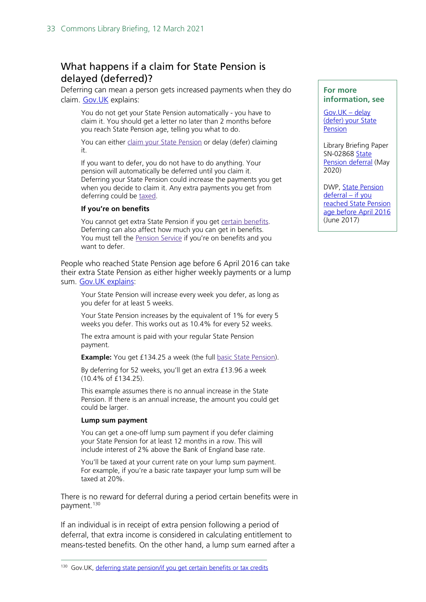## <span id="page-32-0"></span>What happens if a claim for State Pension is delayed (deferred)?

Deferring can mean a person gets increased payments when they do claim. [Gov.UK](https://www.gov.uk/deferring-state-pension) explains:

You do not get your State Pension automatically - you have to claim it. You should get a letter no later than 2 months before you reach State Pension age, telling you what to do.

You can either claim your State [Pension](https://www.gov.uk/new-state-pension/how-to-claim) or delay (defer) claiming it.

If you want to defer, you do not have to do anything. Your pension will automatically be deferred until you claim it. Deferring your State Pension could increase the payments you get when you decide to claim it. Any extra payments you get from deferring could be [taxed.](https://www.gov.uk/tax-on-pension)

#### **If you're on benefits**

You cannot get extra State Pension if you get certain [benefits.](https://www.gov.uk/deferring-state-pension/extra-state-pension-and-lump-sum-payments) Deferring can also affect how much you can get in benefits. You must tell the [Pension](https://www.gov.uk/contact-pension-service) Service if you're on benefits and you want to defer.

People who reached State Pension age before 6 April 2016 can take their extra State Pension as either higher weekly payments or a lump sum. [Gov.UK explains:](https://www.gov.uk/deferring-state-pension/what-you-get)

Your State Pension will increase every week you defer, as long as you defer for at least 5 weeks.

Your State Pension increases by the equivalent of 1% for every 5 weeks you defer. This works out as 10.4% for every 52 weeks.

The extra amount is paid with your regular State Pension payment.

**Example:** You get £134.25 a week (the full **basic State Pension**).

By deferring for 52 weeks, you'll get an extra £13.96 a week (10.4% of £134.25).

This example assumes there is no annual increase in the State Pension. If there is an annual increase, the amount you could get could be larger.

#### **Lump sum payment**

You can get a one-off lump sum payment if you defer claiming your State Pension for at least 12 months in a row. This will include interest of 2% above the Bank of England base rate.

You'll be taxed at your current rate on your lump sum payment. For example, if you're a basic rate taxpayer your lump sum will be taxed at 20%.

There is no reward for deferral during a period certain benefits were in payment. [130](#page-32-1)

If an individual is in receipt of extra pension following a period of deferral, that extra income is considered in calculating entitlement to means-tested benefits. On the other hand, a lump sum earned after a

#### **For more information, see**

Gov.UK – delay [\(defer\) your](https://www.gov.uk/deferring-state-pension/how-it-works) State [Pension](https://www.gov.uk/deferring-state-pension/how-it-works)

Library Briefing Paper SN-02868 [State](http://researchbriefings.parliament.uk/ResearchBriefing/Summary/SN02868)  [Pension deferral](http://researchbriefings.parliament.uk/ResearchBriefing/Summary/SN02868) (May 2020)

DWP, [State Pension](https://www.gov.uk/government/uploads/system/uploads/attachment_data/file/626494/state-pension-deferral-if-you-reached-state-pension-age-before-6-april-2016-extra-information.pdf)  [deferral –](https://www.gov.uk/government/uploads/system/uploads/attachment_data/file/626494/state-pension-deferral-if-you-reached-state-pension-age-before-6-april-2016-extra-information.pdf) if you [reached State Pension](https://www.gov.uk/government/uploads/system/uploads/attachment_data/file/626494/state-pension-deferral-if-you-reached-state-pension-age-before-6-april-2016-extra-information.pdf)  [age before April 2016](https://www.gov.uk/government/uploads/system/uploads/attachment_data/file/626494/state-pension-deferral-if-you-reached-state-pension-age-before-6-april-2016-extra-information.pdf) (June 2017)

<span id="page-32-1"></span><sup>&</sup>lt;sup>130</sup> Gov.UK, [deferring state pension/if you get certain benefits or tax credits](https://www.gov.uk/deferring-state-pension/extra-state-pension-and-lump-sum-payments)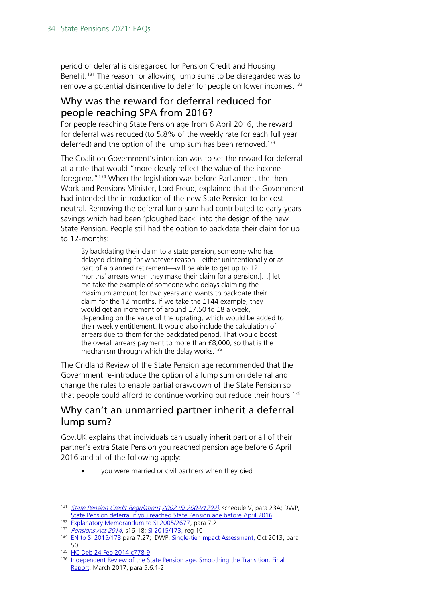period of deferral is disregarded for Pension Credit and Housing Benefit.<sup>[131](#page-33-1)</sup> The reason for allowing lump sums to be disregarded was to remove a potential disincentive to defer for people on lower incomes.<sup>[132](#page-33-2)</sup>

## <span id="page-33-0"></span>Why was the reward for deferral reduced for people reaching SPA from 2016?

For people reaching State Pension age from 6 April 2016, the reward for deferral was reduced (to 5.8% of the weekly rate for each full year deferred) and the option of the lump sum has been removed.<sup>[133](#page-33-3)</sup>

The Coalition Government's intention was to set the reward for deferral at a rate that would "more closely reflect the value of the income foregone."[134](#page-33-4) When the legislation was before Parliament, the then Work and Pensions Minister, Lord Freud, explained that the Government had intended the introduction of the new State Pension to be costneutral. Removing the deferral lump sum had contributed to early-years savings which had been 'ploughed back' into the design of the new State Pension. People still had the option to backdate their claim for up to 12-months:

By backdating their claim to a state pension, someone who has delayed claiming for whatever reason—either unintentionally or as part of a planned retirement—will be able to get up to 12 months' arrears when they make their claim for a pension.[…] let me take the example of someone who delays claiming the maximum amount for two years and wants to backdate their claim for the 12 months. If we take the £144 example, they would get an increment of around £7.50 to £8 a week, depending on the value of the uprating, which would be added to their weekly entitlement. It would also include the calculation of arrears due to them for the backdated period. That would boost the overall arrears payment to more than £8,000, so that is the mechanism through which the delay works.<sup>[135](#page-33-5)</sup>

The Cridland Review of the State Pension age recommended that the Government re-introduce the option of a lump sum on deferral and change the rules to enable partial drawdown of the State Pension so that people could afford to continue working but reduce their hours.<sup>[136](#page-33-6)</sup>

## Why can't an unmarried partner inherit a deferral lump sum?

Gov.UK explains that individuals can usually inherit part or all of their partner's extra State Pension you reached pension age before 6 April 2016 and all of the following apply:

• you were married or civil partners when they died

<span id="page-33-1"></span><sup>131</sup> [State Pension Credit Regulations](http://www.legislation.gov.uk/uksi/2002/1792) [2002 \(SI 2002/1792\),](http://www.legislation.gov.uk/uksi/2002/1792) schedule V, para 23A; DWP, [State Pension deferral if you reached State Pension age before April 2016](https://www.gov.uk/government/uploads/system/uploads/attachment_data/file/591893/state-pension-deferral-if-you-reached-state-pension-age-before-6-april-2016-extra-information.pdf)

<span id="page-33-2"></span><sup>&</sup>lt;sup>132</sup> [Explanatory Memorandum to](http://www.legislation.gov.uk/uksi/2005/2677/pdfs/uksiem_20052677_en.pdf) SI 2005/2677, para 7.2

<sup>133</sup> [Pensions Act 2014](http://www.legislation.gov.uk/ukpga/2014/19/contents), s16-18; [SI 2015/173,](http://www.legislation.gov.uk/uksi/2015/173/contents/made) reg 10

<span id="page-33-4"></span><span id="page-33-3"></span><sup>134</sup> [EN to SI 2015/173](http://www.legislation.gov.uk/uksi/2015/173/pdfs/uksiem_20150173_en.pdf) para 7.27; DWP, [Single-tier Impact Assessment,](http://webarchive.nationalarchives.gov.uk/20150207214050/https:/www.gov.uk/government/uploads/system/uploads/attachment_data/file/254151/a-pensions-bill-single-tier-ia-oct-2013.pdf) Oct 2013, para 50

<span id="page-33-5"></span><sup>135</sup> [HC Deb 24 Feb 2014 c778-9](https://publications.parliament.uk/pa/ld201314/ldhansrd/text/140224-0002.htm#14022426000154)

<span id="page-33-6"></span><sup>136</sup> Independent Review of the State Pension age. Smoothing the Transition. Final [Report,](https://www.gov.uk/government/uploads/system/uploads/attachment_data/file/602145/independent-review-of-the-state-pension-age-smoothing-the-transition.pdf) March 2017, para 5.6.1-2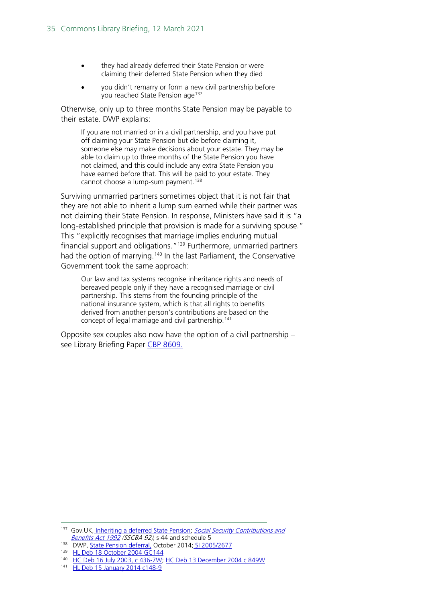- they had already deferred their State Pension or were claiming their deferred State Pension when they died
- you didn't remarry or form a new civil partnership before you reached State Pension age<sup>[137](#page-34-0)</sup>

Otherwise, only up to three months State Pension may be payable to their estate. DWP explains:

If you are not married or in a civil partnership, and you have put off claiming your State Pension but die before claiming it, someone else may make decisions about your estate. They may be able to claim up to three months of the State Pension you have not claimed, and this could include any extra State Pension you have earned before that. This will be paid to your estate. They cannot choose a lump-sum payment.<sup>[138](#page-34-1)</sup>

Surviving unmarried partners sometimes object that it is not fair that they are not able to inherit a lump sum earned while their partner was not claiming their State Pension. In response, Ministers have said it is "a long-established principle that provision is made for a surviving spouse." This "explicitly recognises that marriage implies enduring mutual financial support and obligations."[139](#page-34-2) Furthermore, unmarried partners had the option of marrying.<sup>[140](#page-34-3)</sup> In the last Parliament, the Conservative Government took the same approach:

Our law and tax systems recognise inheritance rights and needs of bereaved people only if they have a recognised marriage or civil partnership. This stems from the founding principle of the national insurance system, which is that all rights to benefits derived from another person's contributions are based on the concept of legal marriage and civil partnership.<sup>[141](#page-34-4)</sup>

Opposite sex couples also now have the option of a civil partnership – see Library Briefing Paper [CBP 8609.](https://commonslibrary.parliament.uk/research-briefings/cbp-8609/)

<span id="page-34-0"></span><sup>137</sup> Gov.UK, [Inheriting a deferred State Pension;](https://www.gov.uk/deferring-state-pension/tax-and-inheritance) Social Security Contributions and [Benefits Act 1992](http://www.legislation.gov.uk/ukpga/1992/4/pdfs/ukpga_19920004_310515_en.pdf) (SSCBA 92), s 44 and schedule 5

<span id="page-34-1"></span><sup>138</sup> DWP, [State Pension deferral,](https://web.archive.org/web/20151010175220/https:/www.gov.uk/government/uploads/system/uploads/attachment_data/file/372517/dwp024-102014.pdf) October 2014; [SI 2005/2677](http://www.legislation.gov.uk/uksi/2005/2677/memorandum/contents)

<span id="page-34-2"></span><sup>139</sup> [HL Deb 18 October 2004 GC144](http://www.publications.parliament.uk/pa/ld200304/ldhansrd/vo041018/text/41018-39.htm)

<span id="page-34-3"></span><sup>&</sup>lt;sup>140</sup> [HC Deb 16 July 2003, c 436-7W;](https://www.publications.parliament.uk/pa/cm200203/cmhansrd/vo030716/text/30716w36.htm#30716w36.html_sbhd3) [HC Deb 13 December 2004 c 849W](https://www.publications.parliament.uk/pa/cm200405/cmhansrd/vo041213/text/41213w16.htm#41213w16.html_sbhd2)

<span id="page-34-4"></span><sup>141</sup> [HL Deb 15 January 2014 c148-9](http://www.publications.parliament.uk/pa/ld201314/ldhansrd/text/140115-gc0001.htm#140115104000080)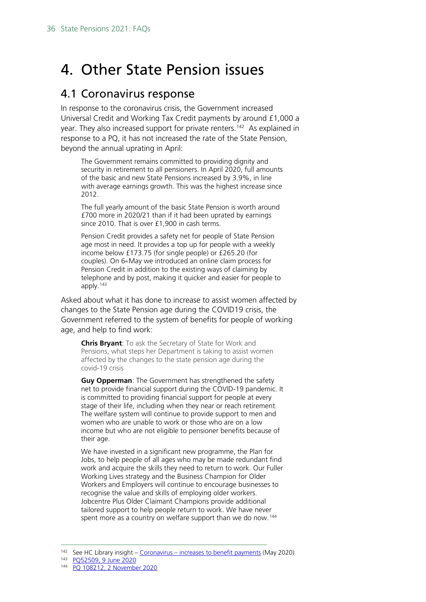# <span id="page-35-0"></span>4. Other State Pension issues

## <span id="page-35-1"></span>4.1 Coronavirus response

In response to the coronavirus crisis, the Government increased Universal Credit and Working Tax Credit payments by around £1,000 a year. They also increased support for private renters.<sup>[142](#page-35-2)</sup> As explained in response to a PQ, it has not increased the rate of the State Pension, beyond the annual uprating in April:

The Government remains committed to providing dignity and security in retirement to all pensioners. In April 2020, full amounts of the basic and new State Pensions increased by 3.9%, in line with average earnings growth. This was the highest increase since 2012.

The full yearly amount of the basic State Pension is worth around £700 more in 2020/21 than if it had been uprated by earnings since 2010. That is over £1,900 in cash terms.

Pension Credit provides a safety net for people of State Pension age most in need. It provides a top up for people with a weekly income below £173.75 (for single people) or £265.20 (for couples). On 6<sup>th</sup>May we introduced an online claim process for Pension Credit in addition to the existing ways of claiming by telephone and by post, making it quicker and easier for people to apply.[143](#page-35-3)

Asked about what it has done to increase to assist women affected by changes to the State Pension age during the COVID19 crisis, the Government referred to the system of benefits for people of working age, and help to find work:

**Chris Bryant**: To ask the Secretary of State for Work and Pensions, what steps her Department is taking to assist women affected by the changes to the state pension age during the covid-19 crisis

**Guy Opperman**: The Government has strengthened the safety net to provide financial support during the COVID-19 pandemic. It is committed to providing financial support for people at every stage of their life, including when they near or reach retirement. The welfare system will continue to provide support to men and women who are unable to work or those who are on a low income but who are not eligible to pensioner benefits because of their age.

We have invested in a significant new programme, the Plan for Jobs, to help people of all ages who may be made redundant find work and acquire the skills they need to return to work. Our Fuller Working Lives strategy and the Business Champion for Older Workers and Employers will continue to encourage businesses to recognise the value and skills of employing older workers. Jobcentre Plus Older Claimant Champions provide additional tailored support to help people return to work. We have never spent more as a country on welfare support than we do now.<sup>[144](#page-35-4)</sup>

<span id="page-35-2"></span> $142$  See HC Library insight – Coronavirus – [increases to benefit payments](https://commonslibrary.parliament.uk/insights/coronavirus-increases-to-benefits-payments/) (May 2020)

<span id="page-35-3"></span><sup>143</sup> [PQ52509, 9 June 2020](https://www.parliament.uk/written-questions-answers-statements/written-question/commons/2020-06-01/52509)

<span id="page-35-4"></span><sup>144</sup> PQ 108212, [2 November 2020](https://questions-statements.parliament.uk/written-questions/detail/2020-10-23/108212)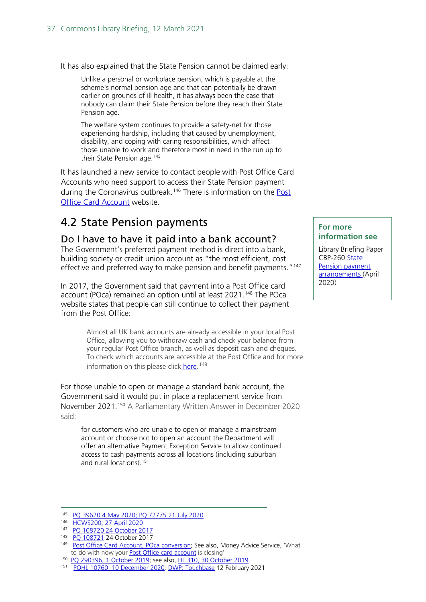It has also explained that the State Pension cannot be claimed early:

Unlike a personal or workplace pension, which is payable at the scheme's normal pension age and that can potentially be drawn earlier on grounds of ill health, it has always been the case that nobody can claim their State Pension before they reach their State Pension age.

The welfare system continues to provide a safety-net for those experiencing hardship, including that caused by unemployment, disability, and coping with caring responsibilities, which affect those unable to work and therefore most in need in the run up to their State Pension age.<sup>[145](#page-36-2)</sup>

It has launched a new service to contact people with Post Office Card Accounts who need support to access their State Pension payment during the Coronavirus outbreak.<sup>[146](#page-36-3)</sup> There is information on the Post [Office Card Account](https://www.postoffice.co.uk/coronavirus-help-support/card-account) website.

# <span id="page-36-0"></span>4.2 State Pension payments

### <span id="page-36-1"></span>Do I have to have it paid into a bank account?

The Government's preferred payment method is direct into a bank, building society or credit union account as "the most efficient, cost effective and preferred way to make pension and benefit payments."<sup>[147](#page-36-4)</sup>

In 2017, the Government said that payment into a Post Office card account (POca) remained an option until at least 2021. [148](#page-36-5) The POca website states that people can still continue to collect their payment from the Post Office:

> Almost all UK bank accounts are already accessible in your local Post Office, allowing you to withdraw cash and check your balance from your regular Post Office branch, as well as deposit cash and cheques. To check which accounts are accessible at the Post Office and for more information on this please click [here.](http://www.postoffice.co.uk/everydaybanking)<sup>[149](#page-36-6)</sup>

For those unable to open or manage a standard bank account, the Government said it would put in place a replacement service from November 2021.[150](#page-36-7) A Parliamentary Written Answer in December 2020 said:

for customers who are unable to open or manage a mainstream account or choose not to open an account the Department will offer an alternative Payment Exception Service to allow continued access to cash payments across all locations (including suburban and rural locations).<sup>[151](#page-36-8)</sup>

#### **For more information see**

Library Briefing Paper CBP-260 State [Pension payment](http://researchbriefings.parliament.uk/ResearchBriefing/Summary/SN00260)  [arrangements](http://researchbriefings.parliament.uk/ResearchBriefing/Summary/SN00260) (April 2020)

<span id="page-36-3"></span><span id="page-36-2"></span><sup>145</sup> [PQ 39620 4 May 2020;](https://www.parliament.uk/written-questions-answers-statements/written-question/commons/2020-04-23/39620) [PQ 72775 21 July 2020](https://www.parliament.uk/written-questions-answers-statements/written-question/commons/2020-07-13/72775)

<sup>146</sup> [HCWS200, 27 April 2020](https://www.parliament.uk/written-questions-answers-statements/written-statement/Commons/2020-04-27/HCWS200)

<sup>147</sup> [PQ 108720 24 October 2017](http://www.parliament.uk/written-questions-answers-statements/written-question/commons/2017-10-19/108720)

<span id="page-36-5"></span><span id="page-36-4"></span><sup>148</sup> [PQ 108721](http://www.parliament.uk/business/publications/written-questions-answers-statements/written-question/Commons/2017-10-19/108721) 24 October 2017

<span id="page-36-6"></span><sup>149</sup> [Post Office Card Account, POca conversion;](https://www.postoffice.co.uk/post-office-card-account) See also, Money Advice Service, 'What to do with now your **Post Office card account** is closing'

<span id="page-36-7"></span><sup>150</sup> [PQ 290396, 1 October 2019;](https://www.parliament.uk/written-questions-answers-statements/written-question/commons/2019-09-24/290396) see also, [HL 310, 30 October 2019](https://www.parliament.uk/written-questions-answers-statements/written-question/lords/2019-10-22/HL310)

<span id="page-36-8"></span><sup>151</sup> [PQHL 10760, 10 December 2020.](https://questions-statements.parliament.uk/written-questions/detail/2020-11-26/HL10760) DWP: [Touchbase](https://teacakeclub.org/2021/02/16/dwp-touchbase-29-january-2020/) 12 February 2021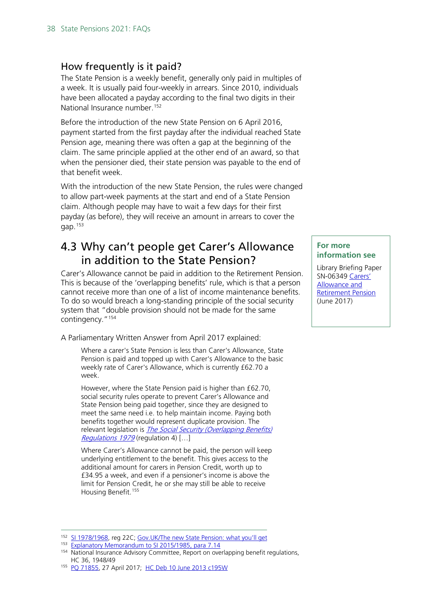## <span id="page-37-0"></span>How frequently is it paid?

The State Pension is a weekly benefit, generally only paid in multiples of a week. It is usually paid four-weekly in arrears. Since 2010, individuals have been allocated a payday according to the final two digits in their National Insurance number. [152](#page-37-2)

Before the introduction of the new State Pension on 6 April 2016, payment started from the first payday after the individual reached State Pension age, meaning there was often a gap at the beginning of the claim. The same principle applied at the other end of an award, so that when the pensioner died, their state pension was payable to the end of that benefit week.

With the introduction of the new State Pension, the rules were changed to allow part-week payments at the start and end of a State Pension claim. Although people may have to wait a few days for their first payday (as before), they will receive an amount in arrears to cover the gap. [153](#page-37-3)

## <span id="page-37-1"></span>4.3 Why can't people get Carer's Allowance in addition to the State Pension?

Carer's Allowance cannot be paid in addition to the Retirement Pension. This is because of the 'overlapping benefits' rule, which is that a person cannot receive more than one of a list of income maintenance benefits. To do so would breach a long-standing principle of the social security system that "double provision should not be made for the same contingency."[154](#page-37-4)

A Parliamentary Written Answer from April 2017 explained:

Where a carer's State Pension is less than Carer's Allowance, State Pension is paid and topped up with Carer's Allowance to the basic weekly rate of Carer's Allowance, which is currently £62.70 a week.

However, where the State Pension paid is higher than £62.70, social security rules operate to prevent Carer's Allowance and State Pension being paid together, since they are designed to meet the same need i.e. to help maintain income. Paying both benefits together would represent duplicate provision. The relevant legislation is *The Social Security (Overlapping Benefits)* [Regulations 1979](http://www.legislation.gov.uk/uksi/1979/597/pdfs/uksi_19790597_290216_en.pdf) (regulation 4) [...]

Where Carer's Allowance cannot be paid, the person will keep underlying entitlement to the benefit. This gives access to the additional amount for carers in Pension Credit, worth up to £34.95 a week, and even if a pensioner's income is above the limit for Pension Credit, he or she may still be able to receive Housing Benefit.<sup>[155](#page-37-5)</sup>

#### **For more information see**

Library Briefing Paper SN-06349 [Carers'](http://researchbriefings.parliament.uk/ResearchBriefing/Summary/SN06349)  [Allowance and](http://researchbriefings.parliament.uk/ResearchBriefing/Summary/SN06349)  [Retirement Pension](http://researchbriefings.parliament.uk/ResearchBriefing/Summary/SN06349) (June 2017)

<span id="page-37-2"></span><sup>152</sup> [SI 1978/1968,](https://www.legislation.gov.uk/uksi/1987/1968/contents) reg 22C; Gov. UK/The new State Pension: what you'll get

<span id="page-37-3"></span><sup>153</sup> [Explanatory Memorandum to SI 2015/1985, para 7.14](http://www.legislation.gov.uk/uksi/2015/1985/memorandum/contents)

<span id="page-37-4"></span><sup>154</sup> National Insurance Advisory Committee, Report on overlapping benefit regulations, HC 36, 1948/49

<span id="page-37-5"></span><sup>155</sup> [PQ 71855,](http://www.parliament.uk/written-questions-answers-statements/written-question/commons/2017-04-25/71855) 27 April 2017; [HC Deb 10 June 2013 c195W](https://www.publications.parliament.uk/pa/cm201314/cmhansrd/cm130610/text/130610w0007.htm#13061115001787)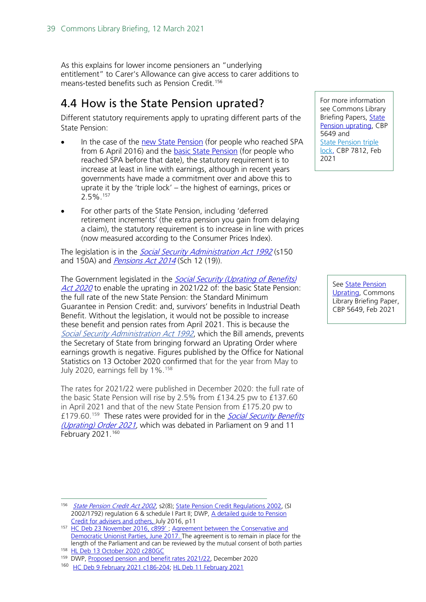As this explains for lower income pensioners an "underlying entitlement" to Carer's Allowance can give access to carer additions to means-tested benefits such as Pension Credit. [156](#page-38-1)

## <span id="page-38-0"></span>4.4 How is the State Pension uprated?

Different statutory requirements apply to uprating different parts of the State Pension:

- In the case of the [new State Pension](https://www.gov.uk/new-state-pension) (for people who reached SPA from 6 April 2016) and the **basic State Pension** (for people who reached SPA before that date), the statutory requirement is to increase at least in line with earnings, although in recent years governments have made a commitment over and above this to uprate it by the 'triple lock' – the highest of earnings, prices or 2.5%.[157](#page-38-2)
- For other parts of the State Pension, including 'deferred retirement increments' (the extra pension you gain from delaying a claim), the statutory requirement is to increase in line with prices (now measured according to the Consumer Prices Index).

The legislation is in the *[Social Security Administration Act 1992](http://www.legislation.gov.uk/ukpga/1992/5/contents)* (s150 and 150A) and *[Pensions Act 2014](http://www.legislation.gov.uk/ukpga/2014/19/contents)* (Sch 12 (19)).

The Government legislated in the Social Security (Uprating of Benefits) [Act 2020](https://www.legislation.gov.uk/ukpga/2020/23/contents/enacted/data.htm)</u> to enable the uprating in 2021/22 of: the basic State Pension: the full rate of the new State Pension: the Standard Minimum Guarantee in Pension Credit: and, survivors' benefits in Industrial Death Benefit. Without the legislation, it would not be possible to increase these benefit and pension rates from April 2021. This is because the Social Security [Administration](https://www.legislation.gov.uk/ukpga/1992/5/pdfs/ukpga_19920005_310320_en.pdf#page=146) Act 1992, which the Bill amends, prevents the Secretary of State from bringing forward an Uprating Order where earnings growth is negative. Figures published by the Office for National Statistics on 13 October 2020 confirmed that for the year from May to July 2020, earnings fell by 1%. [158](#page-38-3)

The rates for 2021/22 were published in December 2020: the full rate of the basic State Pension will rise by 2.5% from £134.25 pw to £137.60 in April 2021 and that of the new State Pension from £175.20 pw to £179.60.<sup>[159](#page-38-4)</sup> These rates were provided for in the **Social Security Benefits** [\(Uprating\) Order 2021,](https://www.legislation.gov.uk/ukdsi/2021/9780348219128/contents) which was debated in Parliament on 9 and 11 February 2021.<sup>160</sup>

For more information see Commons Library Briefing Papers, [State](https://commonslibrary.parliament.uk/research-briefings/sn05649/)  [Pension uprating,](https://commonslibrary.parliament.uk/research-briefings/sn05649/) CBP 5649 and [State Pension triple](http://researchbriefings.parliament.uk/ResearchBriefing/Summary/CBP-7812)  [lock,](http://researchbriefings.parliament.uk/ResearchBriefing/Summary/CBP-7812) CBP 7812, Feb 2021

> Se[e State Pension](https://commonslibrary.parliament.uk/research-briefings/sn05649/)  [Uprating,](https://commonslibrary.parliament.uk/research-briefings/sn05649/) Commons Library Briefing Paper, CBP 5649, Feb 2021

<span id="page-38-1"></span><sup>156</sup> [State Pension Credit Act 2002](http://www.legislation.gov.uk/ukpga/2002/16/contents), s2(8); [State Pension Credit Regulations 2002,](http://www.legislation.gov.uk/uksi/2002/1792) (SI 2002/1792) regulation 6 & schedule I Part II; DWP, [A detailed guide to Pension](https://www.gov.uk/government/publications/pension-credit-technical-guidance)  [Credit for advisers and others, J](https://www.gov.uk/government/publications/pension-credit-technical-guidance)uly 2016, p11

<span id="page-38-2"></span><sup>&</sup>lt;sup>157</sup> HC Deb 23 November 2016, c899', Agreement between the Conservative and [Democratic Unionist Parties,](https://www.gov.uk/government/uploads/system/uploads/attachment_data/file/621794/Confidence_and_Supply_Agreement_between_the_Conservative_Party_and_the_DUP.pdf) June 2017. The agreement is to remain in place for the length of the Parliament and can be reviewed by the mutual consent of both parties 158 [HL Deb 13 October 2020 c280GC](https://hansard.parliament.uk/lords/2020-10-13/debates/33FB777E-738A-40D9-A4E7-7D0A36EC0BE6/SocialSecurity(Up-RatingOfBenefits)Bill)

<span id="page-38-4"></span><span id="page-38-3"></span><sup>&</sup>lt;sup>159</sup> DWP, [Proposed pension and benefit rates 2021/22,](https://assets.publishing.service.gov.uk/government/uploads/system/uploads/attachment_data/file/942131/benefit-and-pension-rates-2021-2022.pdf) December 2020

<span id="page-38-5"></span><sup>160</sup> [HC Deb 9 February 2021 c186-204;](https://hansard.parliament.uk/Commons/2021-02-09/debates/50814D06-6F47-44D9-954B-EA5D4171C2B1/SocialSecurity) [HL Deb 11 February 2021](https://hansard.parliament.uk/Lords/2021-02-11/debates/851A2FFB-5792-4533-818E-E8CB38A571E2/SocialSecurityBenefitsUp-RatingOrder2021)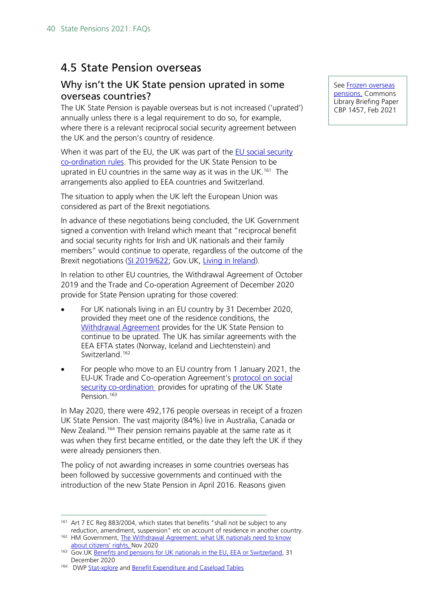## <span id="page-39-0"></span>4.5 State Pension overseas

## <span id="page-39-1"></span>Why isn't the UK State pension uprated in some overseas countries?

The UK State Pension is payable overseas but is not increased ('uprated') annually unless there is a legal requirement to do so, for example, where there is a relevant reciprocal social security agreement between the UK and the person's country of residence.

When it was part of the EU, the UK was part of the **EU** social security [co-ordination rules.](https://ec.europa.eu/social/main.jsp?catId=849&langId=en) This provided for the UK State Pension to be uprated in EU countries in the same way as it was in the UK.<sup>[161](#page-39-2)</sup> The arrangements also applied to EEA countries and Switzerland.

The situation to apply when the UK left the European Union was considered as part of the Brexit negotiations.

In advance of these negotiations being concluded, the UK Government signed a convention with Ireland which meant that "reciprocal benefit and social security rights for Irish and UK nationals and their family members" would continue to operate, regardless of the outcome of the Brexit negotiations [\(SI 2019/622;](http://www.legislation.gov.uk/uksi/2019/622/introduction/made) Gov.UK, [Living in Ireland\)](https://www.gov.uk/guidance/living-in-ireland#pensions).

In relation to other EU countries, the Withdrawal Agreement of October 2019 and the Trade and Co-operation Agreement of December 2020 provide for State Pension uprating for those covered:

- For UK nationals living in an EU country by 31 December 2020, provided they meet one of the residence conditions, the [Withdrawal Agreement](https://www.gov.uk/guidance/the-withdrawal-agreement-what-uk-nationals-need-to-know-about-citizens-rights#social-security-coordination) provides for the UK State Pension to continue to be uprated. The UK has similar agreements with the EEA EFTA states (Norway, Iceland and Liechtenstein) and Switzerland.<sup>[162](#page-39-3)</sup>
- For people who move to an EU country from 1 January 2021, the EU-UK Trade and Co-operation Agreement's [protocol on social](https://assets.publishing.service.gov.uk/government/uploads/system/uploads/attachment_data/file/948104/EU-UK_Trade_and_Cooperation_Agreement_24.12.2020.pdf#page=1132)  [security co-ordination](https://assets.publishing.service.gov.uk/government/uploads/system/uploads/attachment_data/file/948104/EU-UK_Trade_and_Cooperation_Agreement_24.12.2020.pdf#page=1132) provides for uprating of the UK State Pension.<sup>[163](#page-39-4)</sup>

In May 2020, there were 492,176 people overseas in receipt of a frozen UK State Pension. The vast majority (84%) live in Australia, Canada or New Zealand.<sup>[164](#page-39-5)</sup> Their pension remains payable at the same rate as it was when they first became entitled, or the date they left the UK if they were already pensioners then.

The policy of not awarding increases in some countries overseas has been followed by successive governments and continued with the introduction of the new State Pension in April 2016. Reasons given

See [Frozen overseas](http://researchbriefings.parliament.uk/ResearchBriefing/Summary/SN01457)  [pensions,](http://researchbriefings.parliament.uk/ResearchBriefing/Summary/SN01457) Commons Library Briefing Paper CBP 1457, Feb 2021

<span id="page-39-2"></span><sup>&</sup>lt;sup>161</sup> Art 7 EC Reg 883/2004, which states that benefits "shall not be subject to any reduction, amendment, suspension" etc on account of residence in another country.

<span id="page-39-3"></span><sup>162</sup> HM Government, The Withdrawal Agreement: what UK nationals need to know [about citizens' rights, N](https://www.gov.uk/guidance/the-withdrawal-agreement-what-uk-nationals-need-to-know-about-citizens-rights#social-security-coordination)ov 2020

<span id="page-39-4"></span><sup>163</sup> Gov.UK [Benefits and pensions for UK nationals in the EU, EEA or Switzerland,](https://www.gov.uk/guidance/benefits-and-pensions-for-uk-nationals-in-the-eea-or-switzerland) 31 December 2020

<span id="page-39-5"></span><sup>164</sup> DW[P Stat-xplore](https://stat-xplore.dwp.gov.uk/webapi/jsf/dataCatalogueExplorer.xhtml) an[d Benefit Expenditure and Caseload Tables](https://www.gov.uk/government/publications/benefit-expenditure-and-caseload-tables-2020)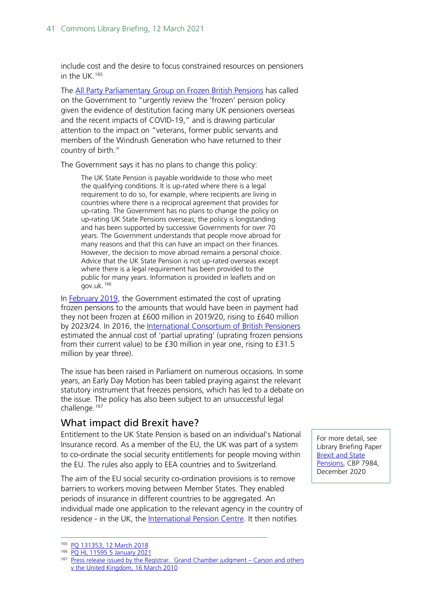include cost and the desire to focus constrained resources on pensioners in the UK.[165](#page-40-1)

The [All Party Parliamentary Group on Frozen British Pensions](http://frozenbritishpensions.org/wp-content/uploads/2020/12/2020-APPG-report.pdf) has called on the Government to "urgently review the 'frozen' pension policy given the evidence of destitution facing many UK pensioners overseas and the recent impacts of COVID-19," and is drawing particular attention to the impact on "veterans, former public servants and members of the Windrush Generation who have returned to their country of birth."

The Government says it has no plans to change this policy:

The UK State Pension is payable worldwide to those who meet the qualifying conditions. It is up-rated where there is a legal requirement to do so, for example, where recipients are living in countries where there is a reciprocal agreement that provides for up-rating. The Government has no plans to change the policy on up-rating UK State Pensions overseas; the policy is longstanding and has been supported by successive Governments for over 70 years. The Government understands that people move abroad for many reasons and that this can have an impact on their finances. However, the decision to move abroad remains a personal choice. Advice that the UK State Pension is not up-rated overseas except where there is a legal requirement has been provided to the public for many years. Information is provided in leaflets and on gov.uk.[166](#page-40-2)

In [February 2019,](https://www.gov.uk/government/publications/estimated-costs-of-uprating-state-pension-in-frozen-rate-countries/estimated-costs-of-uprating-state-pension-in-frozen-rate-countries) the Government estimated the cost of uprating frozen pensions to the amounts that would have been in payment had they not been frozen at £600 million in 2019/20, rising to £640 million by 2023/24. In 2016, the [International Consortium of British Pensioners](http://frozenbritishpensions.org/wp-content/uploads/2016/02/2016-Feb-ICBP-NPC-Pamphlet.pdf) estimated the annual cost of 'partial uprating' (uprating frozen pensions from their current value) to be £30 million in year one, rising to £31.5 million by year three).

The issue has been raised in Parliament on numerous occasions. In some years, an Early Day Motion has been tabled praying against the relevant statutory instrument that freezes pensions, which has led to a debate on the issue. The policy has also been subject to an unsuccessful legal challenge.[167](#page-40-3)

## <span id="page-40-0"></span>What impact did Brexit have?

Entitlement to the UK State Pension is based on an individual's National Insurance record. As a member of the EU, the UK was part of a system to co-ordinate the social security entitlements for people moving within the EU. The rules also apply to EEA countries and to Switzerland.

The aim of the EU social security co-ordination provisions is to remove barriers to workers moving between Member States. They enabled periods of insurance in different countries to be aggregated. An individual made one application to the relevant agency in the country of residence - in the UK, the [International Pension Centre.](https://www.gov.uk/international-pension-centre) It then notifies

For more detail, see Library Briefing Paper [Brexit and State](https://commonslibrary.parliament.uk/research-briefings/cbp-7894/)  [Pensions,](https://commonslibrary.parliament.uk/research-briefings/cbp-7894/) CBP 7984, December 2020

<span id="page-40-1"></span><sup>165</sup> [PQ 131353, 12 March 2018](https://www.parliament.uk/written-questions-answers-statements/written-question/commons/2018-03-06/131353)

<sup>166</sup> [PQ HL 11595 5 January 2021](https://questions-statements.parliament.uk/written-questions/detail/2020-12-17/HL11595)

<span id="page-40-3"></span><span id="page-40-2"></span><sup>&</sup>lt;sup>167</sup> [Press release issued by the Registrar. Grand Chamber judgment –](https://hudoc.echr.coe.int/eng-press#%7B%22documentcollectionid%22:%5B%22GCJUDGMENTS%22%5D,%22itemid%22:%5B%22003-3046321-3364973%22%5D%7D) Carson and others [v the United Kingdom, 16 March 2010](https://hudoc.echr.coe.int/eng-press#%7B%22documentcollectionid%22:%5B%22GCJUDGMENTS%22%5D,%22itemid%22:%5B%22003-3046321-3364973%22%5D%7D)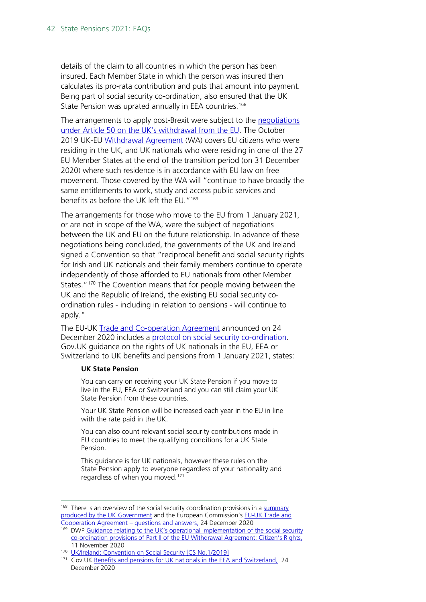details of the claim to all countries in which the person has been insured. Each Member State in which the person was insured then calculates its pro-rata contribution and puts that amount into payment. Being part of social security co-ordination, also ensured that the UK State Pension was uprated annually in EEA countries.<sup>[168](#page-41-0)</sup>

The arrangements to apply post-Brexit were subject to the negotiations [under Article 50 on the UK's withdrawal from the EU.](https://www.gov.uk/government/collections/article-50-and-negotiations-with-the-eu) The October 2019 UK-EU [Withdrawal Agreement](https://www.gov.uk/government/publications/new-withdrawal-agreement-and-political-declaration) (WA) covers EU citizens who were residing in the UK, and UK nationals who were residing in one of the 27 EU Member States at the end of the transition period (on 31 December 2020) where such residence is in accordance with EU law on free movement. Those covered by the WA will "continue to have broadly the same entitlements to work, study and access public services and benefits as before the UK left the EU."[169](#page-41-1)

The arrangements for those who move to the EU from 1 January 2021, or are not in scope of the WA, were the subject of negotiations between the UK and EU on the future relationship. In advance of these negotiations being concluded, the governments of the UK and Ireland signed a Convention so that "reciprocal benefit and social security rights for Irish and UK nationals and their family members continue to operate independently of those afforded to EU nationals from other Member States."<sup>[170](#page-41-2)</sup> The Covention means that for people moving between the UK and the Republic of Ireland, the existing EU social security coordination rules - including in relation to pensions - will continue to apply."

The EU-UK [Trade and Co-operation Agreement](https://assets.publishing.service.gov.uk/government/uploads/system/uploads/attachment_data/file/948104/EU-UK_Trade_and_Cooperation_Agreement_24.12.2020.pdf#page=260) announced on 24 December 2020 includes a [protocol on social security co-ordination.](https://assets.publishing.service.gov.uk/government/uploads/system/uploads/attachment_data/file/948104/EU-UK_Trade_and_Cooperation_Agreement_24.12.2020.pdf#page=1132) Gov.UK guidance on the rights of UK nationals in the EU, EEA or Switzerland to UK benefits and pensions from 1 January 2021, states:

#### **UK State Pension**

You can carry on receiving your UK State Pension if you move to live in the EU, EEA or Switzerland and you can still claim your UK State Pension from these countries.

Your UK State Pension will be increased each year in the EU in line with the rate paid in the UK.

You can also count relevant social security contributions made in EU countries to meet the qualifying conditions for a UK State Pension.

This guidance is for UK nationals, however these rules on the State Pension apply to everyone regardless of your nationality and regardless of when you moved.[171](#page-41-3)

<span id="page-41-0"></span><sup>&</sup>lt;sup>168</sup> There is an overview of the social security coordination provisions in a summary [produced by the UK Government](https://assets.publishing.service.gov.uk/government/uploads/system/uploads/attachment_data/file/948093/TCA_SUMMARY_PDF.pdf#page=23) and the European Commission'[s EU-UK Trade and](https://ec.europa.eu/commission/presscorner/detail/en/qanda_20_2532)  [Cooperation Agreement –](https://ec.europa.eu/commission/presscorner/detail/en/qanda_20_2532) questions and answers, 24 December 2020

<span id="page-41-1"></span><sup>169</sup> DWP Guidance relating to the UK's operational implementation of the social security [co-ordination provisions of Part II of the EU Withdrawal Agreement: Citizen's Rights,](https://www.gov.uk/government/publications/social-security-arrangements-between-the-uk-and-the-eu-from-1-january-2021-staff-guide/guidance-relating-to-the-uks-operational-implementation-of-the-social-security-coordination-provisions-of-part-2-of-the-eu-withdrawal-agreement-citi)  11 November 2020

<sup>170</sup> [UK/Ireland: Convention on Social Security \[CS No.1/2019\]](https://www.gov.uk/government/publications/cs-ireland-no12019-ukireland-convention-on-social-security)

<span id="page-41-3"></span><span id="page-41-2"></span><sup>&</sup>lt;sup>171</sup> Gov. UK [Benefits and pensions for UK nationals in the EEA and Switzerland,](https://www.gov.uk/guidance/benefits-and-pensions-for-uk-nationals-in-the-eea-or-switzerland) 24 December 2020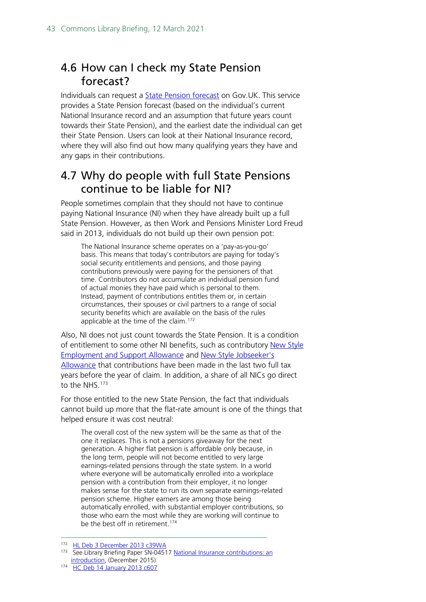# <span id="page-42-0"></span>4.6 How can I check my State Pension forecast?

Individuals can request a [State Pension forecast](https://www.gov.uk/check-state-pension) on Gov.UK. This service provides a State Pension forecast (based on the individual's current National Insurance record and an assumption that future years count towards their State Pension), and the earliest date the individual can get their State Pension. Users can look at their National Insurance record, where they will also find out how many qualifying years they have and any gaps in their contributions.

## <span id="page-42-1"></span>4.7 Why do people with full State Pensions continue to be liable for NI?

People sometimes complain that they should not have to continue paying National Insurance (NI) when they have already built up a full State Pension. However, as then Work and Pensions Minister Lord Freud said in 2013, individuals do not build up their own pension pot:

The National Insurance scheme operates on a 'pay-as-you-go' basis. This means that today's contributors are paying for today's social security entitlements and pensions, and those paying contributions previously were paying for the pensioners of that time. Contributors do not accumulate an individual pension fund of actual monies they have paid which is personal to them. Instead, payment of contributions entitles them or, in certain circumstances, their spouses or civil partners to a range of social security benefits which are available on the basis of the rules applicable at the time of the claim.<sup>[172](#page-42-2)</sup>

Also, NI does not just count towards the State Pension. It is a condition of entitlement to some other NI benefits, such as contributory New Style [Employment and Support Allowance](https://www.gov.uk/guidance/new-style-employment-and-support-allowance) and [New Style Jobseeker's](https://www.gov.uk/guidance/new-style-jobseekers-allowance)  [Allowance](https://www.gov.uk/guidance/new-style-jobseekers-allowance) that contributions have been made in the last two full tax years before the year of claim. In addition, a share of all NICs go direct to the NHS.<sup>[173](#page-42-3)</sup>

For those entitled to the new State Pension, the fact that individuals cannot build up more that the flat-rate amount is one of the things that helped ensure it was cost neutral:

The overall cost of the new system will be the same as that of the one it replaces. This is not a pensions giveaway for the next generation. A higher flat pension is affordable only because, in the long term, people will not become entitled to very large earnings-related pensions through the state system. In a world where everyone will be automatically enrolled into a workplace pension with a contribution from their employer, it no longer makes sense for the state to run its own separate earnings-related pension scheme. Higher earners are among those being automatically enrolled, with substantial employer contributions, so those who earn the most while they are working will continue to be the best off in retirement.<sup>[174](#page-42-4)</sup>

<span id="page-42-3"></span><span id="page-42-2"></span><sup>172</sup> [HL Deb 3 December 2013 c39WA](http://www.publications.parliament.uk/pa/ld201314/ldhansrd/text/131203w0001.htm#13120366000179)

<sup>&</sup>lt;sup>173</sup> See Library Briefing Paper SN-04517 National Insurance contributions: an [introduction,](http://www.parliament.uk/briefing-papers/SN04517) (December 2015)

<span id="page-42-4"></span><sup>174</sup> [HC Deb 14 January 2013 c607](https://www.publications.parliament.uk/pa/cm201213/cmhansrd/cm130114/debtext/130114-0001.htm#1301142000001)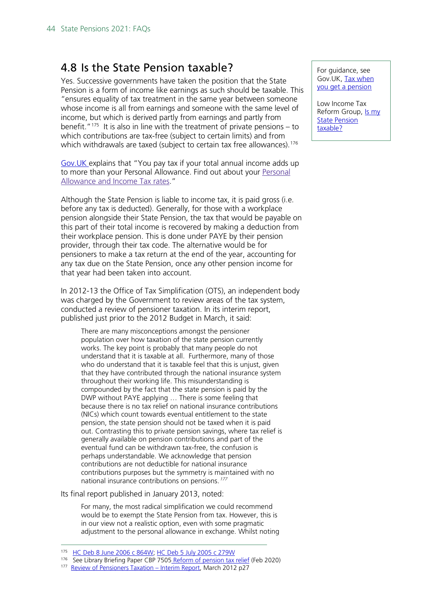## <span id="page-43-0"></span>4.8 Is the State Pension taxable?

Yes. Successive governments have taken the position that the State Pension is a form of income like earnings as such should be taxable. This "ensures equality of tax treatment in the same year between someone whose income is all from earnings and someone with the same level of income, but which is derived partly from earnings and partly from benefit."<sup>175</sup> It is also in line with the treatment of private pensions – to which contributions are tax-free (subject to certain limits) and from which withdrawals are taxed (subject to certain tax free allowances).<sup>[176](#page-43-2)</sup>

[Gov.UK e](https://www.gov.uk/tax-on-pension)xplains that "You pay tax if your total annual income adds up to more than your Personal Allowance. Find out about your [Personal](https://www.gov.uk/income-tax-rates/current-rates-and-allowances) [Allowance](https://www.gov.uk/income-tax-rates/current-rates-and-allowances) and Income Tax rates."

Although the State Pension is liable to income tax, it is paid gross (i.e. before any tax is deducted). Generally, for those with a workplace pension alongside their State Pension, the tax that would be payable on this part of their total income is recovered by making a deduction from their workplace pension. This is done under PAYE by their pension provider, through their tax code. The alternative would be for pensioners to make a tax return at the end of the year, accounting for any tax due on the State Pension, once any other pension income for that year had been taken into account.

In 2012-13 the Office of Tax Simplification (OTS), an independent body was charged by the Government to review areas of the tax system, conducted a review of pensioner taxation. In its interim report, published just prior to the 2012 Budget in March, it said:

There are many misconceptions amongst the pensioner population over how taxation of the state pension currently works. The key point is probably that many people do not understand that it is taxable at all. Furthermore, many of those who do understand that it is taxable feel that this is unjust, given that they have contributed through the national insurance system throughout their working life. This misunderstanding is compounded by the fact that the state pension is paid by the DWP without PAYE applying … There is some feeling that because there is no tax relief on national insurance contributions (NICs) which count towards eventual entitlement to the state pension, the state pension should not be taxed when it is paid out. Contrasting this to private pension savings, where tax relief is generally available on pension contributions and part of the eventual fund can be withdrawn tax-free, the confusion is perhaps understandable. We acknowledge that pension contributions are not deductible for national insurance contributions purposes but the symmetry is maintained with no national insurance contributions on pensions.<sup>[177](#page-43-3)</sup>

Its final report published in January 2013, noted:

For many, the most radical simplification we could recommend would be to exempt the State Pension from tax. However, this is in our view not a realistic option, even with some pragmatic adjustment to the personal allowance in exchange. Whilst noting For guidance, see Gov.UK, [Tax when](https://www.gov.uk/tax-on-pension)  [you get a pension](https://www.gov.uk/tax-on-pension)

Low Income Tax Reform Group, **Is my State Pension** [taxable?](https://www.litrg.org.uk/tax-guides/pensioners/what-income#toc-is-my-state-pension-taxable-)

<span id="page-43-1"></span><sup>175</sup> [HC Deb 8 June 2006 c 864W;](http://www.publications.parliament.uk/pa/cm200506/cmhansrd/vo060608/text/60608w0023.htm#06060913000221) [HC Deb 5 July 2005 c 279W](http://www.publications.parliament.uk/pa/cm200506/cmhansrd/vo050705/text/50705w15.htm#50705w15.html_sbhd1)

<span id="page-43-3"></span><span id="page-43-2"></span><sup>176</sup> See Library Briefing Paper CBP 7505 [Reform of pension tax relief](https://commonslibrary.parliament.uk/research-briefings/cbp-7505/) (Feb 2020)

<sup>177</sup> [Review of Pensioners Taxation –](http://webarchive.nationalarchives.gov.uk/20130129110402/http:/www.hm-treasury.gov.uk/d/ots_review_of_pensioners_tax_060312.pdf) Interim Report, March 2012 p27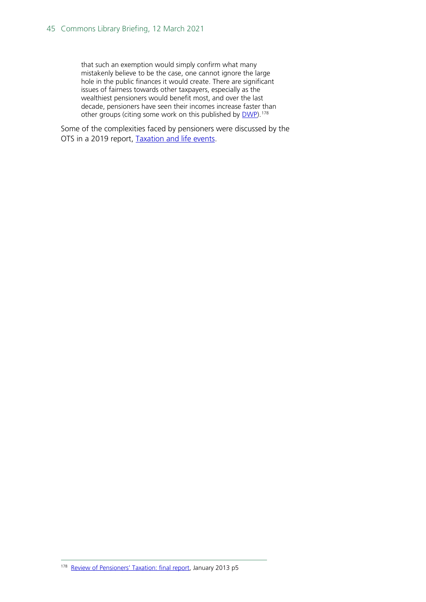that such an exemption would simply confirm what many mistakenly believe to be the case, one cannot ignore the large hole in the public finances it would create. There are significant issues of fairness towards other taxpayers, especially as the wealthiest pensioners would benefit most, and over the last decade, pensioners have seen their incomes increase faster than other groups (citing some work on this published by [DWP\)](http://research.dwp.gov.uk/asd/asd6/2010_11/pi_series_1011.pdf).<sup>[178](#page-44-0)</sup>

<span id="page-44-0"></span>Some of the complexities faced by pensioners were discussed by the OTS in a 2019 report, [Taxation and life](https://assets.publishing.service.gov.uk/government/uploads/system/uploads/attachment_data/file/838130/Taxation_and_life_events_Oct_2019.pdf#page=51)) events.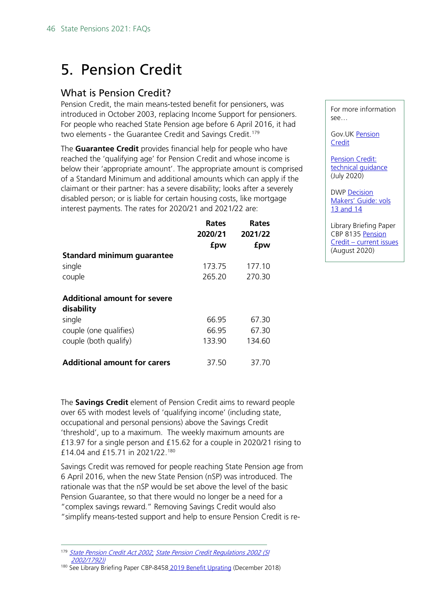# <span id="page-45-0"></span>5. Pension Credit

## <span id="page-45-1"></span>What is Pension Credit?

Pension Credit, the main means-tested benefit for pensioners, was introduced in October 2003, replacing Income Support for pensioners. For people who reached State Pension age before 6 April 2016, it had two elements - the Guarantee Credit and Savings Credit.<sup>[179](#page-45-2)</sup>

The **Guarantee Credit** provides financial help for people who have reached the 'qualifying age' for Pension Credit and whose income is below their 'appropriate amount'. The appropriate amount is comprised of a Standard Minimum and additional amounts which can apply if the claimant or their partner: has a severe disability; looks after a severely disabled person; or is liable for certain housing costs, like mortgage interest payments. The rates for 2020/21 and 2021/22 are:

|                                     | Rates<br>2020/21<br>fpw | Rates<br>2021/22<br>fpw |
|-------------------------------------|-------------------------|-------------------------|
| Standard minimum guarantee          |                         |                         |
| single                              | 173.75                  | 177.10                  |
| couple                              | 265.20                  | 270.30                  |
| <b>Additional amount for severe</b> |                         |                         |
| disability                          |                         |                         |
| single                              | 66.95                   | 67.30                   |
| couple (one qualifies)              | 66.95                   | 67.30                   |
| couple (both qualify)               | 133.90                  | 134.60                  |
| <b>Additional amount for carers</b> | 37.50                   | 37.70                   |

The **Savings Credit** element of Pension Credit aims to reward people over 65 with modest levels of 'qualifying income' (including state, occupational and personal pensions) above the Savings Credit 'threshold', up to a maximum. The weekly maximum amounts are £13.97 for a single person and £15.62 for a couple in 2020/21 rising to £14.04 and £15.71 in 2021/22. [180](#page-45-3)

Savings Credit was removed for people reaching State Pension age from 6 April 2016, when the new State Pension (nSP) was introduced. The rationale was that the nSP would be set above the level of the basic Pension Guarantee, so that there would no longer be a need for a "complex savings reward." Removing Savings Credit would also "simplify means-tested support and help to ensure Pension Credit is re-

For more information see…

Gov.UK [Pension](https://www.gov.uk/pension-credit)  **[Credit](https://www.gov.uk/pension-credit)** 

[Pension Credit:](https://www.gov.uk/government/publications/pension-credit-technical-guidance)  technical quidance (July 2020)

DWP [Decision](https://www.gov.uk/government/publications/decision-makers-guide-vols-13-and-14-state-pension-credit-staff-guide)  [Makers' Guide: vols](https://www.gov.uk/government/publications/decision-makers-guide-vols-13-and-14-state-pension-credit-staff-guide)  [13 and 14](https://www.gov.uk/government/publications/decision-makers-guide-vols-13-and-14-state-pension-credit-staff-guide)

Library Briefing Paper CBP 8135 Pension Credit – [current issues](https://researchbriefings.parliament.uk/ResearchBriefing/Summary/CBP-8135) (August 2020)

<span id="page-45-2"></span><sup>179</sup> [State Pension Credit Act 2002;](http://web.archive.org/web/20131213151727/http:/www.dwp.gov.uk/docs/a12-0101.pdf) [State Pension Credit Regulations 2002 \(SI](http://www.dwp.gov.uk/docs/a12-5001.pdf)  [2002/1792\)\)](http://www.dwp.gov.uk/docs/a12-5001.pdf)

<span id="page-45-3"></span><sup>&</sup>lt;sup>180</sup> See Library Briefing Paper CBP-8458 [2019 Benefit Uprating](https://researchbriefings.parliament.uk/ResearchBriefing/Summary/CBP-8458) (December 2018)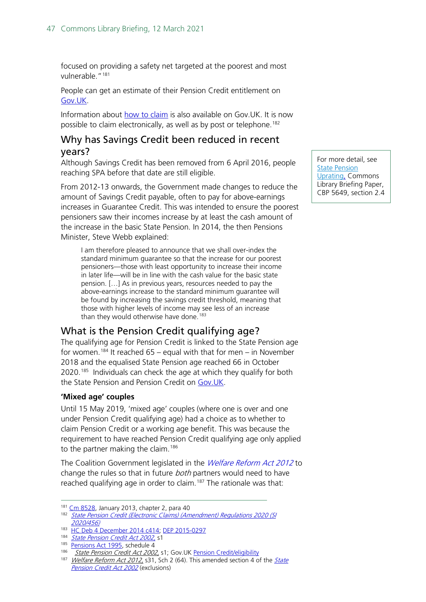focused on providing a safety net targeted at the poorest and most vulnerable."[181](#page-46-2)

People can get an estimate of their Pension Credit entitlement on [Gov.UK.](https://www.gov.uk/pension-credit-calculator)

Information about [how to claim](https://www.gov.uk/pension-credit/how-to-claim) is also available on Gov.UK. It is now possible to claim electronically, as well as by post or telephone.<sup>[182](#page-46-3)</sup>

## <span id="page-46-0"></span>Why has Savings Credit been reduced in recent years?

Although Savings Credit has been removed from 6 April 2016, people reaching SPA before that date are still eligible.

From 2012-13 onwards, the Government made changes to reduce the amount of Savings Credit payable, often to pay for above-earnings increases in Guarantee Credit. This was intended to ensure the poorest pensioners saw their incomes increase by at least the cash amount of the increase in the basic State Pension. In 2014, the then Pensions Minister, Steve Webb explained:

I am therefore pleased to announce that we shall over-index the standard minimum guarantee so that the increase for our poorest pensioners—those with least opportunity to increase their income in later life—will be in line with the cash value for the basic state pension. […] As in previous years, resources needed to pay the above-earnings increase to the standard minimum guarantee will be found by increasing the savings credit threshold, meaning that those with higher levels of income may see less of an increase than they would otherwise have done.<sup>[183](#page-46-4)</sup>

## <span id="page-46-1"></span>What is the Pension Credit qualifying age?

The qualifying age for Pension Credit is linked to the State Pension age for women.<sup>[184](#page-46-5)</sup> It reached  $65$  – equal with that for men – in November 2018 and the equalised State Pension age reached 66 in October 2020.<sup>185</sup> Individuals can check the age at which they qualify for both the State Pension and Pension Credit on [Gov.UK.](https://www.gov.uk/state-pension-age)

## **'Mixed age' couples**

Until 15 May 2019, 'mixed age' couples (where one is over and one under Pension Credit qualifying age) had a choice as to whether to claim Pension Credit or a working age benefit. This was because the requirement to have reached Pension Credit qualifying age only applied to the partner making the claim.<sup>186</sup>

The Coalition Government legislated in the *[Welfare Reform Act 2012](http://www.legislation.gov.uk/ukpga/2012/5/contents/enacted)* to change the rules so that in future both partners would need to have reached qualifying age in order to claim.<sup>[187](#page-46-8)</sup> The rationale was that:

For more detail, see **State Pension** [Uprating,](http://researchbriefings.parliament.uk/ResearchBriefing/Summary/SN05649) Commons Library Briefing Paper, CBP 5649, section 2.4

<span id="page-46-3"></span><span id="page-46-2"></span><sup>181</sup> [Cm 8528,](https://www.gov.uk/government/uploads/system/uploads/attachment_data/file/181229/single-tier-pension.pdf) January 2013, chapter 2, para 40

<sup>182</sup> State Pension Credit (Electronic Claims) (Amendment) Regulations 2020 (SI [2020/456\)](http://www.legislation.gov.uk/uksi/2020/456/introduction/made)

<sup>183</sup> [HC Deb 4 December 2014 c414;](https://www.publications.parliament.uk/pa/cm201415/cmhansrd/cm141204/debtext/141204-0001.htm#14120439000309) [DEP 2015-0297](http://data.parliament.uk/DepositedPapers/files/DEP2015-0297/scan.pdf)

<span id="page-46-5"></span><span id="page-46-4"></span><sup>184</sup> [State Pension Credit Act 2002,](http://www.legislation.gov.uk/ukpga/2002/16/crossheading/state-pension-credit-entitlement-and-amount) s1

<span id="page-46-6"></span><sup>&</sup>lt;sup>185</sup> [Pensions Act 1995,](http://www.legislation.gov.uk/ukpga/1995/26) schedule 4

[State Pension Credit Act 2002,](http://www.legislation.gov.uk/ukpga/2002/16/crossheading/state-pension-credit-entitlement-and-amount) s1; Gov.U[K Pension Credit/eligibility](https://www.gov.uk/pension-credit/eligibility)

<span id="page-46-8"></span><span id="page-46-7"></span><sup>187</sup> [Welfare Reform Act 2012,](http://www.dwp.gov.uk/docs/a14-101.pdf#page=121) s31, Sch 2 (64). This amended section 4 of the State [Pension Credit Act 2002](http://www.legislation.gov.uk/ukpga/2002/16/contents) (exclusions)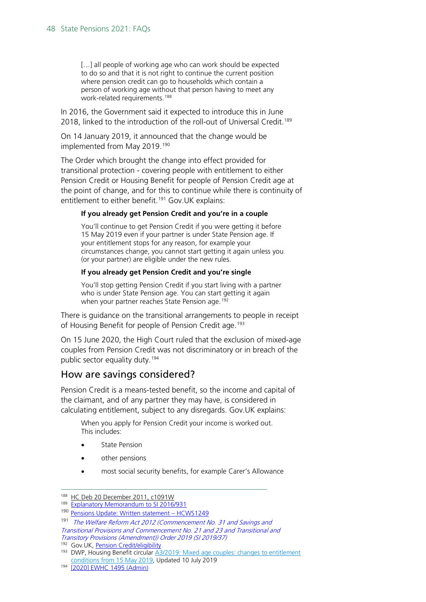[...] all people of working age who can work should be expected to do so and that it is not right to continue the current position where pension credit can go to households which contain a person of working age without that person having to meet any work-related requirements.<sup>[188](#page-47-0)</sup>

In 2016, the Government said it expected to introduce this in June 2018, linked to the introduction of the roll-out of Universal Credit.<sup>189</sup>

On 14 January 2019, it announced that the change would be implemented from May 2019. [190](#page-47-2)

The Order which brought the change into effect provided for transitional protection - covering people with entitlement to either Pension Credit or Housing Benefit for people of Pension Credit age at the point of change, and for this to continue while there is continuity of entitlement to either benefit.<sup>[191](#page-47-3)</sup> Gov.UK explains:

#### **If you already get Pension Credit and you're in a couple**

You'll continue to get Pension Credit if you were getting it before 15 May 2019 even if your partner is under State Pension age. If your entitlement stops for any reason, for example your circumstances change, you cannot start getting it again unless you (or your partner) are eligible under the new rules.

#### **If you already get Pension Credit and you're single**

You'll stop getting Pension Credit if you start living with a partner who is under State Pension age. You can start getting it again when your partner reaches State Pension age.<sup>[192](#page-47-4)</sup>

There is guidance on the transitional arrangements to people in receipt of Housing Benefit for people of Pension Credit age.<sup>[193](#page-47-5)</sup>

On 15 June 2020, the High Court ruled that the exclusion of mixed-age couples from Pension Credit was not discriminatory or in breach of the public sector equality duty.<sup>194</sup>

## How are savings considered?

Pension Credit is a means-tested benefit, so the income and capital of the claimant, and of any partner they may have, is considered in calculating entitlement, subject to any disregards. Gov.UK explains:

When you apply for Pension Credit your income is worked out. This includes:

- **State Pension**
- other pensions
- most social security benefits, for example Carer's Allowance

<span id="page-47-4"></span>192 Gov.UK, [Pension Credit/eligibility](https://www.gov.uk/pension-credit/eligibility)

<span id="page-47-1"></span><span id="page-47-0"></span><sup>188</sup> [HC Deb 20 December 2011, c1091W](https://publications.parliament.uk/pa/cm201011/cmhansrd/cm111220/text/111220w0001.htm#11122068000190)

<sup>189</sup> [Explanatory Memorandum to SI 2016/931](http://www.legislation.gov.uk/uksi/2016/931/pdfs/uksiem_20160931_en.pdf)

<span id="page-47-2"></span><sup>190</sup> Pensions Update: Written statement - HCWS1249

<span id="page-47-3"></span><sup>&</sup>lt;sup>191</sup> The Welfare Reform Act 2012 (Commencement No. 31 and Savings and [Transitional Provisions and Commencement No. 21 and 23 and Transitional and](http://www.legislation.gov.uk/uksi/2019/37/contents/made)  [Transitory Provisions \(Amendment\)\) Order 2019 \(SI 2019/37\)](http://www.legislation.gov.uk/uksi/2019/37/contents/made)

<span id="page-47-5"></span><sup>193</sup> DWP, Housing Benefit circular [A3/2019: Mixed age couples: changes to entitlement](https://www.gov.uk/government/publications/housing-benefit-adjudication-circulars-2019/a32018-mixed-age-couples-changes-to-entitlement-conditions-from-15-may-2019#:%7E:text=The%20changes,-3.&text=From%2015%20May%202019%2C%20mixed,or%20pension%20age%20Housing%20Benefit.)  [conditions from 15 May 2019,](https://www.gov.uk/government/publications/housing-benefit-adjudication-circulars-2019/a32018-mixed-age-couples-changes-to-entitlement-conditions-from-15-may-2019#:%7E:text=The%20changes,-3.&text=From%2015%20May%202019%2C%20mixed,or%20pension%20age%20Housing%20Benefit.) Updated 10 July 2019

<span id="page-47-6"></span><sup>194</sup> [\[2020\] EWHC 1495 \(Admin\)](https://www.bailii.org/ew/cases/EWHC/Admin/2020/1495.html)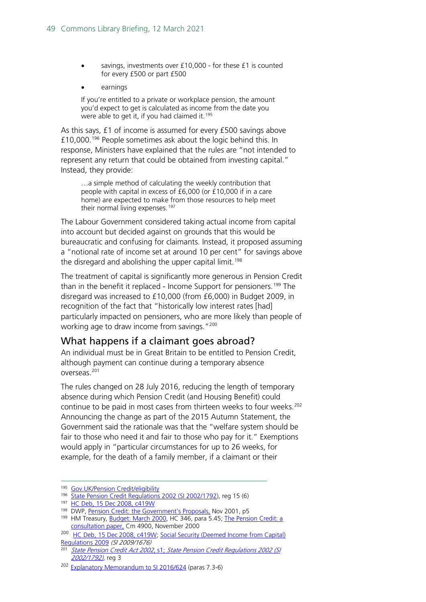- savings, investments over £10,000 for these £1 is counted for every £500 or part £500
- earnings

If you're entitled to a private or workplace pension, the amount you'd expect to get is calculated as income from the date you were able to get it, if you had claimed it.<sup>[195](#page-48-1)</sup>

As this says, £1 of income is assumed for every £500 savings above £10,000. [196](#page-48-2) People sometimes ask about the logic behind this. In response, Ministers have explained that the rules are "not intended to represent any return that could be obtained from investing capital." Instead, they provide:

…a simple method of calculating the weekly contribution that people with capital in excess of £6,000 (or £10,000 if in a care home) are expected to make from those resources to help meet their normal living expenses.<sup>[197](#page-48-3)</sup>

The Labour Government considered taking actual income from capital into account but decided against on grounds that this would be bureaucratic and confusing for claimants. Instead, it proposed assuming a "notional rate of income set at around 10 per cent" for savings above the disregard and abolishing the upper capital limit.<sup>[198](#page-48-4)</sup>

The treatment of capital is significantly more generous in Pension Credit than in the benefit it replaced - Income Support for pensioners.<sup>[199](#page-48-5)</sup> The disregard was increased to £10,000 (from £6,000) in Budget 2009, in recognition of the fact that "historically low interest rates [had] particularly impacted on pensioners, who are more likely than people of working age to draw income from savings."<sup>[200](#page-48-6)</sup>

## <span id="page-48-0"></span>What happens if a claimant goes abroad?

An individual must be in Great Britain to be entitled to Pension Credit, although payment can continue during a temporary absence overseas.[201](#page-48-7)

The rules changed on 28 July 2016, reducing the length of temporary absence during which Pension Credit (and Housing Benefit) could continue to be paid in most cases from thirteen weeks to four weeks.<sup>[202](#page-48-8)</sup> Announcing the change as part of the 2015 Autumn Statement, the Government said the rationale was that the "welfare system should be fair to those who need it and fair to those who pay for it." Exemptions would apply in "particular circumstances for up to 26 weeks, for example, for the death of a family member, if a claimant or their

<span id="page-48-1"></span><sup>&</sup>lt;sup>195</sup> Gov.UK/Pension Credit/eligibility<br><sup>196</sup> [State Pension Credit Regulations 2002 \(SI 2002/1792\)](http://www.legislation.gov.uk/uksi/2002/1792), reg 15 (6)

<span id="page-48-3"></span><span id="page-48-2"></span><sup>197</sup> [HC Deb, 15 Dec 2008, c419W](https://www.publications.parliament.uk/pa/cm200809/cmhansrd/cm081215/text/81215w0024.htm#08121543000038)

<span id="page-48-4"></span><sup>198</sup> DWP, [Pension Credit: the Government's Proposals,](https://hcl1.hclibrary.parliament.uk/govt_deps/dwp/pension_credit_proposals2001.pdf) Nov 2001, p5

<span id="page-48-5"></span><sup>&</sup>lt;sup>199</sup> HM Treasury, [Budget: March](https://www.gov.uk/government/publications/budget-march-2000) 2000, HC 346, para 5.45; The Pension Credit: a [consultation paper,](http://collections.europarchive.org/tna/20031220222226/http:/dwp.gov.uk/consultations/consult/2000/pencred/pencred.pdf) Cm 4900, November 2000

<span id="page-48-6"></span><sup>&</sup>lt;sup>200</sup> [HC Deb, 15 Dec 2008, c419W;](https://www.publications.parliament.uk/pa/cm200809/cmhansrd/cm081215/text/81215w0024.htm#08121543000038) Social Security (Deemed Income from Capital) [Regulations 2009](http://www.opsi.gov.uk/si/si2009/uksi_20091676_en_1) (SI 2009/1676)

<span id="page-48-7"></span><sup>201</sup> [State Pension Credit Act 2002](http://www.legislation.gov.uk/ukpga/2002/16/section/1), s1; [State Pension Credit Regulations 2002 \(SI](http://www.legislation.gov.uk/uksi/2002/1792)  [2002/1792\)](http://www.legislation.gov.uk/uksi/2002/1792), reg 3

<span id="page-48-8"></span><sup>&</sup>lt;sup>202</sup> [Explanatory Memorandum to SI 2016/624](http://www.legislation.gov.uk/uksi/2016/624/memorandum/contents) (paras 7.3-6)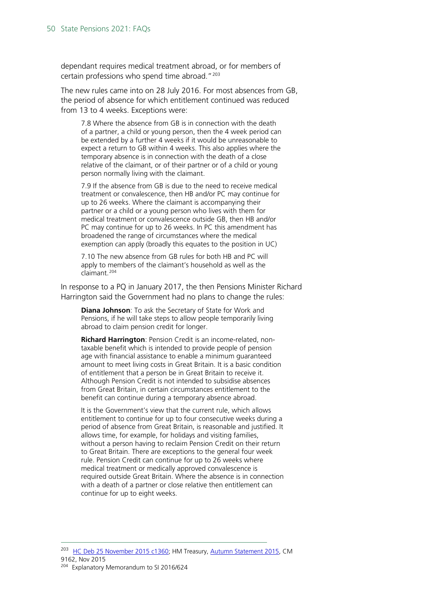dependant requires medical treatment abroad, or for members of certain professions who spend time abroad."<sup>[203](#page-49-0)</sup>

The new rules came into on 28 July 2016. For most absences from GB, the period of absence for which entitlement continued was reduced from 13 to 4 weeks. Exceptions were:

7.8 Where the absence from GB is in connection with the death of a partner, a child or young person, then the 4 week period can be extended by a further 4 weeks if it would be unreasonable to expect a return to GB within 4 weeks. This also applies where the temporary absence is in connection with the death of a close relative of the claimant, or of their partner or of a child or young person normally living with the claimant.

7.9 If the absence from GB is due to the need to receive medical treatment or convalescence, then HB and/or PC may continue for up to 26 weeks. Where the claimant is accompanying their partner or a child or a young person who lives with them for medical treatment or convalescence outside GB, then HB and/or PC may continue for up to 26 weeks. In PC this amendment has broadened the range of circumstances where the medical exemption can apply (broadly this equates to the position in UC)

7.10 The new absence from GB rules for both HB and PC will apply to members of the claimant's household as well as the claimant.[204](#page-49-1)

In response to a PQ in January 2017, the then Pensions Minister Richard Harrington said the Government had no plans to change the rules:

**Diana Johnson**: To ask the Secretary of State for Work and Pensions, if he will take steps to allow people temporarily living abroad to claim pension credit for longer.

**Richard Harrington**: Pension Credit is an income-related, nontaxable benefit which is intended to provide people of pension age with financial assistance to enable a minimum guaranteed amount to meet living costs in Great Britain. It is a basic condition of entitlement that a person be in Great Britain to receive it. Although Pension Credit is not intended to subsidise absences from Great Britain, in certain circumstances entitlement to the benefit can continue during a temporary absence abroad.

It is the Government's view that the current rule, which allows entitlement to continue for up to four consecutive weeks during a period of absence from Great Britain, is reasonable and justified. It allows time, for example, for holidays and visiting families, without a person having to reclaim Pension Credit on their return to Great Britain. There are exceptions to the general four week rule. Pension Credit can continue for up to 26 weeks where medical treatment or medically approved convalescence is required outside Great Britain. Where the absence is in connection with a death of a partner or close relative then entitlement can continue for up to eight weeks.

<span id="page-49-1"></span><span id="page-49-0"></span><sup>&</sup>lt;sup>203</sup> [HC Deb 25 November 2015 c1360;](http://www.publications.parliament.uk/pa/cm201516/cmhansrd/cm151125/debtext/151125-0001.htm#15112551000003) HM Treasury, [Autumn Statement 2015,](https://www.gov.uk/government/uploads/system/uploads/attachment_data/file/479749/52229_Blue_Book_PU1865_Web_Accessible.pdf) CM 9162, Nov 2015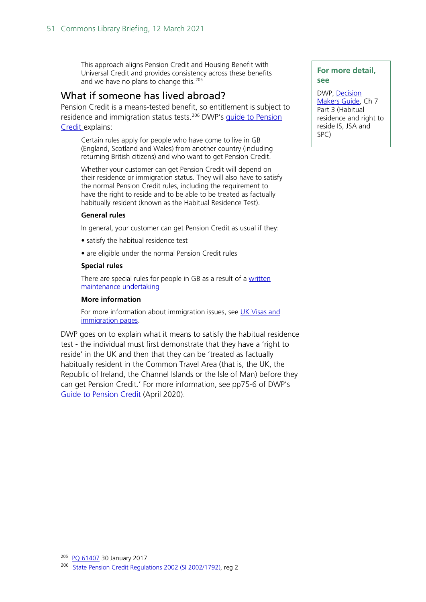This approach aligns Pension Credit and Housing Benefit with Universal Credit and provides consistency across these benefits and we have no plans to change this.<sup>[205](#page-50-1)</sup>

## <span id="page-50-0"></span>What if someone has lived abroad?

Pension Credit is a means-tested benefit, so entitlement is subject to residence and immigration status tests.<sup>[206](#page-50-2)</sup> DWP's guide to Pension [Credit](https://www.gov.uk/government/uploads/system/uploads/attachment_data/file/605534/withdrawn-pension-credit-detailed-guide-pc10s.pdf) explains:

Certain rules apply for people who have come to live in GB (England, Scotland and Wales) from another country (including returning British citizens) and who want to get Pension Credit.

Whether your customer can get Pension Credit will depend on their residence or immigration status. They will also have to satisfy the normal Pension Credit rules, including the requirement to have the right to reside and to be able to be treated as factually habitually resident (known as the Habitual Residence Test).

#### **General rules**

In general, your customer can get Pension Credit as usual if they:

- satisfy the habitual residence test
- are eligible under the normal Pension Credit rules

#### **Special rules**

There are special rules for people in GB as a result of a [written](https://assets.publishing.service.gov.uk/government/uploads/system/uploads/attachment_data/file/898908/pc10s-a-detailed-guide-to-pension-credit-for-advisers.pdf)  [maintenance undertaking](https://assets.publishing.service.gov.uk/government/uploads/system/uploads/attachment_data/file/898908/pc10s-a-detailed-guide-to-pension-credit-for-advisers.pdf)

#### **More information**

For more information about immigration issues, see UK Visas and [immigration pages.](https://www.gov.uk/contact-ukvi-inside-outside-uk)

DWP goes on to explain what it means to satisfy the habitual residence test - the individual must first demonstrate that they have a 'right to reside' in the UK and then that they can be 'treated as factually habitually resident in the Common Travel Area (that is, the UK, the Republic of Ireland, the Channel Islands or the Isle of Man) before they can get Pension Credit.' For more information, see pp75-6 of DWP's [Guide to Pension Credit](https://www.gov.uk/government/uploads/system/uploads/attachment_data/file/605534/withdrawn-pension-credit-detailed-guide-pc10s.pdf) (April 2020).

### **For more detail, see**

DWP, [Decision](https://www.gov.uk/government/publications/decision-makers-guide-vol-2-international-subjects-staff-guide)  [Makers Guide,](https://www.gov.uk/government/publications/decision-makers-guide-vol-2-international-subjects-staff-guide) Ch 7 Part 3 (Habitual residence and right to reside IS, JSA and SPC)

<span id="page-50-2"></span><span id="page-50-1"></span><sup>&</sup>lt;sup>205</sup> [PQ 61407](http://www.parliament.uk/written-questions-answers-statements/written-question/commons/2017-01-24/61407) 30 January 2017

<sup>&</sup>lt;sup>206</sup> [State Pension Credit Regulations 2002 \(SI 2002/1792\)](http://www.legislation.gov.uk/uksi/2002/1792), reg 2